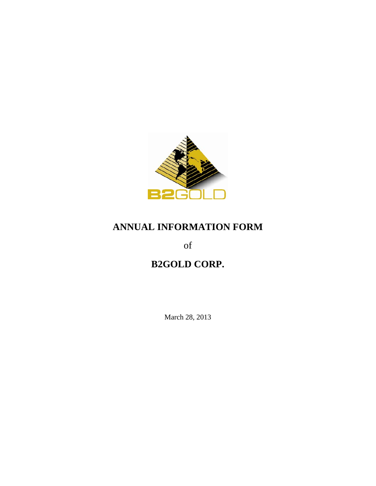

# **ANNUAL INFORMATION FORM**

of

# **B2GOLD CORP.**

March 28, 2013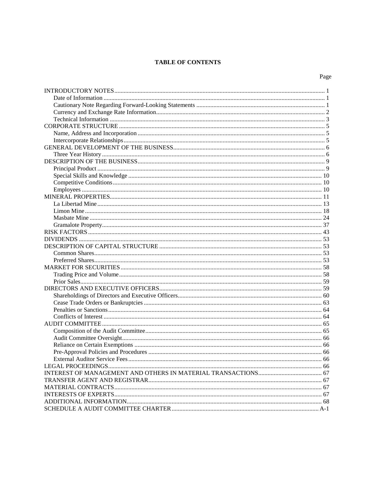# **TABLE OF CONTENTS**

| I<br>۰,<br>۰,<br>×<br>۰. |
|--------------------------|
|--------------------------|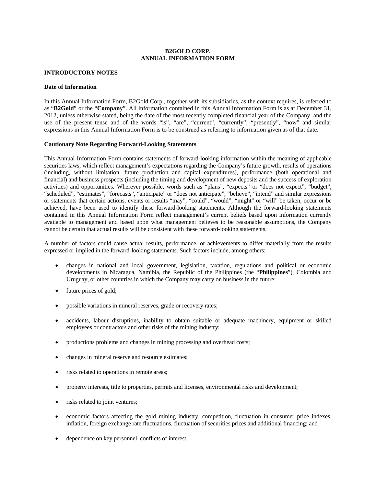# **B2GOLD CORP. ANNUAL INFORMATION FORM**

# <span id="page-2-0"></span>**INTRODUCTORY NOTES**

#### <span id="page-2-1"></span>**Date of Information**

In this Annual Information Form, B2Gold Corp., together with its subsidiaries, as the context requires, is referred to as "**B2Gold**" or the "**Company**". All information contained in this Annual Information Form is as at December 31, 2012, unless otherwise stated, being the date of the most recently completed financial year of the Company, and the use of the present tense and of the words "is", "are", "current", "currently", "presently", "now" and similar expressions in this Annual Information Form is to be construed as referring to information given as of that date.

#### <span id="page-2-2"></span>**Cautionary Note Regarding Forward-Looking Statements**

This Annual Information Form contains statements of forward-looking information within the meaning of applicable securities laws, which reflect management's expectations regarding the Company's future growth, results of operations (including, without limitation, future production and capital expenditures), performance (both operational and financial) and business prospects (including the timing and development of new deposits and the success of exploration activities) and opportunities. Wherever possible, words such as "plans", "expects" or "does not expect", "budget", "scheduled", "estimates", "forecasts", "anticipate" or "does not anticipate", "believe", "intend" and similar expressions or statements that certain actions, events or results "may", "could", "would", "might" or "will" be taken, occur or be achieved, have been used to identify these forward-looking statements. Although the forward-looking statements contained in this Annual Information Form reflect management's current beliefs based upon information currently available to management and based upon what management believes to be reasonable assumptions, the Company cannot be certain that actual results will be consistent with these forward-looking statements.

A number of factors could cause actual results, performance, or achievements to differ materially from the results expressed or implied in the forward-looking statements. Such factors include, among others:

- changes in national and local government, legislation, taxation, regulations and political or economic developments in Nicaragua, Namibia, the Republic of the Philippines (the "**Philippines**"), Colombia and Uruguay, or other countries in which the Company may carry on business in the future;
- future prices of gold;
- possible variations in mineral reserves, grade or recovery rates;
- accidents, labour disruptions, inability to obtain suitable or adequate machinery, equipment or skilled employees or contractors and other risks of the mining industry;
- productions problems and changes in mining processing and overhead costs;
- changes in mineral reserve and resource estimates;
- risks related to operations in remote areas;
- property interests, title to properties, permits and licenses, environmental risks and development;
- risks related to joint ventures;
- economic factors affecting the gold mining industry, competition, fluctuation in consumer price indexes, inflation, foreign exchange rate fluctuations, fluctuation of securities prices and additional financing; and
- dependence on key personnel, conflicts of interest,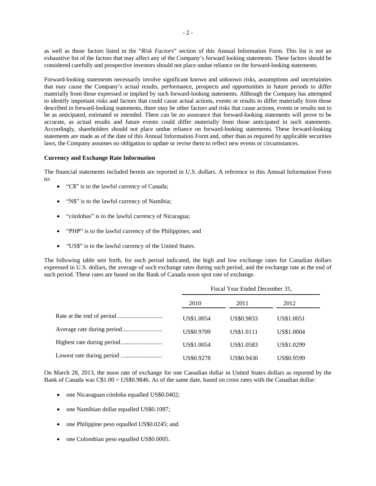as well as those factors listed in the "*Risk Factors*" section of this Annual Information Form. This list is not an exhaustive list of the factors that may affect any of the Company's forward looking statements. These factors should be considered carefully and prospective investors should not place undue reliance on the forward-looking statements.

Forward-looking statements necessarily involve significant known and unknown risks, assumptions and uncertainties that may cause the Company's actual results, performance, prospects and opportunities in future periods to differ materially from those expressed or implied by such forward-looking statements. Although the Company has attempted to identify important risks and factors that could cause actual actions, events or results to differ materially from those described in forward-looking statements, there may be other factors and risks that cause actions, events or results not to be as anticipated, estimated or intended. There can be no assurance that forward-looking statements will prove to be accurate, as actual results and future events could differ materially from those anticipated in such statements. Accordingly, shareholders should not place undue reliance on forward-looking statements. These forward-looking statements are made as of the date of this Annual Information Form and, other than as required by applicable securities laws, the Company assumes no obligation to update or revise them to reflect new events or circumstances.

#### <span id="page-3-0"></span>**Currency and Exchange Rate Information**

The financial statements included herein are reported in U.S. dollars. A reference in this Annual Information Form  $t^{\alpha}$ 

- "C\$" is to the lawful currency of Canada;
- "N\$" is to the lawful currency of Namibia;
- "córdobas" is to the lawful currency of Nicaragua;
- "PHP" is to the lawful currency of the Philippines; and
- "US\$" is to the lawful currency of the United States.

The following table sets forth, for each period indicated, the high and low exchange rates for Canadian dollars expressed in U.S. dollars, the average of such exchange rates during such period, and the exchange rate at the end of such period. These rates are based on the Bank of Canada noon spot rate of exchange.

| Fiscal Year Ended December 31, |            |            |  |
|--------------------------------|------------|------------|--|
| 2010                           | 2011       | 2012       |  |
| US\$1.0054                     | US\$0.9833 | US\$1.0051 |  |
| US\$0.9709                     | US\$1.0111 | US\$1.0004 |  |
| US\$1.0054                     | US\$1.0583 | US\$1.0299 |  |
| US\$0.9278                     | US\$0.9430 | US\$0.9599 |  |

On March 28, 2013, the noon rate of exchange for one Canadian dollar in United States dollars as reported by the Bank of Canada was C\$1.00 = US\$0.9846. As of the same date, based on cross rates with the Canadian dollar:

- one Nicaraguan córdoba equalled US\$0.0402;
- one Namibian dollar equalled US\$0.1087;
- one Philippine peso equalled US\$0.0245; and
- one Colombian peso equalled US\$0.0005.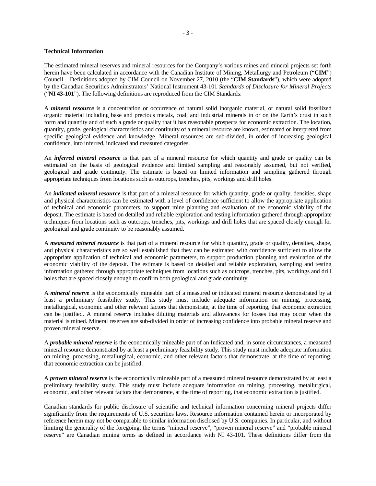#### <span id="page-4-0"></span>**Technical Information**

The estimated mineral reserves and mineral resources for the Company's various mines and mineral projects set forth herein have been calculated in accordance with the Canadian Institute of Mining, Metallurgy and Petroleum ("**CIM**") Council – Definitions adopted by CIM Council on November 27, 2010 (the "**CIM Standards**"), which were adopted by the Canadian Securities Administrators' National Instrument 43-101 *Standards of Disclosure for Mineral Projects* ("**NI 43-101**"). The following definitions are reproduced from the CIM Standards:

A *mineral resource* is a concentration or occurrence of natural solid inorganic material, or natural solid fossilized organic material including base and precious metals, coal, and industrial minerals in or on the Earth's crust in such form and quantity and of such a grade or quality that it has reasonable prospects for economic extraction. The location, quantity, grade, geological characteristics and continuity of a mineral resource are known, estimated or interpreted from specific geological evidence and knowledge. Mineral resources are sub-divided, in order of increasing geological confidence, into inferred, indicated and measured categories.

An *inferred mineral resource* is that part of a mineral resource for which quantity and grade or quality can be estimated on the basis of geological evidence and limited sampling and reasonably assumed, but not verified, geological and grade continuity. The estimate is based on limited information and sampling gathered through appropriate techniques from locations such as outcrops, trenches, pits, workings and drill holes.

An *indicated mineral resource* is that part of a mineral resource for which quantity, grade or quality, densities, shape and physical characteristics can be estimated with a level of confidence sufficient to allow the appropriate application of technical and economic parameters, to support mine planning and evaluation of the economic viability of the deposit. The estimate is based on detailed and reliable exploration and testing information gathered through appropriate techniques from locations such as outcrops, trenches, pits, workings and drill holes that are spaced closely enough for geological and grade continuity to be reasonably assumed.

A *measured mineral resource* is that part of a mineral resource for which quantity, grade or quality, densities, shape, and physical characteristics are so well established that they can be estimated with confidence sufficient to allow the appropriate application of technical and economic parameters, to support production planning and evaluation of the economic viability of the deposit. The estimate is based on detailed and reliable exploration, sampling and testing information gathered through appropriate techniques from locations such as outcrops, trenches, pits, workings and drill holes that are spaced closely enough to confirm both geological and grade continuity.

A *mineral reserve* is the economically mineable part of a measured or indicated mineral resource demonstrated by at least a preliminary feasibility study. This study must include adequate information on mining, processing, metallurgical, economic and other relevant factors that demonstrate, at the time of reporting, that economic extraction can be justified. A mineral reserve includes diluting materials and allowances for losses that may occur when the material is mined. Mineral reserves are sub-divided in order of increasing confidence into probable mineral reserve and proven mineral reserve.

A *probable mineral reserve* is the economically mineable part of an Indicated and, in some circumstances, a measured mineral resource demonstrated by at least a preliminary feasibility study. This study must include adequate information on mining, processing, metallurgical, economic, and other relevant factors that demonstrate, at the time of reporting, that economic extraction can be justified.

A *proven mineral reserve* is the economically mineable part of a measured mineral resource demonstrated by at least a preliminary feasibility study. This study must include adequate information on mining, processing, metallurgical, economic, and other relevant factors that demonstrate, at the time of reporting, that economic extraction is justified.

Canadian standards for public disclosure of scientific and technical information concerning mineral projects differ significantly from the requirements of U.S. securities laws. Resource information contained herein or incorporated by reference herein may not be comparable to similar information disclosed by U.S. companies. In particular, and without limiting the generality of the foregoing, the terms "mineral reserve", "proven mineral reserve" and "probable mineral reserve" are Canadian mining terms as defined in accordance with NI 43-101. These definitions differ from the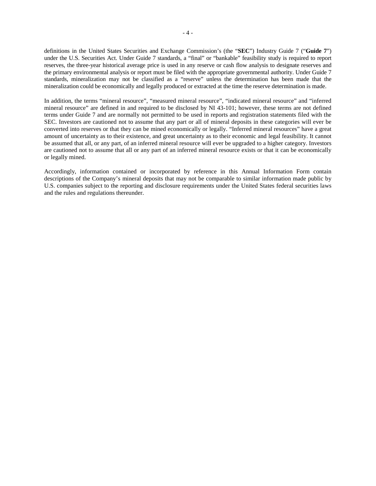definitions in the United States Securities and Exchange Commission's (the "**SEC**") Industry Guide 7 ("**Guide 7**") under the U.S. Securities Act. Under Guide 7 standards, a "final" or "bankable" feasibility study is required to report reserves, the three-year historical average price is used in any reserve or cash flow analysis to designate reserves and the primary environmental analysis or report must be filed with the appropriate governmental authority. Under Guide 7 standards, mineralization may not be classified as a "reserve" unless the determination has been made that the mineralization could be economically and legally produced or extracted at the time the reserve determination is made.

In addition, the terms "mineral resource", "measured mineral resource", "indicated mineral resource" and "inferred mineral resource" are defined in and required to be disclosed by NI 43-101; however, these terms are not defined terms under Guide 7 and are normally not permitted to be used in reports and registration statements filed with the SEC. Investors are cautioned not to assume that any part or all of mineral deposits in these categories will ever be converted into reserves or that they can be mined economically or legally. "Inferred mineral resources" have a great amount of uncertainty as to their existence, and great uncertainty as to their economic and legal feasibility. It cannot be assumed that all, or any part, of an inferred mineral resource will ever be upgraded to a higher category. Investors are cautioned not to assume that all or any part of an inferred mineral resource exists or that it can be economically or legally mined.

Accordingly, information contained or incorporated by reference in this Annual Information Form contain descriptions of the Company's mineral deposits that may not be comparable to similar information made public by U.S. companies subject to the reporting and disclosure requirements under the United States federal securities laws and the rules and regulations thereunder.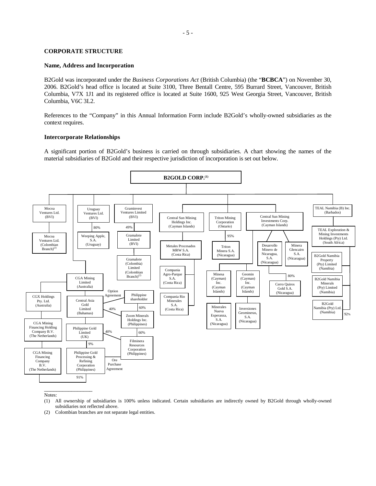#### <span id="page-6-0"></span>**CORPORATE STRUCTURE**

#### <span id="page-6-1"></span>**Name, Address and Incorporation**

B2Gold was incorporated under the *Business Corporations Act* (British Columbia) (the "**BCBCA**") on November 30, 2006. B2Gold's head office is located at Suite 3100, Three Bentall Centre, 595 Burrard Street, Vancouver, British Columbia, V7X 1J1 and its registered office is located at Suite 1600, 925 West Georgia Street, Vancouver, British Columbia, V6C 3L2.

References to the "Company" in this Annual Information Form include B2Gold's wholly-owned subsidiaries as the context requires.

#### <span id="page-6-2"></span>**Intercorporate Relationships**

A significant portion of B2Gold's business is carried on through subsidiaries. A chart showing the names of the material subsidiaries of B2Gold and their respective jurisdiction of incorporation is set out below.



Notes:

- (1) All ownership of subsidiaries is 100% unless indicated. Certain subsidiaries are indirectly owned by B2Gold through wholly-owned subsidiaries not reflected above.
- (2) Colombian branches are not separate legal entities.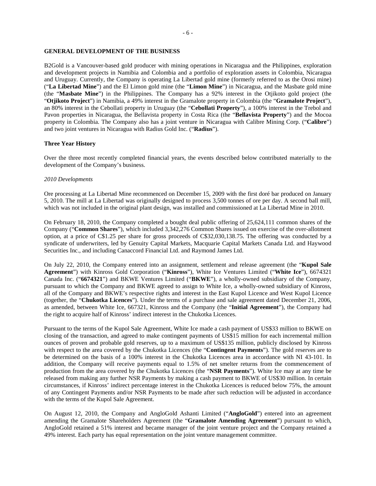#### <span id="page-7-0"></span>**GENERAL DEVELOPMENT OF THE BUSINESS**

B2Gold is a Vancouver-based gold producer with mining operations in Nicaragua and the Philippines, exploration and development projects in Namibia and Colombia and a portfolio of exploration assets in Colombia, Nicaragua and Uruguay. Currently, the Company is operating La Libertad gold mine (formerly referred to as the Orosi mine) ("**La Libertad Mine**") and the El Limon gold mine (the "**Limon Mine**") in Nicaragua, and the Masbate gold mine (the "**Masbate Mine**") in the Philippines. The Company has a 92% interest in the Otjikoto gold project (the "**Otjikoto Project**") in Namibia, a 49% interest in the Gramalote property in Colombia (the "**Gramalote Project**"), an 80% interest in the Cebollati property in Uruguay (the "**Cebollati Property**"), a 100% interest in the Trebol and Pavon properties in Nicaragua, the Bellavista property in Costa Rica (the "**Bellavista Property**") and the Mocoa property in Colombia. The Company also has a joint venture in Nicaragua with Calibre Mining Corp. ("**Calibre**") and two joint ventures in Nicaragua with Radius Gold Inc. ("**Radius**").

#### <span id="page-7-1"></span>**Three Year History**

Over the three most recently completed financial years, the events described below contributed materially to the development of the Company's business.

#### *2010 Developments*

Ore processing at La Libertad Mine recommenced on December 15, 2009 with the first doré bar produced on January 5, 2010. The mill at La Libertad was originally designed to process 3,500 tonnes of ore per day. A second ball mill, which was not included in the original plant design, was installed and commissioned at La Libertad Mine in 2010.

On February 18, 2010, the Company completed a bought deal public offering of 25,624,111 common shares of the Company ("**Common Shares**"), which included 3,342,276 Common Shares issued on exercise of the over-allotment option, at a price of C\$1.25 per share for gross proceeds of C\$32,030,138.75. The offering was conducted by a syndicate of underwriters, led by Genuity Capital Markets, Macquarie Capital Markets Canada Ltd. and Haywood Securities Inc., and including Canaccord Financial Ltd. and Raymond James Ltd.

On July 22, 2010, the Company entered into an assignment, settlement and release agreement (the "**Kupol Sale Agreement**") with Kinross Gold Corporation ("**Kinross**"), White Ice Ventures Limited ("**White Ice**"), 6674321 Canada Inc. ("**6674321**") and BKWE Ventures Limited ("**BKWE**"), a wholly-owned subsidiary of the Company, pursuant to which the Company and BKWE agreed to assign to White Ice, a wholly-owned subsidiary of Kinross, all of the Company and BKWE's respective rights and interest in the East Kupol Licence and West Kupol Licence (together, the "**Chukotka Licences**"). Under the terms of a purchase and sale agreement dated December 21, 2006, as amended, between White Ice, 667321, Kinross and the Company (the "**Initial Agreement**"), the Company had the right to acquire half of Kinross' indirect interest in the Chukotka Licences.

Pursuant to the terms of the Kupol Sale Agreement, White Ice made a cash payment of US\$33 million to BKWE on closing of the transaction, and agreed to make contingent payments of US\$15 million for each incremental million ounces of proven and probable gold reserves, up to a maximum of US\$135 million, publicly disclosed by Kinross with respect to the area covered by the Chukotka Licences (the "**Contingent Payments**"). The gold reserves are to be determined on the basis of a 100% interest in the Chukotka Licences area in accordance with NI 43-101. In addition, the Company will receive payments equal to 1.5% of net smelter returns from the commencement of production from the area covered by the Chukotka Licences (the "**NSR Payments**"). White Ice may at any time be released from making any further NSR Payments by making a cash payment to BKWE of US\$30 million. In certain circumstances, if Kinross' indirect percentage interest in the Chukotka Licences is reduced below 75%, the amount of any Contingent Payments and/or NSR Payments to be made after such reduction will be adjusted in accordance with the terms of the Kupol Sale Agreement.

On August 12, 2010, the Company and AngloGold Ashanti Limited ("**AngloGold**") entered into an agreement amending the Gramalote Shareholders Agreement (the "**Gramalote Amending Agreement**") pursuant to which, AngloGold retained a 51% interest and became manager of the joint venture project and the Company retained a 49% interest. Each party has equal representation on the joint venture management committee.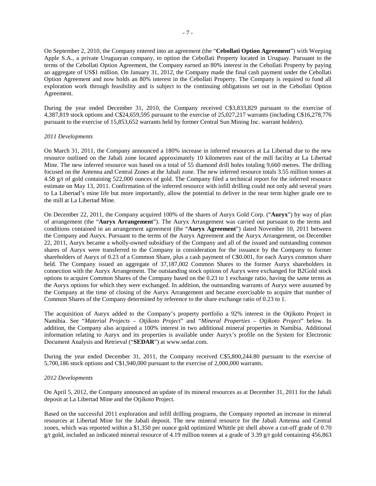On September 2, 2010, the Company entered into an agreement (the "**Cebollati Option Agreement**") with Weeping Apple S.A., a private Uruguayan company, to option the Cebollati Property located in Uruguay. Pursuant to the terms of the Cebollati Option Agreement, the Company earned an 80% interest in the Cebollati Property by paying an aggregate of US\$1 million. On January 31, 2012, the Company made the final cash payment under the Cebollati Option Agreement and now holds an 80% interest in the Cebollati Property. The Company is required to fund all exploration work through feasibility and is subject to the continuing obligations set out in the Cebollati Option Agreement.

During the year ended December 31, 2010, the Company received C\$3,833,829 pursuant to the exercise of 4,387,819 stock options and C\$24,659,595 pursuant to the exercise of 25,027,217 warrants (including C\$16,278,776 pursuant to the exercise of 15,853,652 warrants held by former Central Sun Mining Inc. warrant holders).

#### *2011 Developments*

On March 31, 2011, the Company announced a 180% increase in inferred resources at La Libertad due to the new resource outlined on the Jabali zone located approximately 10 kilometres east of the mill facility at La Libertad Mine. The new inferred resource was based on a total of 55 diamond drill holes totaling 9,660 metres. The drilling focused on the Antenna and Central Zones at the Jabali zone. The new inferred resource totals 3.55 million tonnes at 4.58 g/t of gold containing 522,000 ounces of gold. The Company filed a technical report for the inferred resource estimate on May 13, 2011. Confirmation of the inferred resource with infill drilling could not only add several years to La Libertad's mine life but more importantly, allow the potential to deliver in the near term higher grade ore to the mill at La Libertad Mine.

On December 22, 2011, the Company acquired 100% of the shares of Auryx Gold Corp. ("**Auryx**") by way of plan of arrangement (the "**Auryx Arrangement**"). The Auryx Arrangement was carried out pursuant to the terms and conditions contained in an arrangement agreement (the "**Auryx Agreement**") dated November 10, 2011 between the Company and Auryx. Pursuant to the terms of the Auryx Agreement and the Auryx Arrangement, on December 22, 2011, Auryx became a wholly-owned subsidiary of the Company and all of the issued and outstanding common shares of Auryx were transferred to the Company in consideration for the issuance by the Company to former shareholders of Auryx of 0.23 of a Common Share, plus a cash payment of C\$0.001, for each Auryx common share held. The Company issued an aggregate of 37,187,002 Common Shares to the former Auryx shareholders in connection with the Auryx Arrangement. The outstanding stock options of Auryx were exchanged for B2Gold stock options to acquire Common Shares of the Company based on the 0.23 to 1 exchange ratio, having the same terms as the Auryx options for which they were exchanged. In addition, the outstanding warrants of Auryx were assumed by the Company at the time of closing of the Auryx Arrangement and became exercisable to acquire that number of Common Shares of the Company determined by reference to the share exchange ratio of 0.23 to 1.

The acquisition of Auryx added to the Company's property portfolio a 92% interest in the Otjikoto Project in Namibia. See "*Material Projects – Otjikoto Project*" and "*Mineral Properties – Otjikoto Project*" below. In addition, the Company also acquired a 100% interest in two additional mineral properties in Namibia. Additional information relating to Auryx and its properties is available under Auryx's profile on the System for Electronic Document Analysis and Retrieval ("**SEDAR**") at [www.sedar.com.](http://www.sedar.com/)

During the year ended December 31, 2011, the Company received C\$5,800,244.80 pursuant to the exercise of 5,700,186 stock options and C\$1,940,000 pursuant to the exercise of 2,000,000 warrants.

#### *2012 Developments*

On April 5, 2012, the Company announced an update of its mineral resources as at December 31, 2011 for the Jabali deposit at La Libertad Mine and the Otjikoto Project.

Based on the successful 2011 exploration and infill drilling programs, the Company reported an increase in mineral resources at Libertad Mine for the Jabali deposit. The new mineral resource for the Jabali Antenna and Central zones, which was reported within a \$1,350 per ounce gold optimized Whittle pit shell above a cut-off grade of 0.70 g/t gold, included an indicated mineral resource of 4.19 million tonnes at a grade of 3.39 g/t gold containing 456,863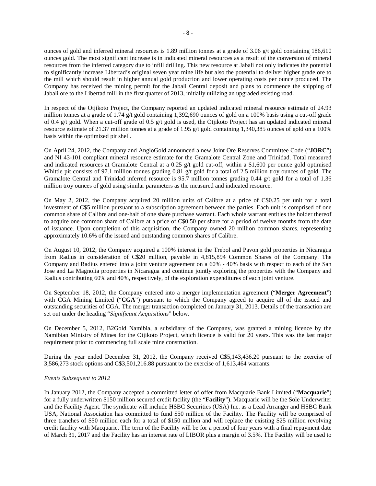ounces of gold and inferred mineral resources is 1.89 million tonnes at a grade of 3.06 g/t gold containing 186,610 ounces gold. The most significant increase is in indicated mineral resources as a result of the conversion of mineral resources from the inferred category due to infill drilling. This new resource at Jabali not only indicates the potential to significantly increase Libertad's original seven year mine life but also the potential to deliver higher grade ore to the mill which should result in higher annual gold production and lower operating costs per ounce produced. The Company has received the mining permit for the Jabali Central deposit and plans to commence the shipping of Jabali ore to the Libertad mill in the first quarter of 2013, initially utilizing an upgraded existing road.

In respect of the Otjikoto Project, the Company reported an updated indicated mineral resource estimate of 24.93 million tonnes at a grade of 1.74 g/t gold containing 1,392,690 ounces of gold on a 100% basis using a cut-off grade of 0.4 g/t gold. When a cut-off grade of 0.5 g/t gold is used, the Otjikoto Project has an updated indicated mineral resource estimate of 21.37 million tonnes at a grade of 1.95 g/t gold containing 1,340,385 ounces of gold on a 100% basis within the optimized pit shell.

On April 24, 2012, the Company and AngloGold announced a new Joint Ore Reserves Committee Code ("**JORC**") and NI 43-101 compliant mineral resource estimate for the Gramalote Central Zone and Trinidad. Total measured and indicated resources at Gramalote Central at a 0.25 g/t gold cut-off, within a \$1,600 per ounce gold optimised Whittle pit consists of 97.1 million tonnes grading 0.81 g/t gold for a total of 2.5 million troy ounces of gold. The Gramalote Central and Trinidad inferred resource is 95.7 million tonnes grading 0.44 g/t gold for a total of 1.36 million troy ounces of gold using similar parameters as the measured and indicated resource.

On May 2, 2012, the Company acquired 20 million units of Calibre at a price of C\$0.25 per unit for a total investment of C\$5 million pursuant to a subscription agreement between the parties. Each unit is comprised of one common share of Calibre and one-half of one share purchase warrant. Each whole warrant entitles the holder thereof to acquire one common share of Calibre at a price of C\$0.50 per share for a period of twelve months from the date of issuance. Upon completion of this acquisition, the Company owned 20 million common shares, representing approximately 10.6% of the issued and outstanding common shares of Calibre.

On August 10, 2012, the Company acquired a 100% interest in the Trebol and Pavon gold properties in Nicaragua from Radius in consideration of C\$20 million, payable in 4,815,894 Common Shares of the Company. The Company and Radius entered into a joint venture agreement on a 60% - 40% basis with respect to each of the San Jose and La Magnolia properties in Nicaragua and continue jointly exploring the properties with the Company and Radius contributing 60% and 40%, respectively, of the exploration expenditures of each joint venture.

On September 18, 2012, the Company entered into a merger implementation agreement ("**Merger Agreement**") with CGA Mining Limited ("**CGA**") pursuant to which the Company agreed to acquire all of the issued and outstanding securities of CGA. The merger transaction completed on January 31, 2013. Details of the transaction are set out under the heading "*Significant Acquisitions*" below.

On December 5, 2012, B2Gold Namibia, a subsidiary of the Company, was granted a mining licence by the Namibian Ministry of Mines for the Otjikoto Project, which licence is valid for 20 years. This was the last major requirement prior to commencing full scale mine construction.

During the year ended December 31, 2012, the Company received C\$5,143,436.20 pursuant to the exercise of 3,586,273 stock options and C\$3,501,216.88 pursuant to the exercise of 1,613,464 warrants.

# *Events Subsequent to 2012*

In January 2012, the Company accepted a committed letter of offer from Macquarie Bank Limited ("**Macquarie**") for a fully underwritten \$150 million secured credit facility (the "**Facility**"). Macquarie will be the Sole Underwriter and the Facility Agent. The syndicate will include HSBC Securities (USA) Inc. as a Lead Arranger and HSBC Bank USA, National Association has committed to fund \$50 million of the Facility. The Facility will be comprised of three tranches of \$50 million each for a total of \$150 million and will replace the existing \$25 million revolving credit facility with Macquarie. The term of the Facility will be for a period of four years with a final repayment date of March 31, 2017 and the Facility has an interest rate of LIBOR plus a margin of 3.5%. The Facility will be used to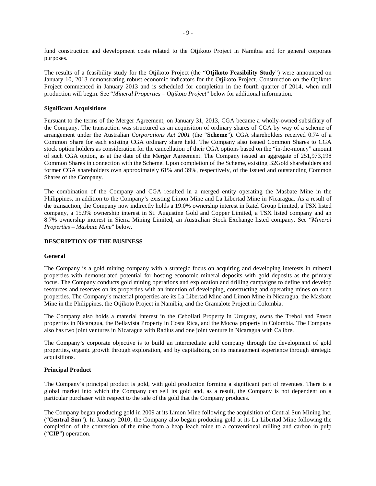fund construction and development costs related to the Otjikoto Project in Namibia and for general corporate purposes.

The results of a feasibility study for the Otjikoto Project (the "**Otjikoto Feasibility Study**") were announced on January 10, 2013 demonstrating robust economic indicators for the Otjikoto Project. Construction on the Otjikoto Project commenced in January 2013 and is scheduled for completion in the fourth quarter of 2014, when mill production will begin. See "*Mineral Properties – Otjikoto Project*" below for additional information.

# **Significant Acquisitions**

Pursuant to the terms of the Merger Agreement, on January 31, 2013, CGA became a wholly-owned subsidiary of the Company. The transaction was structured as an acquisition of ordinary shares of CGA by way of a scheme of arrangement under the Australian *Corporations Act 2001* (the "**Scheme**"). CGA shareholders received 0.74 of a Common Share for each existing CGA ordinary share held. The Company also issued Common Shares to CGA stock option holders as consideration for the cancellation of their CGA options based on the "in-the-money" amount of such CGA option, as at the date of the Merger Agreement. The Company issued an aggregate of 251,973,198 Common Shares in connection with the Scheme. Upon completion of the Scheme, existing B2Gold shareholders and former CGA shareholders own approximately 61% and 39%, respectively, of the issued and outstanding Common Shares of the Company.

The combination of the Company and CGA resulted in a merged entity operating the Masbate Mine in the Philippines, in addition to the Company's existing Limon Mine and La Libertad Mine in Nicaragua. As a result of the transaction, the Company now indirectly holds a 19.0% ownership interest in Ratel Group Limited, a TSX listed company, a 15.9% ownership interest in St. Augustine Gold and Copper Limited, a TSX listed company and an 8.7% ownership interest in Sierra Mining Limited, an Australian Stock Exchange listed company. See "*Mineral Properties – Masbate Mine*" below.

#### <span id="page-10-0"></span>**DESCRIPTION OF THE BUSINESS**

#### **General**

The Company is a gold mining company with a strategic focus on acquiring and developing interests in mineral properties with demonstrated potential for hosting economic mineral deposits with gold deposits as the primary focus. The Company conducts gold mining operations and exploration and drilling campaigns to define and develop resources and reserves on its properties with an intention of developing, constructing and operating mines on such properties. The Company's material properties are its La Libertad Mine and Limon Mine in Nicaragua, the Masbate Mine in the Philippines, the Otjikoto Project in Namibia, and the Gramalote Project in Colombia.

The Company also holds a material interest in the Cebollati Property in Uruguay, owns the Trebol and Pavon properties in Nicaragua, the Bellavista Property in Costa Rica, and the Mocoa property in Colombia. The Company also has two joint ventures in Nicaragua with Radius and one joint venture in Nicaragua with Calibre.

The Company's corporate objective is to build an intermediate gold company through the development of gold properties, organic growth through exploration, and by capitalizing on its management experience through strategic acquisitions.

# <span id="page-10-1"></span>**Principal Product**

The Company's principal product is gold, with gold production forming a significant part of revenues. There is a global market into which the Company can sell its gold and, as a result, the Company is not dependent on a particular purchaser with respect to the sale of the gold that the Company produces.

The Company began producing gold in 2009 at its Limon Mine following the acquisition of Central Sun Mining Inc. ("**Central Sun**"). In January 2010, the Company also began producing gold at its La Libertad Mine following the completion of the conversion of the mine from a heap leach mine to a conventional milling and carbon in pulp ("**CIP**") operation.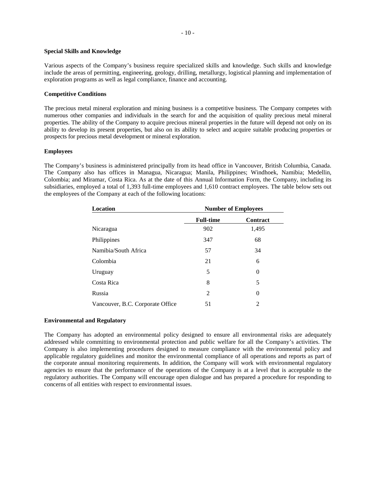#### <span id="page-11-0"></span>**Special Skills and Knowledge**

Various aspects of the Company's business require specialized skills and knowledge. Such skills and knowledge include the areas of permitting, engineering, geology, drilling, metallurgy, logistical planning and implementation of exploration programs as well as legal compliance, finance and accounting.

# <span id="page-11-1"></span>**Competitive Conditions**

The precious metal mineral exploration and mining business is a competitive business. The Company competes with numerous other companies and individuals in the search for and the acquisition of quality precious metal mineral properties. The ability of the Company to acquire precious mineral properties in the future will depend not only on its ability to develop its present properties, but also on its ability to select and acquire suitable producing properties or prospects for precious metal development or mineral exploration.

# <span id="page-11-2"></span>**Employees**

The Company's business is administered principally from its head office in Vancouver, British Columbia, Canada. The Company also has offices in Managua, Nicaragua; Manila, Philippines; Windhoek, Namibia; Medellin, Colombia; and Miramar, Costa Rica. As at the date of this Annual Information Form, the Company, including its subsidiaries, employed a total of 1,393 full-time employees and 1,610 contract employees. The table below sets out the employees of the Company at each of the following locations:

| Location                         |                  | <b>Number of Employees</b> |
|----------------------------------|------------------|----------------------------|
|                                  | <b>Full-time</b> | <b>Contract</b>            |
| Nicaragua                        | 902              | 1,495                      |
| Philippines                      | 347              | 68                         |
| Namibia/South Africa             | 57               | 34                         |
| Colombia                         | 21               | 6                          |
| Uruguay                          | 5                | $\theta$                   |
| Costa Rica                       | 8                | 5                          |
| Russia                           | 2                | $\theta$                   |
| Vancouver, B.C. Corporate Office | 51               | 2                          |

# **Environmental and Regulatory**

The Company has adopted an environmental policy designed to ensure all environmental risks are adequately addressed while committing to environmental protection and public welfare for all the Company's activities. The Company is also implementing procedures designed to measure compliance with the environmental policy and applicable regulatory guidelines and monitor the environmental compliance of all operations and reports as part of the corporate annual monitoring requirements. In addition, the Company will work with environmental regulatory agencies to ensure that the performance of the operations of the Company is at a level that is acceptable to the regulatory authorities. The Company will encourage open dialogue and has prepared a procedure for responding to concerns of all entities with respect to environmental issues.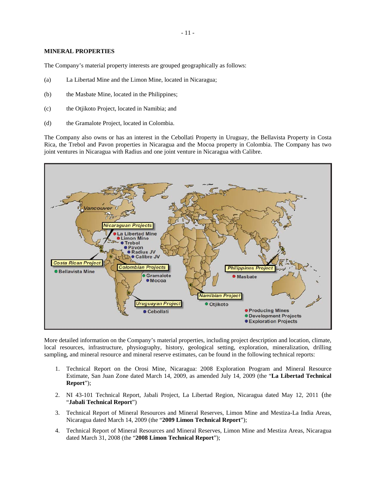# <span id="page-12-0"></span>**MINERAL PROPERTIES**

The Company's material property interests are grouped geographically as follows:

- (a) La Libertad Mine and the Limon Mine, located in Nicaragua;
- (b) the Masbate Mine, located in the Philippines;
- (c) the Otjikoto Project, located in Namibia; and
- (d) the Gramalote Project, located in Colombia.

The Company also owns or has an interest in the Cebollati Property in Uruguay, the Bellavista Property in Costa Rica, the Trebol and Pavon properties in Nicaragua and the Mocoa property in Colombia. The Company has two joint ventures in Nicaragua with Radius and one joint venture in Nicaragua with Calibre.



More detailed information on the Company's material properties, including project description and location, climate, local resources, infrastructure, physiography, history, geological setting, exploration, mineralization, drilling sampling, and mineral resource and mineral reserve estimates, can be found in the following technical reports:

- 1. Technical Report on the Orosi Mine, Nicaragua: 2008 Exploration Program and Mineral Resource Estimate, San Juan Zone dated March 14, 2009, as amended July 14, 2009 (the "**La Libertad Technical Report**");
- 2. NI 43-101 Technical Report, Jabali Project, La Libertad Region, Nicaragua dated May 12, 2011 (the "**Jabali Technical Report**")
- 3. Technical Report of Mineral Resources and Mineral Reserves, Limon Mine and Mestiza-La India Areas, Nicaragua dated March 14, 2009 (the "**2009 Limon Technical Report**");
- 4. Technical Report of Mineral Resources and Mineral Reserves, Limon Mine and Mestiza Areas, Nicaragua dated March 31, 2008 (the "**2008 Limon Technical Report**");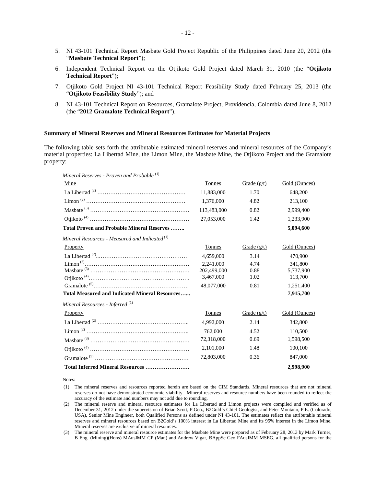- 5. NI 43-101 Technical Report Masbate Gold Project Republic of the Philippines dated June 20, 2012 (the "**Masbate Technical Report**");
- 6. Independent Technical Report on the Otjikoto Gold Project dated March 31, 2010 (the "**Otjikoto Technical Report**");
- 7. Otjikoto Gold Project NI 43-101 Technical Report Feasibility Study dated February 25, 2013 (the "**Otjikoto Feasibility Study**"); and
- 8. NI 43-101 Technical Report on Resources, Gramalote Project, Providencia, Colombia dated June 8, 2012 (the "**2012 Gramalote Technical Report**").

#### **Summary of Mineral Reserves and Mineral Resources Estimates for Material Projects**

The following table sets forth the attributable estimated mineral reserves and mineral resources of the Company's material properties: La Libertad Mine, the Limon Mine, the Masbate Mine, the Otjikoto Project and the Gramalote property:

| Mineral Reserves - Proven and Probable <sup>(1)</sup>          |             |               |               |
|----------------------------------------------------------------|-------------|---------------|---------------|
| Mine                                                           | Tonnes      | Grade $(g/t)$ | Gold (Ounces) |
|                                                                | 11,883,000  | 1.70          | 648,200       |
|                                                                | 1,376,000   | 4.82          | 213,100       |
|                                                                | 113,483,000 | 0.82          | 2,999,400     |
|                                                                | 27,053,000  | 1.42          | 1,233,900     |
| <b>Total Proven and Probable Mineral Reserves</b>              |             |               | 5.094.600     |
| Mineral Resources - Measured and Indicated $^{\left(1\right)}$ |             |               |               |
| Property                                                       | Tonnes      | Grade $(g/t)$ | Gold (Ounces) |
|                                                                | 4.659.000   | 3.14          | 470,900       |
| $Limon^{(2)} \dots 1$                                          | 2.241,000   | 4.74          | 341,800       |
|                                                                | 202,499,000 | 0.88          | 5.737.900     |
|                                                                | 3,467,000   | 1.02          | 113,700       |
|                                                                | 48,077,000  | 0.81          | 1,251,400     |
| <b>Total Measured and Indicated Mineral Resources</b>          |             |               | 7,915,700     |
| Mineral Resources - Inferred <sup>(1)</sup>                    |             |               |               |
| Property                                                       | Tonnes      | Grade $(g/t)$ | Gold (Ounces) |
|                                                                | 4,992,000   | 2.14          | 342,800       |
|                                                                | 762,000     | 4.52          | 110,500       |
|                                                                | 72,318,000  | 0.69          | 1,598,500     |
|                                                                | 2,101,000   | 1.48          | 100,100       |
|                                                                | 72,803,000  | 0.36          | 847,000       |
| Total Inferred Mineral Resources                               |             |               | 2.998.900     |

Notes:

- (1) The mineral reserves and resources reported herein are based on the CIM Standards. Mineral resources that are not mineral reserves do not have demonstrated economic viability. Mineral reserves and resource numbers have been rounded to reflect the accuracy of the estimate and numbers may not add due to rounding.
- (2) The mineral reserve and mineral resource estimates for La Libertad and Limon projects were compiled and verified as of December 31, 2012 under the supervision of Brian Scott, P.Geo., B2Gold's Chief Geologist, and Peter Montano, P.E. (Colorado, USA), Senior Mine Engineer, both Qualified Persons as defined under NI 43-101. The estimates reflect the attributable mineral reserves and mineral resources based on B2Gold's 100% interest in La Libertad Mine and its 95% interest in the Limon Mine. Mineral reserves are exclusive of mineral resources.
- (3) The mineral reserve and mineral resource estimates for the Masbate Mine were prepared as of February 28, 2013 by Mark Turner, B Eng. (Mining)(Hons) MAusIMM CP (Man) and Andrew Vigar, BAppSc Geo FAusIMM MSEG, all qualified persons for the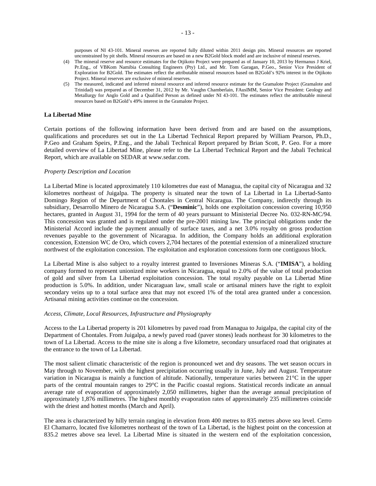purposes of NI 43-101. Mineral reserves are reported fully diluted within 2011 design pits. Mineral resources are reported unconstrained by pit shells. Mineral resources are based on a new B2Gold block model and are inclusive of mineral reserves.

- (4) The mineral reserve and resource estimates for the Otjikoto Project were prepared as of January 10, 2013 by Hermanus J Kriel, Pr.Eng., of VBKom Namibia Consulting Engineers (Pty) Ltd., and Mr. Tom Garagan, P.Geo., Senior Vice President of Exploration for B2Gold. The estimates reflect the attributable mineral resources based on B2Gold's 92% interest in the Otjikoto Project. Mineral reserves are exclusive of mineral reserves.
- (5) The measured, indicated and inferred mineral resource and inferred resource estimate for the Gramalote Project (Gramalote and Trinidad) was prepared as of December 31, 2012 by Mr. Vaughn Chamberlain, FAusIMM, Senior Vice President: Geology and Metallurgy for Anglo Gold and a Qualified Person as defined under NI 43-101. The estimates reflect the attributable mineral resources based on B2Gold's 49% interest in the Gramalote Project.

# <span id="page-14-0"></span>**La Libertad Mine**

Certain portions of the following information have been derived from and are based on the assumptions, qualifications and procedures set out in the La Libertad Technical Report prepared by William Pearson, Ph.D., P.Geo and Graham Speirs, P.Eng., and the Jabali Technical Report prepared by Brian Scott, P. Geo. For a more detailed overview of La Libertad Mine, please refer to the La Libertad Technical Report and the Jabali Technical Report, which are available on SEDAR at www.sedar.com.

#### *Property Description and Location*

La Libertad Mine is located approximately 110 kilometres due east of Managua, the capital city of Nicaragua and 32 kilometres northeast of Juigalpa. The property is situated near the town of La Libertad in La Libertad-Santo Domingo Region of the Department of Chontales in Central Nicaragua. The Company, indirectly through its subsidiary, Desarrollo Minero de Nicaragua S.A. ("**Desminic**"), holds one exploitation concession covering 10,950 hectares, granted in August 31, 1994 for the term of 40 years pursuant to Ministerial Decree No. 032-RN-MC/94. This concession was granted and is regulated under the pre-2001 mining law. The principal obligations under the Ministerial Accord include the payment annually of surface taxes, and a net 3.0% royalty on gross production revenues payable to the government of Nicaragua. In addition, the Company holds an additional exploration concession, Extension WC de Oro, which covers 2,704 hectares of the potential extension of a mineralized structure northwest of the exploitation concession. The exploitation and exploration concessions form one contiguous block.

La Libertad Mine is also subject to a royalty interest granted to Inversiones Mineras S.A. ("**IMISA**"), a holding company formed to represent unionized mine workers in Nicaragua, equal to 2.0% of the value of total production of gold and silver from La Libertad exploitation concession. The total royalty payable on La Libertad Mine production is 5.0%. In addition, under Nicaraguan law, small scale or artisanal miners have the right to exploit secondary veins up to a total surface area that may not exceed 1% of the total area granted under a concession. Artisanal mining activities continue on the concession.

#### *Access, Climate, Local Resources, Infrastructure and Physiography*

Access to the La Libertad property is 201 kilometres by paved road from Managua to Juigalpa, the capital city of the Department of Chontales. From Juigalpa, a newly paved road (paver stones) leads northeast for 30 kilometres to the town of La Libertad. Access to the mine site is along a five kilometre, secondary unsurfaced road that originates at the entrance to the town of La Libertad.

The most salient climatic characteristic of the region is pronounced wet and dry seasons. The wet season occurs in May through to November, with the highest precipitation occurring usually in June, July and August. Temperature variation in Nicaragua is mainly a function of altitude. Nationally, temperature varies between 21°C in the upper parts of the central mountain ranges to 29°C in the Pacific coastal regions. Statistical records indicate an annual average rate of evaporation of approximately 2,050 millimetres, higher than the average annual precipitation of approximately 1,876 millimetres. The highest monthly evaporation rates of approximately 235 millimetres coincide with the driest and hottest months (March and April).

The area is characterized by hilly terrain ranging in elevation from 400 metres to 835 metres above sea level. Cerro El Chamarro, located five kilometres northeast of the town of La Libertad, is the highest point on the concession at 835.2 metres above sea level. La Libertad Mine is situated in the western end of the exploitation concession,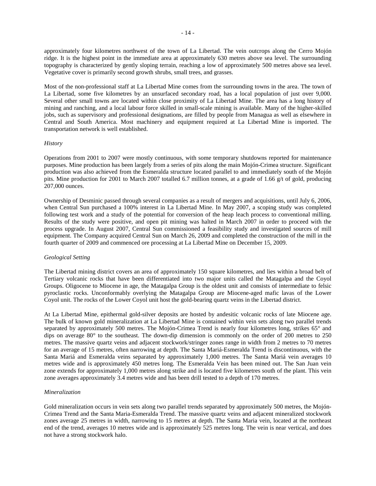approximately four kilometres northwest of the town of La Libertad. The vein outcrops along the Cerro Mojón ridge. It is the highest point in the immediate area at approximately 630 metres above sea level. The surrounding topography is characterized by gently sloping terrain, reaching a low of approximately 500 metres above sea level. Vegetative cover is primarily second growth shrubs, small trees, and grasses.

Most of the non-professional staff at La Libertad Mine comes from the surrounding towns in the area. The town of La Libertad, some five kilometres by an unsurfaced secondary road, has a local population of just over 9,000. Several other small towns are located within close proximity of La Libertad Mine. The area has a long history of mining and ranching, and a local labour force skilled in small-scale mining is available. Many of the higher-skilled jobs, such as supervisory and professional designations, are filled by people from Managua as well as elsewhere in Central and South America. Most machinery and equipment required at La Libertad Mine is imported. The transportation network is well established.

# *History*

Operations from 2001 to 2007 were mostly continuous, with some temporary shutdowns reported for maintenance purposes. Mine production has been largely from a series of pits along the main Mojón-Crimea structure. Significant production was also achieved from the Esmeralda structure located parallel to and immediately south of the Mojón pits. Mine production for 2001 to March 2007 totalled 6.7 million tonnes, at a grade of 1.66 g/t of gold, producing 207,000 ounces.

Ownership of Desminic passed through several companies as a result of mergers and acquisitions, until July 6, 2006, when Central Sun purchased a 100% interest in La Libertad Mine. In May 2007, a scoping study was completed following test work and a study of the potential for conversion of the heap leach process to conventional milling. Results of the study were positive, and open pit mining was halted in March 2007 in order to proceed with the process upgrade. In August 2007, Central Sun commissioned a feasibility study and investigated sources of mill equipment. The Company acquired Central Sun on March 26, 2009 and completed the construction of the mill in the fourth quarter of 2009 and commenced ore processing at La Libertad Mine on December 15, 2009.

# *Geological Setting*

The Libertad mining district covers an area of approximately 150 square kilometres, and lies within a broad belt of Tertiary volcanic rocks that have been differentiated into two major units called the Matagalpa and the Coyol Groups. Oligocene to Miocene in age, the Matagalpa Group is the oldest unit and consists of intermediate to felsic pyroclastic rocks. Unconformably overlying the Matagalpa Group are Miocene-aged mafic lavas of the Lower Coyol unit. The rocks of the Lower Coyol unit host the gold-bearing quartz veins in the Libertad district.

At La Libertad Mine, epithermal gold-silver deposits are hosted by andesitic volcanic rocks of late Miocene age. The bulk of known gold mineralization at La Libertad Mine is contained within vein sets along two parallel trends separated by approximately 500 metres. The Mojón-Crimea Trend is nearly four kilometres long, strikes 65° and dips on average 80° to the southeast. The down-dip dimension is commonly on the order of 200 metres to 250 metres. The massive quartz veins and adjacent stockwork/stringer zones range in width from 2 metres to 70 metres for an average of 15 metres, often narrowing at depth. The Santa Mariá-Esmeralda Trend is discontinuous, with the Santa Mariá and Esmeralda veins separated by approximately 1,000 metres. The Santa Mariá vein averages 10 metres wide and is approximately 450 metres long. The Esmeralda Vein has been mined out. The San Juan vein zone extends for approximately 1,000 metres along strike and is located five kilometres south of the plant. This vein zone averages approximately 3.4 metres wide and has been drill tested to a depth of 170 metres.

#### *Mineralization*

Gold mineralization occurs in vein sets along two parallel trends separated by approximately 500 metres, the Mojón-Crimea Trend and the Santa Maria-Esmeralda Trend. The massive quartz veins and adjacent mineralized stockwork zones average 25 metres in width, narrowing to 15 metres at depth. The Santa Maria vein, located at the northeast end of the trend, averages 10 metres wide and is approximately 525 metres long. The vein is near vertical, and does not have a strong stockwork halo.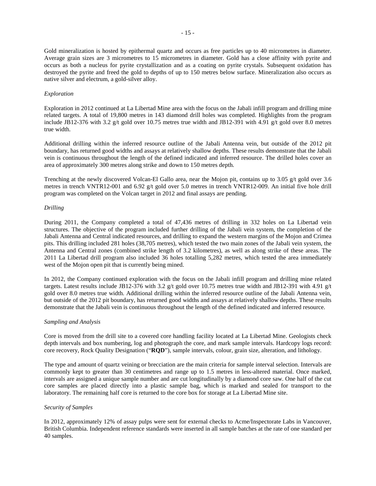Gold mineralization is hosted by epithermal quartz and occurs as free particles up to 40 micrometres in diameter. Average grain sizes are 3 micrometres to 15 micrometres in diameter. Gold has a close affinity with pyrite and occurs as both a nucleus for pyrite crystallization and as a coating on pyrite crystals. Subsequent oxidation has destroyed the pyrite and freed the gold to depths of up to 150 metres below surface. Mineralization also occurs as native silver and electrum, a gold-silver alloy.

#### *Exploration*

Exploration in 2012 continued at La Libertad Mine area with the focus on the Jabali infill program and drilling mine related targets. A total of 19,800 metres in 143 diamond drill holes was completed. Highlights from the program include JB12-376 with 3.2 g/t gold over 10.75 metres true width and JB12-391 with 4.91 g/t gold over 8.0 metres true width.

Additional drilling within the inferred resource outline of the Jabali Antenna vein, but outside of the 2012 pit boundary, has returned good widths and assays at relatively shallow depths. These results demonstrate that the Jabali vein is continuous throughout the length of the defined indicated and inferred resource. The drilled holes cover an area of approximately 300 metres along strike and down to 150 metres depth.

Trenching at the newly discovered Volcan-El Gallo area, near the Mojon pit, contains up to 3.05 g/t gold over 3.6 metres in trench VNTR12-001 and 6.92 g/t gold over 5.0 metres in trench VNTR12-009. An initial five hole drill program was completed on the Volcan target in 2012 and final assays are pending.

#### *Drilling*

During 2011, the Company completed a total of 47,436 metres of drilling in 332 holes on La Libertad vein structures. The objective of the program included further drilling of the Jabali vein system, the completion of the Jabali Antenna and Central indicated resources, and drilling to expand the western margins of the Mojon and Crimea pits. This drilling included 281 holes (38,705 metres), which tested the two main zones of the Jabali vein system, the Antenna and Central zones (combined strike length of 3.2 kilometres), as well as along strike of these areas. The 2011 La Libertad drill program also included 36 holes totalling 5,282 metres, which tested the area immediately west of the Mojon open pit that is currently being mined.

In 2012, the Company continued exploration with the focus on the Jabali infill program and drilling mine related targets. Latest results include JB12-376 with 3.2 g/t gold over 10.75 metres true width and JB12-391 with 4.91 g/t gold over 8.0 metres true width. Additional drilling within the inferred resource outline of the Jabali Antenna vein, but outside of the 2012 pit boundary, has returned good widths and assays at relatively shallow depths. These results demonstrate that the Jabali vein is continuous throughout the length of the defined indicated and inferred resource.

# *Sampling and Analysis*

Core is moved from the drill site to a covered core handling facility located at La Libertad Mine. Geologists check depth intervals and box numbering, log and photograph the core, and mark sample intervals. Hardcopy logs record: core recovery, Rock Quality Designation ("**RQD**"), sample intervals, colour, grain size, alteration, and lithology.

The type and amount of quartz veining or brecciation are the main criteria for sample interval selection. Intervals are commonly kept to greater than 30 centimetres and range up to 1.5 metres in less-altered material. Once marked, intervals are assigned a unique sample number and are cut longitudinally by a diamond core saw. One half of the cut core samples are placed directly into a plastic sample bag, which is marked and sealed for transport to the laboratory. The remaining half core is returned to the core box for storage at La Libertad Mine site.

# *Security of Samples*

In 2012, approximately 12% of assay pulps were sent for external checks to Acme/Inspectorate Labs in Vancouver, British Columbia. Independent reference standards were inserted in all sample batches at the rate of one standard per 40 samples.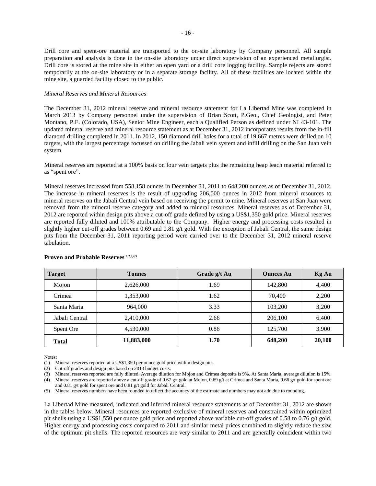Drill core and spent-ore material are transported to the on-site laboratory by Company personnel. All sample preparation and analysis is done in the on-site laboratory under direct supervision of an experienced metallurgist. Drill core is stored at the mine site in either an open yard or a drill core logging facility. Sample rejects are stored temporarily at the on-site laboratory or in a separate storage facility. All of these facilities are located within the mine site, a guarded facility closed to the public.

#### *Mineral Reserves and Mineral Resources*

The December 31, 2012 mineral reserve and mineral resource statement for La Libertad Mine was completed in March 2013 by Company personnel under the supervision of Brian Scott, P.Geo., Chief Geologist, and Peter Montano, P.E. (Colorado, USA), Senior Mine Engineer, each a Qualified Person as defined under NI 43-101. The updated mineral reserve and mineral resource statement as at December 31, 2012 incorporates results from the in-fill diamond drilling completed in 2011. In 2012, 150 diamond drill holes for a total of 19,667 metres were drilled on 10 targets, with the largest percentage focussed on drilling the Jabali vein system and infill drilling on the San Juan vein system.

Mineral reserves are reported at a 100% basis on four vein targets plus the remaining heap leach material referred to as "spent ore".

Mineral reserves increased from 558,158 ounces in December 31, 2011 to 648,200 ounces as of December 31, 2012. The increase in mineral reserves is the result of upgrading 206,000 ounces in 2012 from mineral resources to mineral reserves on the Jabali Central vein based on receiving the permit to mine. Mineral reserves at San Juan were removed from the mineral reserve category and added to mineral resources. Mineral reserves as of December 31, 2012 are reported within design pits above a cut-off grade defined by using a US\$1,350 gold price. Mineral reserves are reported fully diluted and 100% attributable to the Company. Higher energy and processing costs resulted in slightly higher cut-off grades between 0.69 and 0.81 g/t gold. With the exception of Jabali Central, the same design pits from the December 31, 2011 reporting period were carried over to the December 31, 2012 mineral reserve tabulation.

| <b>Target</b>  | <b>Tonnes</b> | Grade g/t Au | <b>Ounces Au</b> | <b>Kg Au</b> |
|----------------|---------------|--------------|------------------|--------------|
| Mojon          | 2,626,000     | 1.69         | 142.800          | 4,400        |
| Crimea         | 1,353,000     | 1.62         | 70,400           | 2,200        |
| Santa Maria    | 964,000       | 3.33         | 103,200          | 3,200        |
| Jabali Central | 2,410,000     | 2.66         | 206,100          | 6,400        |
| Spent Ore      | 4.530.000     | 0.86         | 125,700          | 3,900        |
| <b>Total</b>   | 11,883,000    | 1.70         | 648,200          | 20,100       |

#### Proven and Probable Reserves<sup>1,2,3,4,5</sup>

Notes:

(1) Mineral reserves reported at a US\$1,350 per ounce gold price within design pits.

(2) Cut-off grades and design pits based on 2013 budget costs.

(3) Mineral reserves reported are fully diluted. Average dilution for Mojon and Crimea deposits is 9%. At Santa Maria, average dilution is 15%. (4) Mineral reserves are reported above a cut-off grade of 0.67 g/t gold at Mojon, 0.69 g/t at Crimea and Santa Maria, 0.66 g/t gold for spent ore

and 0.81 g/t gold for spent ore and 0.81 g/t gold for Jabali Central.

(5) Mineral reserves numbers have been rounded to reflect the accuracy of the estimate and numbers may not add due to rounding.

La Libertad Mine measured, indicated and inferred mineral resource statements as of December 31, 2012 are shown in the tables below. Mineral resources are reported exclusive of mineral reserves and constrained within optimized pit shells using a US\$1,550 per ounce gold price and reported above variable cut-off grades of 0.58 to 0.76 g/t gold. Higher energy and processing costs compared to 2011 and similar metal prices combined to slightly reduce the size of the optimum pit shells. The reported resources are very similar to 2011 and are generally coincident within two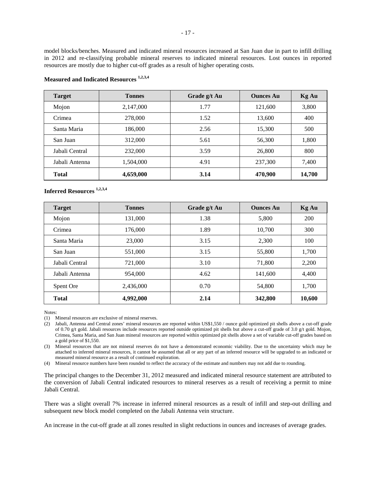model blocks/benches. Measured and indicated mineral resources increased at San Juan due in part to infill drilling in 2012 and re-classifying probable mineral reserves to indicated mineral resources. Lost ounces in reported resources are mostly due to higher cut-off grades as a result of higher operating costs.

| <b>Target</b>  | <b>Tonnes</b> | Grade g/t Au | <b>Ounces Au</b> | <b>Kg Au</b> |
|----------------|---------------|--------------|------------------|--------------|
| Mojon          | 2,147,000     | 1.77         | 121,600          | 3,800        |
| Crimea         | 278,000       | 1.52         | 13,600           | 400          |
| Santa Maria    | 186,000       | 2.56         | 15,300           | 500          |
| San Juan       | 312,000       | 5.61         | 56,300           | 1,800        |
| Jabali Central | 232,000       | 3.59         | 26,800           | 800          |
| Jabali Antenna | 1,504,000     | 4.91         | 237,300          | 7,400        |
| <b>Total</b>   | 4,659,000     | 3.14         | 470,900          | 14,700       |

# **Measured and Indicated Resources 1,2,3,4**

# **Inferred Resources 1,2,3,4**

| <b>Target</b>  | <b>Tonnes</b> | Grade g/t Au | <b>Ounces Au</b> | <b>Kg Au</b> |
|----------------|---------------|--------------|------------------|--------------|
| Mojon          | 131,000       | 1.38         | 5,800            | 200          |
| Crimea         | 176,000       | 1.89         | 10.700           | 300          |
| Santa Maria    | 23,000        | 3.15         | 2,300            | 100          |
| San Juan       | 551,000       | 3.15         | 55,800           | 1,700        |
| Jabali Central | 721,000       | 3.10         | 71,800           | 2,200        |
| Jabali Antenna | 954,000       | 4.62         | 141,600          | 4,400        |
| Spent Ore      | 2,436,000     | 0.70         | 54,800           | 1,700        |
| <b>Total</b>   | 4,992,000     | 2.14         | 342,800          | 10,600       |

Notes:

(3) Mineral resources that are not mineral reserves do not have a demonstrated economic viability. Due to the uncertainty which may be attached to inferred mineral resources, it cannot be assumed that all or any part of an inferred resource will be upgraded to an indicated or measured mineral resource as a result of continued exploration.

(4) Mineral resource numbers have been rounded to reflect the accuracy of the estimate and numbers may not add due to rounding.

The principal changes to the December 31, 2012 measured and indicated mineral resource statement are attributed to the conversion of Jabali Central indicated resources to mineral reserves as a result of receiving a permit to mine Jabali Central.

There was a slight overall 7% increase in inferred mineral resources as a result of infill and step-out drilling and subsequent new block model completed on the Jabali Antenna vein structure.

An increase in the cut-off grade at all zones resulted in slight reductions in ounces and increases of average grades.

<sup>(1)</sup> Mineral resources are exclusive of mineral reserves.

<sup>(2)</sup> Jabali, Antenna and Central zones' mineral resources are reported within US\$1,550 / ounce gold optimized pit shells above a cut-off grade of 0.70 g/t gold. Jabali resources include resources reported outside optimized pit shells but above a cut-off grade of 3.0 g/t gold. Mojon, Crimea, Santa Maria, and San Juan mineral resources are reported within optimized pit shells above a set of variable cut-off grades based on a gold price of \$1,550.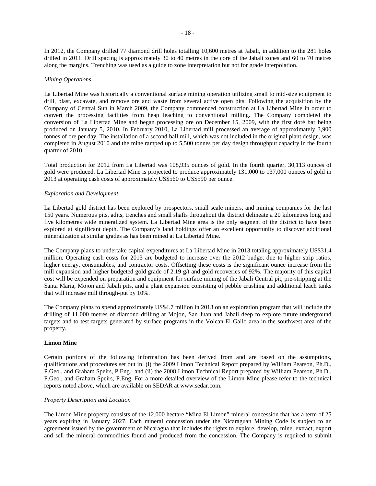In 2012, the Company drilled 77 diamond drill holes totalling 10,600 metres at Jabali, in addition to the 281 holes drilled in 2011. Drill spacing is approximately 30 to 40 metres in the core of the Jabali zones and 60 to 70 metres along the margins. Trenching was used as a guide to zone interpretation but not for grade interpolation.

# *Mining Operations*

La Libertad Mine was historically a conventional surface mining operation utilizing small to mid-size equipment to drill, blast, excavate, and remove ore and waste from several active open pits. Following the acquisition by the Company of Central Sun in March 2009, the Company commenced construction at La Libertad Mine in order to convert the processing facilities from heap leaching to conventional milling. The Company completed the conversion of La Libertad Mine and began processing ore on December 15, 2009, with the first doré bar being produced on January 5, 2010. In February 2010, La Libertad mill processed an average of approximately 3,900 tonnes of ore per day. The installation of a second ball mill, which was not included in the original plant design, was completed in August 2010 and the mine ramped up to 5,500 tonnes per day design throughput capacity in the fourth quarter of 2010.

Total production for 2012 from La Libertad was 108,935 ounces of gold. In the fourth quarter, 30,113 ounces of gold were produced. La Libertad Mine is projected to produce approximately 131,000 to 137,000 ounces of gold in 2013 at operating cash costs of approximately US\$560 to US\$590 per ounce.

#### *Exploration and Development*

La Libertad gold district has been explored by prospectors, small scale miners, and mining companies for the last 150 years. Numerous pits, adits, trenches and small shafts throughout the district delineate a 20 kilometres long and five kilometres wide mineralized system. La Libertad Mine area is the only segment of the district to have been explored at significant depth. The Company's land holdings offer an excellent opportunity to discover additional mineralization at similar grades as has been mined at La Libertad Mine.

The Company plans to undertake capital expenditures at La Libertad Mine in 2013 totaling approximately US\$31.4 million. Operating cash costs for 2013 are budgeted to increase over the 2012 budget due to higher strip ratios, higher energy, consumables, and contractor costs. Offsetting these costs is the significant ounce increase from the mill expansion and higher budgeted gold grade of 2.19 g/t and gold recoveries of 92%. The majority of this capital cost will be expended on preparation and equipment for surface mining of the Jabali Central pit, pre-stripping at the Santa Maria, Mojon and Jabali pits, and a plant expansion consisting of pebble crushing and additional leach tanks that will increase mill through-put by 10%.

The Company plans to spend approximately US\$4.7 million in 2013 on an exploration program that will include the drilling of 11,000 metres of diamond drilling at Mojon, San Juan and Jabali deep to explore future underground targets and to test targets generated by surface programs in the Volcan-El Gallo area in the southwest area of the property.

#### <span id="page-19-0"></span>**Limon Mine**

Certain portions of the following information has been derived from and are based on the assumptions, qualifications and procedures set out in: (i) the 2009 Limon Technical Report prepared by William Pearson, Ph.D., P.Geo., and Graham Speirs, P.Eng.; and (ii) the 2008 Limon Technical Report prepared by William Pearson, Ph.D., P.Geo., and Graham Speirs, P.Eng. For a more detailed overview of the Limon Mine please refer to the technical reports noted above, which are available on SEDAR at www.sedar.com.

#### *Property Description and Location*

The Limon Mine property consists of the 12,000 hectare "Mina El Limon" mineral concession that has a term of 25 years expiring in January 2027. Each mineral concession under the Nicaraguan Mining Code is subject to an agreement issued by the government of Nicaragua that includes the rights to explore, develop, mine, extract, export and sell the mineral commodities found and produced from the concession. The Company is required to submit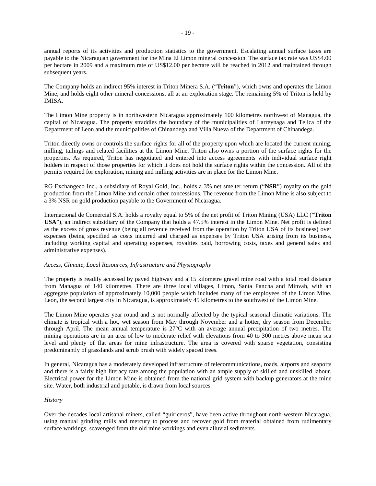annual reports of its activities and production statistics to the government. Escalating annual surface taxes are payable to the Nicaraguan government for the Mina El Limon mineral concession. The surface tax rate was US\$4.00 per hectare in 2009 and a maximum rate of US\$12.00 per hectare will be reached in 2012 and maintained through subsequent years.

The Company holds an indirect 95% interest in Triton Minera S.A. ("**Triton**"), which owns and operates the Limon Mine, and holds eight other mineral concessions, all at an exploration stage. The remaining 5% of Triton is held by IMISA**.**

The Limon Mine property is in northwestern Nicaragua approximately 100 kilometres northwest of Managua, the capital of Nicaragua. The property straddles the boundary of the municipalities of Larreynaga and Telica of the Department of Leon and the municipalities of Chinandega and Villa Nueva of the Department of Chinandega.

Triton directly owns or controls the surface rights for all of the property upon which are located the current mining, milling, tailings and related facilities at the Limon Mine. Triton also owns a portion of the surface rights for the properties. As required, Triton has negotiated and entered into access agreements with individual surface right holders in respect of those properties for which it does not hold the surface rights within the concession. All of the permits required for exploration, mining and milling activities are in place for the Limon Mine.

RG Exchangeco Inc., a subsidiary of Royal Gold, Inc., holds a 3% net smelter return ("**NSR**") royalty on the gold production from the Limon Mine and certain other concessions. The revenue from the Limon Mine is also subject to a 3% NSR on gold production payable to the Government of Nicaragua.

Internacional de Comercial S.A. holds a royalty equal to 5% of the net profit of Triton Mining (USA) LLC ("**Triton USA**"), an indirect subsidiary of the Company that holds a 47.5% interest in the Limon Mine. Net profit is defined as the excess of gross revenue (being all revenue received from the operation by Triton USA of its business) over expenses (being specified as costs incurred and charged as expenses by Triton USA arising from its business, including working capital and operating expenses, royalties paid, borrowing costs, taxes and general sales and administrative expenses).

# *Access, Climate, Local Resources, Infrastructure and Physiography*

The property is readily accessed by paved highway and a 15 kilometre gravel mine road with a total road distance from Managua of 140 kilometres. There are three local villages, Limon, Santa Pancha and Minvah, with an aggregate population of approximately 10,000 people which includes many of the employees of the Limon Mine. Leon, the second largest city in Nicaragua, is approximately 45 kilometres to the southwest of the Limon Mine.

The Limon Mine operates year round and is not normally affected by the typical seasonal climatic variations. The climate is tropical with a hot, wet season from May through November and a hotter, dry season from December through April. The mean annual temperature is 27°C with an average annual precipitation of two metres. The mining operations are in an area of low to moderate relief with elevations from 40 to 300 metres above mean sea level and plenty of flat areas for mine infrastructure. The area is covered with sparse vegetation, consisting predominantly of grasslands and scrub brush with widely spaced trees.

In general, Nicaragua has a moderately developed infrastructure of telecommunications, roads, airports and seaports and there is a fairly high literacy rate among the population with an ample supply of skilled and unskilled labour. Electrical power for the Limon Mine is obtained from the national grid system with backup generators at the mine site. Water, both industrial and potable, is drawn from local sources.

# *History*

Over the decades local artisanal miners, called "guiriceros", have been active throughout north-western Nicaragua, using manual grinding mills and mercury to process and recover gold from material obtained from rudimentary surface workings, scavenged from the old mine workings and even alluvial sediments.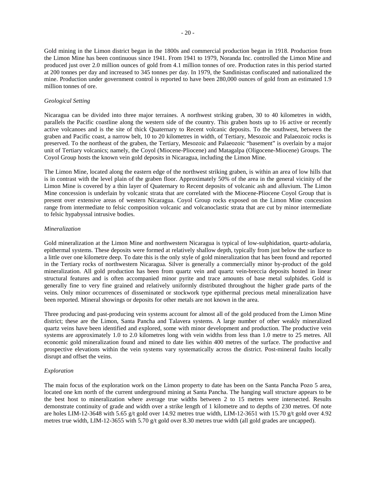Gold mining in the Limon district began in the 1800s and commercial production began in 1918. Production from the Limon Mine has been continuous since 1941. From 1941 to 1979, Noranda Inc. controlled the Limon Mine and produced just over 2.0 million ounces of gold from 4.1 million tonnes of ore. Production rates in this period started at 200 tonnes per day and increased to 345 tonnes per day. In 1979, the Sandinistas confiscated and nationalized the mine. Production under government control is reported to have been 280,000 ounces of gold from an estimated 1.9 million tonnes of ore.

# *Geological Setting*

Nicaragua can be divided into three major terraines. A northwest striking graben, 30 to 40 kilometres in width, parallels the Pacific coastline along the western side of the country. This graben hosts up to 16 active or recently active volcanoes and is the site of thick Quaternary to Recent volcanic deposits. To the southwest, between the graben and Pacific coast, a narrow belt, 10 to 20 kilometres in width, of Tertiary, Mesozoic and Palaeozoic rocks is preserved. To the northeast of the graben, the Tertiary, Mesozoic and Palaeozoic "basement" is overlain by a major unit of Tertiary volcanics; namely, the Coyol (Miocene-Pliocene) and Matagalpa (Oligocene-Miocene) Groups. The Coyol Group hosts the known vein gold deposits in Nicaragua, including the Limon Mine.

The Limon Mine, located along the eastern edge of the northwest striking graben, is within an area of low hills that is in contrast with the level plain of the graben floor. Approximately 50% of the area in the general vicinity of the Limon Mine is covered by a thin layer of Quaternary to Recent deposits of volcanic ash and alluvium. The Limon Mine concession is underlain by volcanic strata that are correlated with the Miocene-Pliocene Coyol Group that is present over extensive areas of western Nicaragua. Coyol Group rocks exposed on the Limon Mine concession range from intermediate to felsic composition volcanic and volcanoclastic strata that are cut by minor intermediate to felsic hypabyssal intrusive bodies.

#### *Mineralization*

Gold mineralization at the Limon Mine and northwestern Nicaragua is typical of low-sulphidation, quartz-adularia, epithermal systems. These deposits were formed at relatively shallow depth, typically from just below the surface to a little over one kilometre deep. To date this is the only style of gold mineralization that has been found and reported in the Tertiary rocks of northwestern Nicaragua. Silver is generally a commercially minor by-product of the gold mineralization. All gold production has been from quartz vein and quartz vein-breccia deposits hosted in linear structural features and is often accompanied minor pyrite and trace amounts of base metal sulphides. Gold is generally fine to very fine grained and relatively uniformly distributed throughout the higher grade parts of the veins. Only minor occurrences of disseminated or stockwork type epithermal precious metal mineralization have been reported. Mineral showings or deposits for other metals are not known in the area.

Three producing and past-producing vein systems account for almost all of the gold produced from the Limon Mine district; these are the Limon, Santa Pancha and Talavera systems. A large number of other weakly mineralized quartz veins have been identified and explored, some with minor development and production. The productive vein systems are approximately 1.0 to 2.0 kilometres long with vein widths from less than 1.0 metre to 25 metres. All economic gold mineralization found and mined to date lies within 400 metres of the surface. The productive and prospective elevations within the vein systems vary systematically across the district. Post-mineral faults locally disrupt and offset the veins.

# *Exploration*

The main focus of the exploration work on the Limon property to date has been on the Santa Pancha Pozo 5 area, located one km north of the current underground mining at Santa Pancha. The hanging wall structure appears to be the best host to mineralization where average true widths between 2 to 15 metres were intersected. Results demonstrate continuity of grade and width over a strike length of 1 kilometre and to depths of 230 metres. Of note are holes LIM-12-3648 with 5.65 g/t gold over 14.92 metres true width, LIM-12-3651 with 15.70 g/t gold over 4.92 metres true width, LIM-12-3655 with 5.70 g/t gold over 8.30 metres true width (all gold grades are uncapped).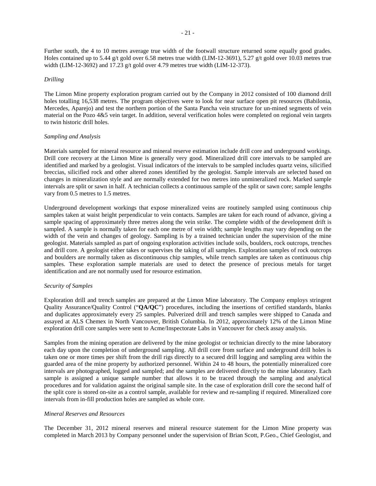Further south, the 4 to 10 metres average true width of the footwall structure returned some equally good grades. Holes contained up to 5.44 g/t gold over 6.58 metres true width (LIM-12-3691), 5.27 g/t gold over 10.03 metres true width (LIM-12-3692) and 17.23 g/t gold over 4.79 metres true width (LIM-12-373).

#### *Drilling*

The Limon Mine property exploration program carried out by the Company in 2012 consisted of 100 diamond drill holes totalling 16,538 metres. The program objectives were to look for near surface open pit resources (Babilonia, Mercedes, Aparejo) and test the northern portion of the Santa Pancha vein structure for un-mined segments of vein material on the Pozo 4&5 vein target. In addition, several verification holes were completed on regional vein targets to twin historic drill holes.

#### *Sampling and Analysis*

Materials sampled for mineral resource and mineral reserve estimation include drill core and underground workings. Drill core recovery at the Limon Mine is generally very good. Mineralized drill core intervals to be sampled are identified and marked by a geologist. Visual indicators of the intervals to be sampled includes quartz veins, silicified breccias, silicified rock and other altered zones identified by the geologist. Sample intervals are selected based on changes in mineralization style and are normally extended for two metres into unmineralized rock. Marked sample intervals are split or sawn in half. A technician collects a continuous sample of the split or sawn core; sample lengths vary from 0.5 metres to 1.5 metres.

Underground development workings that expose mineralized veins are routinely sampled using continuous chip samples taken at waist height perpendicular to vein contacts. Samples are taken for each round of advance, giving a sample spacing of approximately three metres along the vein strike. The complete width of the development drift is sampled. A sample is normally taken for each one metre of vein width; sample lengths may vary depending on the width of the vein and changes of geology. Sampling is by a trained technician under the supervision of the mine geologist. Materials sampled as part of ongoing exploration activities include soils, boulders, rock outcrops, trenches and drill core. A geologist either takes or supervises the taking of all samples. Exploration samples of rock outcrops and boulders are normally taken as discontinuous chip samples, while trench samples are taken as continuous chip samples. These exploration sample materials are used to detect the presence of precious metals for target identification and are not normally used for resource estimation.

#### *Security of Samples*

Exploration drill and trench samples are prepared at the Limon Mine laboratory. The Company employs stringent Quality Assurance/Quality Control ("**QA/QC**") procedures, including the insertions of certified standards, blanks and duplicates approximately every 25 samples. Pulverized drill and trench samples were shipped to Canada and assayed at ALS Chemex in North Vancouver, British Columbia. In 2012, approximately 12% of the Limon Mine exploration drill core samples were sent to Acme/Inspectorate Labs in Vancouver for check assay analysis.

Samples from the mining operation are delivered by the mine geologist or technician directly to the mine laboratory each day upon the completion of underground sampling. All drill core from surface and underground drill holes is taken one or more times per shift from the drill rigs directly to a secured drill logging and sampling area within the guarded area of the mine property by authorized personnel. Within 24 to 48 hours, the potentially mineralized core intervals are photographed, logged and sampled; and the samples are delivered directly to the mine laboratory. Each sample is assigned a unique sample number that allows it to be traced through the sampling and analytical procedures and for validation against the original sample site. In the case of exploration drill core the second half of the split core is stored on-site as a control sample, available for review and re-sampling if required. Mineralized core intervals from in-fill production holes are sampled as whole core.

#### *Mineral Reserves and Resources*

The December 31, 2012 mineral reserves and mineral resource statement for the Limon Mine property was completed in March 2013 by Company personnel under the supervision of Brian Scott, P.Geo., Chief Geologist, and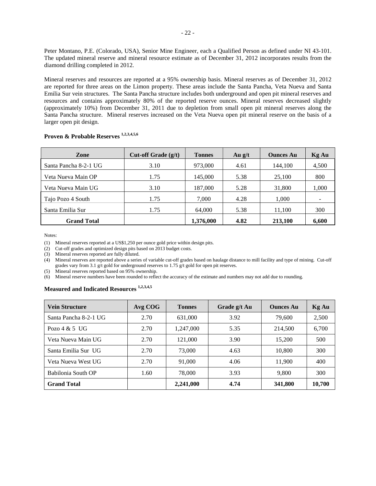Peter Montano, P.E. (Colorado, USA), Senior Mine Engineer, each a Qualified Person as defined under NI 43-101. The updated mineral reserve and mineral resource estimate as of December 31, 2012 incorporates results from the diamond drilling completed in 2012.

Mineral reserves and resources are reported at a 95% ownership basis. Mineral reserves as of December 31, 2012 are reported for three areas on the Limon property. These areas include the Santa Pancha, Veta Nueva and Santa Emilia Sur vein structures. The Santa Pancha structure includes both underground and open pit mineral reserves and resources and contains approximately 80% of the reported reserve ounces. Mineral reserves decreased slightly (approximately 10%) from December 31, 2011 due to depletion from small open pit mineral reserves along the Santa Pancha structure. Mineral reserves increased on the Veta Nueva open pit mineral reserve on the basis of a larger open pit design.

| <b>Zone</b>           | Cut-off Grade $(g/t)$ | <b>Tonnes</b> | Au $g/t$ | <b>Ounces Au</b> | <b>Kg Au</b> |
|-----------------------|-----------------------|---------------|----------|------------------|--------------|
| Santa Pancha 8-2-1 UG | 3.10                  | 973,000       | 4.61     | 144,100          | 4,500        |
| Veta Nueva Main OP    | 1.75                  | 145,000       | 5.38     | 25,100           | 800          |
| Veta Nueva Main UG    | 3.10                  | 187,000       | 5.28     | 31,800           | 1,000        |
| Tajo Pozo 4 South     | 1.75                  | 7,000         | 4.28     | 1,000            |              |
| Santa Emilia Sur      | 1.75                  | 64,000        | 5.38     | 11,100           | 300          |
| <b>Grand Total</b>    |                       | 1,376,000     | 4.82     | 213,100          | 6,600        |

# **Proven & Probable Reserves 1,2,3,4,5,6**

Notes:

(1) Mineral reserves reported at a US\$1,250 per ounce gold price within design pits.

(2) Cut-off grades and optimized design pits based on 2013 budget costs.

(3) Mineral reserves reported are fully diluted.

(4) Mineral reserves are reported above a series of variable cut-off grades based on haulage distance to mill facility and type of mining. Cut-off grades vary from 3.1 g/t gold for underground reserves to 1.75 g/t gold for open pit reserves.

(5) Mineral reserves reported based on 95% ownership.

(6) Mineral reserve numbers have been rounded to reflect the accuracy of the estimate and numbers may not add due to rounding.

# **Measured and Indicated Resources 1,2,3,4,5**

| <b>Vein Structure</b> | Avg COG | <b>Tonnes</b> | Grade g/t Au | <b>Ounces Au</b> | <b>Kg Au</b> |
|-----------------------|---------|---------------|--------------|------------------|--------------|
| Santa Pancha 8-2-1 UG | 2.70    | 631,000       | 3.92         | 79,600           | 2,500        |
| Pozo $4 \& 5$ UG      | 2.70    | 1,247,000     | 5.35         | 214,500          | 6,700        |
| Veta Nueva Main UG    | 2.70    | 121,000       | 3.90         | 15.200           | 500          |
| Santa Emilia Sur UG   | 2.70    | 73,000        | 4.63         | 10,800           | 300          |
| Veta Nueva West UG    | 2.70    | 91,000        | 4.06         | 11,900           | 400          |
| Babilonia South OP    | 1.60    | 78,000        | 3.93         | 9.800            | 300          |
| <b>Grand Total</b>    |         | 2,241,000     | 4.74         | 341,800          | 10,700       |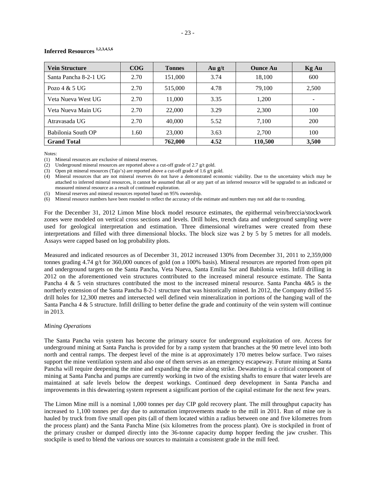| Inferred Resources 1,2,3,4,5,6 |  |
|--------------------------------|--|
|--------------------------------|--|

| <b>Vein Structure</b> | COG  | <b>Tonnes</b> | Au $g/t$ | <b>Ounce Au</b> | Kg Au                    |
|-----------------------|------|---------------|----------|-----------------|--------------------------|
| Santa Pancha 8-2-1 UG | 2.70 | 151,000       | 3.74     | 18,100          | 600                      |
| Pozo $4 & 5$ UG       | 2.70 | 515,000       | 4.78     | 79.100          | 2,500                    |
| Veta Nueva West UG    | 2.70 | 11,000        | 3.35     | 1.200           | $\overline{\phantom{a}}$ |
| Veta Nueva Main UG    | 2.70 | 22,000        | 3.29     | 2,300           | 100                      |
| Atravasada UG         | 2.70 | 40,000        | 5.52     | 7.100           | 200                      |
| Babilonia South OP    | 1.60 | 23,000        | 3.63     | 2.700           | 100                      |
| <b>Grand Total</b>    |      | 762,000       | 4.52     | 110,500         | 3,500                    |

Notes:

(1) Mineral resources are exclusive of mineral reserves.

(2) Underground mineral resources are reported above a cut-off grade of 2.7 g/t gold.

(3) Open pit mineral resources (Tajo's) are reported above a cut-off grade of 1.6 g/t gold.

(4) Mineral resources that are not mineral reserves do not have a demonstrated economic viability. Due to the uncertainty which may be attached to inferred mineral resources, it cannot be assumed that all or any part of an inferred resource will be upgraded to an indicated or measured mineral resource as a result of continued exploration.

(5) Mineral reserves and mineral resources reported based on 95% ownership.

(6) Mineral resource numbers have been rounded to reflect the accuracy of the estimate and numbers may not add due to rounding.

For the December 31, 2012 Limon Mine block model resource estimates, the epithermal vein/breccia/stockwork zones were modeled on vertical cross sections and levels. Drill holes, trench data and underground sampling were used for geological interpretation and estimation. Three dimensional wireframes were created from these interpretations and filled with three dimensional blocks. The block size was 2 by 5 by 5 metres for all models. Assays were capped based on log probability plots.

Measured and indicated resources as of December 31, 2012 increased 130% from December 31, 2011 to 2,359,000 tonnes grading 4.74 g/t for 360,000 ounces of gold (on a 100% basis). Mineral resources are reported from open pit and underground targets on the Santa Pancha, Veta Nueva, Santa Emilia Sur and Babilonia veins. Infill drilling in 2012 on the aforementioned vein structures contributed to the increased mineral resource estimate. The Santa Pancha 4 & 5 vein structures contributed the most to the increased mineral resource. Santa Pancha 4&5 is the northerly extension of the Santa Pancha 8-2-1 structure that was historically mined. In 2012, the Company drilled 55 drill holes for 12,300 metres and intersected well defined vein mineralization in portions of the hanging wall of the Santa Pancha  $4 \& 5$  structure. Infill drilling to better define the grade and continuity of the vein system will continue in 2013.

#### *Mining Operations*

The Santa Pancha vein system has become the primary source for underground exploitation of ore. Access for underground mining at Santa Pancha is provided for by a ramp system that branches at the 90 metre level into both north and central ramps. The deepest level of the mine is at approximately 170 metres below surface. Two raises support the mine ventilation system and also one of them serves as an emergency escapeway. Future mining at Santa Pancha will require deepening the mine and expanding the mine along strike. Dewatering is a critical component of mining at Santa Pancha and pumps are currently working in two of the existing shafts to ensure that water levels are maintained at safe levels below the deepest workings. Continued deep development in Santa Pancha and improvements in this dewatering system represent a significant portion of the capital estimate for the next few years.

The Limon Mine mill is a nominal 1,000 tonnes per day CIP gold recovery plant. The mill throughput capacity has increased to 1,100 tonnes per day due to automation improvements made to the mill in 2011. Run of mine ore is hauled by truck from five small open pits (all of them located within a radius between one and five kilometres from the process plant) and the Santa Pancha Mine (six kilometres from the process plant). Ore is stockpiled in front of the primary crusher or dumped directly into the 36-tonne capacity dump hopper feeding the jaw crusher. This stockpile is used to blend the various ore sources to maintain a consistent grade in the mill feed.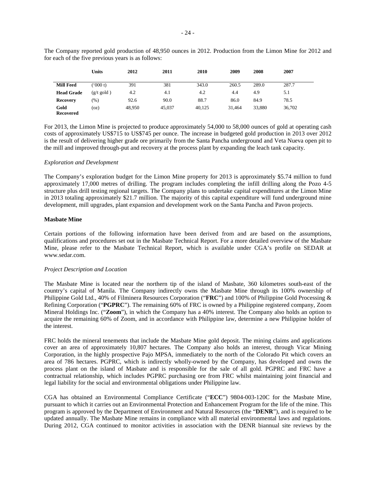|                   | <b>Units</b>         | 2012   | 2011   | 2010   | 2009   | 2008   | 2007   |  |
|-------------------|----------------------|--------|--------|--------|--------|--------|--------|--|
| <b>Mill Feed</b>  | (000t)               | 391    | 381    | 343.0  | 260.5  | 289.0  | 287.7  |  |
| <b>Head Grade</b> | $(g/t \text{ gold})$ | 4.2    | 4.1    | 4.2    | 4.4    | 4.9    | 5.1    |  |
| <b>Recovery</b>   | $(\%)$               | 92.6   | 90.0   | 88.7   | 86.0   | 84.9   | 78.5   |  |
| Gold<br>Recovered | (oz)                 | 48,950 | 45,037 | 40,125 | 31,464 | 33,880 | 36,702 |  |

The Company reported gold production of 48,950 ounces in 2012. Production from the Limon Mine for 2012 and for each of the five previous years is as follows:

For 2013, the Limon Mine is projected to produce approximately 54,000 to 58,000 ounces of gold at operating cash costs of approximately US\$715 to US\$745 per ounce. The increase in budgeted gold production in 2013 over 2012 is the result of delivering higher grade ore primarily from the Santa Pancha underground and Veta Nueva open pit to the mill and improved through-put and recovery at the process plant by expanding the leach tank capacity.

# *Exploration and Development*

The Company's exploration budget for the Limon Mine property for 2013 is approximately \$5.74 million to fund approximately 17,000 metres of drilling. The program includes completing the infill drilling along the Pozo 4-5 structure plus drill testing regional targets. The Company plans to undertake capital expenditures at the Limon Mine in 2013 totaling approximately \$21.7 million. The majority of this capital expenditure will fund underground mine development, mill upgrades, plant expansion and development work on the Santa Pancha and Pavon projects.

#### <span id="page-25-0"></span>**Masbate Mine**

Certain portions of the following information have been derived from and are based on the assumptions, qualifications and procedures set out in the Masbate Technical Report. For a more detailed overview of the Masbate Mine, please refer to the Masbate Technical Report, which is available under CGA's profile on SEDAR at [www.sedar.com.](http://www.sedar.com/)

# *Project Description and Location*

The Masbate Mine is located near the northern tip of the island of Masbate, 360 kilometres south-east of the country's capital of Manila. The Company indirectly owns the Masbate Mine through its 100% ownership of Philippine Gold Ltd., 40% of Filminera Resources Corporation ("**FRC**") and 100% of Philippine Gold Processing & Refining Corporation ("**PGPRC**"). The remaining 60% of FRC is owned by a Philippine registered company, Zoom Mineral Holdings Inc. ("**Zoom**"), in which the Company has a 40% interest. The Company also holds an option to acquire the remaining 60% of Zoom, and in accordance with Philippine law, determine a new Philippine holder of the interest.

FRC holds the mineral tenements that include the Masbate Mine gold deposit. The mining claims and applications cover an area of approximately 10,807 hectares. The Company also holds an interest, through Vicar Mining Corporation, in the highly prospective Pajo MPSA, immediately to the north of the Colorado Pit which covers an area of 786 hectares. PGPRC, which is indirectly wholly-owned by the Company, has developed and owns the process plant on the island of Masbate and is responsible for the sale of all gold. PGPRC and FRC have a contractual relationship, which includes PGPRC purchasing ore from FRC whilst maintaining joint financial and legal liability for the social and environmental obligations under Philippine law.

CGA has obtained an Environmental Compliance Certificate ("**ECC**") 9804-003-120C for the Masbate Mine, pursuant to which it carries out an Environmental Protection and Enhancement Program for the life of the mine. This program is approved by the Department of Environment and Natural Resources (the "**DENR**"), and is required to be updated annually. The Masbate Mine remains in compliance with all material environmental laws and regulations. During 2012, CGA continued to monitor activities in association with the DENR biannual site reviews by the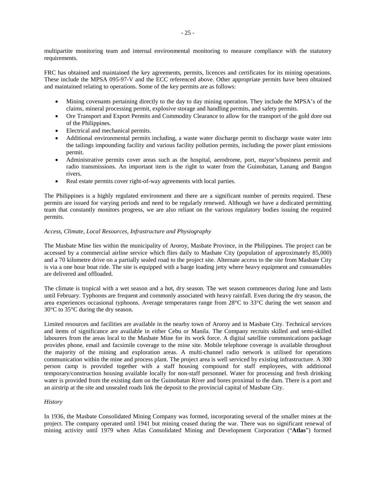multipartite monitoring team and internal environmental monitoring to measure compliance with the statutory requirements.

FRC has obtained and maintained the key agreements, permits, licences and certificates for its mining operations. These include the MPSA 095-97-V and the ECC referenced above. Other appropriate permits have been obtained and maintained relating to operations. Some of the key permits are as follows:

- Mining covenants pertaining directly to the day to day mining operation. They include the MPSA's of the claims, mineral processing permit, explosive storage and handling permits, and safety permits.
- Ore Transport and Export Permits and Commodity Clearance to allow for the transport of the gold dore out of the Philippines.
- Electrical and mechanical permits.
- Additional environmental permits including, a waste water discharge permit to discharge waste water into the tailings impounding facility and various facility pollution permits, including the power plant emissions permit.
- Administrative permits cover areas such as the hospital, aerodrome, port, mayor's/business permit and radio transmissions. An important item is the right to water from the Guinobatan, Lanang and Bangon rivers.
- Real estate permits cover right-of-way agreements with local parties.

The Philippines is a highly regulated environment and there are a significant number of permits required. These permits are issued for varying periods and need to be regularly renewed. Although we have a dedicated permitting team that constantly monitors progress, we are also reliant on the various regulatory bodies issuing the required permits.

# *Access, Climate, Local Resources, Infrastructure and Physiography*

The Masbate Mine lies within the municipality of Aroroy, Masbate Province, in the Philippines. The project can be accessed by a commercial airline service which flies daily to Masbate City (population of approximately 85,000) and a 70 kilometre drive on a partially sealed road to the project site. Alternate access to the site from Masbate City is via a one hour boat ride. The site is equipped with a barge loading jetty where heavy equipment and consumables are delivered and offloaded.

The climate is tropical with a wet season and a hot, dry season. The wet season commences during June and lasts until February. Typhoons are frequent and commonly associated with heavy rainfall. Even during the dry season, the area experiences occasional typhoons. Average temperatures range from 28°C to 33°C during the wet season and 30°C to 35°C during the dry season.

Limited resources and facilities are available in the nearby town of Aroroy and in Masbate City. Technical services and items of significance are available in either Cebu or Manila. The Company recruits skilled and semi-skilled labourers from the areas local to the Masbate Mine for its work force. A digital satellite communications package provides phone, email and facsimile coverage to the mine site. Mobile telephone coverage is available throughout the majority of the mining and exploration areas. A multi-channel radio network is utilised for operations communication within the mine and process plant. The project area is well serviced by existing infrastructure. A 300 person camp is provided together with a staff housing compound for staff employees, with additional temporary/construction housing available locally for non-staff personnel. Water for processing and fresh drinking water is provided from the existing dam on the Guinobatan River and bores proximal to the dam. There is a port and an airstrip at the site and unsealed roads link the deposit to the provincial capital of Masbate City.

# *History*

In 1936, the Masbate Consolidated Mining Company was formed, incorporating several of the smaller mines at the project. The company operated until 1941 but mining ceased during the war. There was no significant renewal of mining activity until 1979 when Atlas Consolidated Mining and Development Corporation ("**Atlas**") formed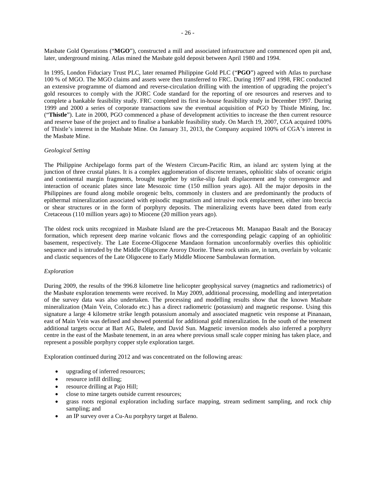Masbate Gold Operations ("**MGO**"), constructed a mill and associated infrastructure and commenced open pit and, later, underground mining. Atlas mined the Masbate gold deposit between April 1980 and 1994.

In 1995, London Fiduciary Trust PLC, later renamed Philippine Gold PLC ("**PGO**") agreed with Atlas to purchase 100 % of MGO. The MGO claims and assets were then transferred to FRC. During 1997 and 1998, FRC conducted an extensive programme of diamond and reverse-circulation drilling with the intention of upgrading the project's gold resources to comply with the JORC Code standard for the reporting of ore resources and reserves and to complete a bankable feasibility study. FRC completed its first in-house feasibility study in December 1997. During 1999 and 2000 a series of corporate transactions saw the eventual acquisition of PGO by Thistle Mining, Inc. ("**Thistle**"). Late in 2000, PGO commenced a phase of development activities to increase the then current resource and reserve base of the project and to finalise a bankable feasibility study. On March 19, 2007, CGA acquired 100% of Thistle's interest in the Masbate Mine. On January 31, 2013, the Company acquired 100% of CGA's interest in the Masbate Mine.

# *Geological Setting*

The Philippine Archipelago forms part of the Western Circum-Pacific Rim, an island arc system lying at the junction of three crustal plates. It is a complex agglomeration of discrete terranes, ophiolitic slabs of oceanic origin and continental margin fragments, brought together by strike-slip fault displacement and by convergence and interaction of oceanic plates since late Mesozoic time (150 million years ago). All the major deposits in the Philippines are found along mobile orogenic belts, commonly in clusters and are predominantly the products of epithermal mineralization associated with episodic magmatism and intrusive rock emplacement, either into breccia or shear structures or in the form of porphyry deposits. The mineralizing events have been dated from early Cretaceous (110 million years ago) to Miocene (20 million years ago).

The oldest rock units recognized in Masbate Island are the pre-Cretaceous Mt. Manapao Basalt and the Boracay formation, which represent deep marine volcanic flows and the corresponding pelagic capping of an ophiolitic basement, respectively. The Late Eocene-Oligocene Mandaon formation unconformably overlies this ophiolitic sequence and is intruded by the Middle Oligocene Aroroy Diorite. These rock units are, in turn, overlain by volcanic and clastic sequences of the Late Oligocene to Early Middle Miocene Sambulawan formation.

# *Exploration*

During 2009, the results of the 996.8 kilometre line helicopter geophysical survey (magnetics and radiometrics) of the Masbate exploration tenements were received. In May 2009, additional processing, modelling and interpretation of the survey data was also undertaken. The processing and modelling results show that the known Masbate mineralization (Main Vein, Colorado etc.) has a direct radiometric (potassium) and magnetic response. Using this signature a large 4 kilometre strike length potassium anomaly and associated magnetic vein response at Pinanaan, east of Main Vein was defined and showed potential for additional gold mineralization. In the south of the tenement additional targets occur at Bart AG, Balete, and David Sun. Magnetic inversion models also inferred a porphyry centre in the east of the Masbate tenement, in an area where previous small scale copper mining has taken place, and represent a possible porphyry copper style exploration target.

Exploration continued during 2012 and was concentrated on the following areas:

- upgrading of inferred resources;
- resource infill drilling:
- resource drilling at Pajo Hill;
- close to mine targets outside current resources;
- grass roots regional exploration including surface mapping, stream sediment sampling, and rock chip sampling; and
- an IP survey over a Cu-Au porphyry target at Baleno.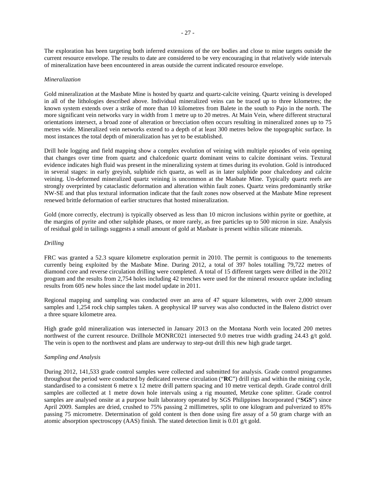The exploration has been targeting both inferred extensions of the ore bodies and close to mine targets outside the current resource envelope. The results to date are considered to be very encouraging in that relatively wide intervals of mineralization have been encountered in areas outside the current indicated resource envelope.

#### *Mineralization*

Gold mineralization at the Masbate Mine is hosted by quartz and quartz-calcite veining. Quartz veining is developed in all of the lithologies described above. Individual mineralized veins can be traced up to three kilometres; the known system extends over a strike of more than 10 kilometres from Balete in the south to Pajo in the north. The more significant vein networks vary in width from 1 metre up to 20 metres. At Main Vein, where different structural orientations intersect, a broad zone of alteration or brecciation often occurs resulting in mineralized zones up to 75 metres wide. Mineralized vein networks extend to a depth of at least 300 metres below the topographic surface. In most instances the total depth of mineralization has yet to be established.

Drill hole logging and field mapping show a complex evolution of veining with multiple episodes of vein opening that changes over time from quartz and chalcedonic quartz dominant veins to calcite dominant veins. Textural evidence indicates high fluid was present in the mineralizing system at times during its evolution. Gold is introduced in several stages: in early greyish, sulphide rich quartz, as well as in later sulphide poor chalcedony and calcite veining. Un-deformed mineralized quartz veining is uncommon at the Masbate Mine. Typically quartz reefs are strongly overprinted by cataclastic deformation and alteration within fault zones. Quartz veins predominantly strike NW-SE and that plus textural information indicate that the fault zones now observed at the Masbate Mine represent renewed brittle deformation of earlier structures that hosted mineralization.

Gold (more correctly, electrum) is typically observed as less than 10 micron inclusions within pyrite or goethite, at the margins of pyrite and other sulphide phases, or more rarely, as free particles up to 500 micron in size. Analysis of residual gold in tailings suggests a small amount of gold at Masbate is present within silicate minerals.

#### *Drilling*

FRC was granted a 52.3 square kilometre exploration permit in 2010. The permit is contiguous to the tenements currently being exploited by the Masbate Mine. During 2012, a total of 397 holes totalling 79,722 metres of diamond core and reverse circulation drilling were completed. A total of 15 different targets were drilled in the 2012 program and the results from 2,754 holes including 42 trenches were used for the mineral resource update including results from 605 new holes since the last model update in 2011.

Regional mapping and sampling was conducted over an area of 47 square kilometres, with over 2,000 stream samples and 1,254 rock chip samples taken. A geophysical IP survey was also conducted in the Baleno district over a three square kilometre area.

High grade gold mineralization was intersected in January 2013 on the Montana North vein located 200 metres northwest of the current resource. Drillhole MONRC021 intersected 9.0 metres true width grading 24.43 g/t gold. The vein is open to the northwest and plans are underway to step-out drill this new high grade target.

#### *Sampling and Analysis*

During 2012, 141,533 grade control samples were collected and submitted for analysis. Grade control programmes throughout the period were conducted by dedicated reverse circulation ("**RC**") drill rigs and within the mining cycle, standardised to a consistent 6 metre x 12 metre drill pattern spacing and 10 metre vertical depth. Grade control drill samples are collected at 1 metre down hole intervals using a rig mounted, Metzke cone splitter. Grade control samples are analysed onsite at a purpose built laboratory operated by SGS Philippines Incorporated ("**SGS**") since April 2009. Samples are dried, crushed to 75% passing 2 millimetres, split to one kilogram and pulverized to 85% passing 75 micrometre. Determination of gold content is then done using fire assay of a 50 gram charge with an atomic absorption spectroscopy (AAS) finish. The stated detection limit is 0.01 g/t gold.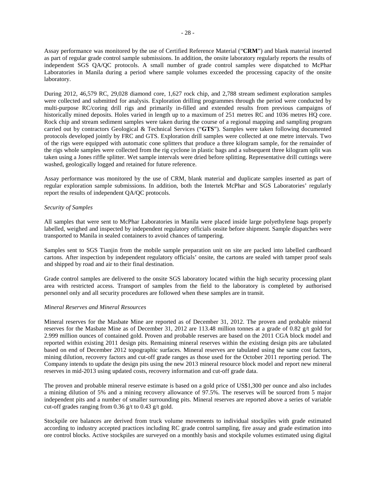Assay performance was monitored by the use of Certified Reference Material ("**CRM**") and blank material inserted as part of regular grade control sample submissions. In addition, the onsite laboratory regularly reports the results of independent SGS QA/QC protocols. A small number of grade control samples were dispatched to McPhar Laboratories in Manila during a period where sample volumes exceeded the processing capacity of the onsite laboratory.

During 2012, 46,579 RC, 29,028 diamond core, 1,627 rock chip, and 2,788 stream sediment exploration samples were collected and submitted for analysis. Exploration drilling programmes through the period were conducted by multi-purpose RC/coring drill rigs and primarily in-filled and extended results from previous campaigns of historically mined deposits. Holes varied in length up to a maximum of 251 metres RC and 1036 metres HQ core. Rock chip and stream sediment samples were taken during the course of a regional mapping and sampling program carried out by contractors Geological & Technical Services ("**GTS**"). Samples were taken following documented protocols developed jointly by FRC and GTS. Exploration drill samples were collected at one metre intervals. Two of the rigs were equipped with automatic cone splitters that produce a three kilogram sample, for the remainder of the rigs whole samples were collected from the rig cyclone in plastic bags and a subsequent three kilogram split was taken using a Jones riffle splitter. Wet sample intervals were dried before splitting. Representative drill cuttings were washed, geologically logged and retained for future reference.

Assay performance was monitored by the use of CRM, blank material and duplicate samples inserted as part of regular exploration sample submissions. In addition, both the Intertek McPhar and SGS Laboratories' regularly report the results of independent QA/QC protocols.

# *Security of Samples*

All samples that were sent to McPhar Laboratories in Manila were placed inside large polyethylene bags properly labelled, weighed and inspected by independent regulatory officials onsite before shipment. Sample dispatches were transported to Manila in sealed containers to avoid chances of tampering.

Samples sent to SGS Tianjin from the mobile sample preparation unit on site are packed into labelled cardboard cartons. After inspection by independent regulatory officials' onsite, the cartons are sealed with tamper proof seals and shipped by road and air to their final destination.

Grade control samples are delivered to the onsite SGS laboratory located within the high security processing plant area with restricted access. Transport of samples from the field to the laboratory is completed by authorised personnel only and all security procedures are followed when these samples are in transit.

# *Mineral Reserves and Mineral Resources*

Mineral reserves for the Masbate Mine are reported as of December 31, 2012. The proven and probable mineral reserves for the Masbate Mine as of December 31, 2012 are 113.48 million tonnes at a grade of 0.82 g/t gold for 2.999 million ounces of contained gold. Proven and probable reserves are based on the 2011 CGA block model and reported within existing 2011 design pits. Remaining mineral reserves within the existing design pits are tabulated based on end of December 2012 topographic surfaces. Mineral reserves are tabulated using the same cost factors, mining dilution, recovery factors and cut-off grade ranges as those used for the October 2011 reporting period. The Company intends to update the design pits using the new 2013 mineral resource block model and report new mineral reserves in mid-2013 using updated costs, recovery information and cut-off grade data.

The proven and probable mineral reserve estimate is based on a gold price of US\$1,300 per ounce and also includes a mining dilution of 5% and a mining recovery allowance of 97.5%. The reserves will be sourced from 5 major independent pits and a number of smaller surrounding pits. Mineral reserves are reported above a series of variable cut-off grades ranging from 0.36 g/t to 0.43 g/t gold.

Stockpile ore balances are derived from truck volume movements to individual stockpiles with grade estimated according to industry accepted practices including RC grade control sampling, fire assay and grade estimation into ore control blocks. Active stockpiles are surveyed on a monthly basis and stockpile volumes estimated using digital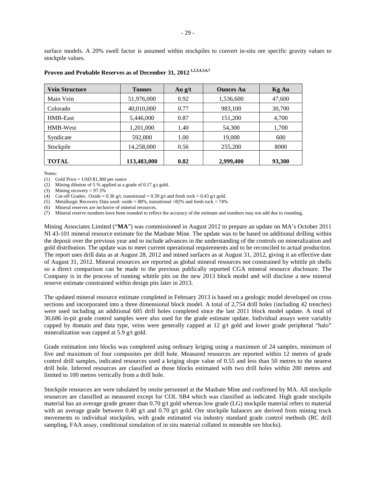| <b>Vein Structure</b> | <b>Tonnes</b> | Au $g/t$ | <b>Ounces Au</b> | Kg Au  |
|-----------------------|---------------|----------|------------------|--------|
| Main Vein             | 51,976,000    | 0.92     | 1,536,600        | 47,600 |
| Colorado              | 40,010,000    | 0.77     | 983,100          | 30,700 |
| HMB-East              | 5,446,000     | 0.87     | 151,200          | 4,700  |
| HMB-West              | 1,201,000     | 1.40     | 54,300           | 1,700  |
| Syndicate             | 592,000       | 1.00     | 19,000           | 600    |
| Stockpile             | 14,258,000    | 0.56     | 255,200          | 8000   |
| <b>TOTAL</b>          | 113,483,000   | 0.82     | 2,999,400        | 93,300 |

# **Proven and Probable Reserves as of December 31, 2012 1,2,3,4,5,6,7**

Notes:

(1) Gold Price =  $\text{USD } $1,300 \text{ per ounce}$ 

(2) Mining dilution of 5 % applied at a grade of 0.17 g.t gold.

(3) Mining recovery  $= 97.5\%$ 

(4) Cut-off Grades: Oxide =  $0.36$  g/t, transitional =  $0.39$  g/t and fresh rock =  $0.43$  g/t gold.

(5) Metallurgic Recovery Data used: oxide =  $88\%$ , transitional =  $82\%$  and fresh rock =  $74\%$ 

(6) Mineral reserves are inclusive of mineral resources.

(7) Mineral reserve numbers have been rounded to reflect the accuracy of the estimate and numbers may not add due to rounding.

Mining Associates Limited ("**MA**") was commissioned in August 2012 to prepare an update on MA's October 2011 NI 43-101 mineral resource estimate for the Masbate Mine. The update was to be based on additional drilling within the deposit over the previous year and to include advances in the understanding of the controls on mineralization and gold distribution. The update was to meet current operational requirements and to be reconciled to actual production. The report uses drill data as at August 28, 2012 and mined surfaces as at August 31, 2012, giving it an effective date of August 31, 2012. Mineral resources are reported as global mineral resources not constrained by whittle pit shells so a direct comparison can be made to the previous publically reported CGA mineral resource disclosure. The Company is in the process of running whittle pits on the new 2013 block model and will disclose a new mineral reserve estimate constrained within design pits later in 2013.

The updated mineral resource estimate completed in February 2013 is based on a geologic model developed on cross sections and incorporated into a three dimensional block model. A total of 2,754 drill holes (including 42 trenches) were used including an additional 605 drill holes completed since the last 2011 block model update. A total of 30,686 in-pit grade control samples were also used for the grade estimate update. Individual assays were variably capped by domain and data type, veins were generally capped at 12 g/t gold and lower grade peripheral "halo" mineralization was capped at 5.9 g/t gold.

Grade estimation into blocks was completed using ordinary kriging using a maximum of 24 samples, minimum of five and maximum of four composites per drill hole. Measured resources are reported within 12 metres of grade control drill samples, indicated resources used a kriging slope value of 0.55 and less than 50 metres to the nearest drill hole. Inferred resources are classified as those blocks estimated with two drill holes within 200 metres and limited to 100 metres vertically from a drill hole.

Stockpile resources are were tabulated by onsite personnel at the Masbate Mine and confirmed by MA. All stockpile resources are classified as measured except for COL SB4 which was classified as indicated. High grade stockpile material has an average grade greater than 0.70 g/t gold whereas low grade (LG) stockpile material refers to material with an average grade between 0.40 g/t and 0.70 g/t gold. Ore stockpile balances are derived from mining truck movements to individual stockpiles, with grade estimated via industry standard grade control methods (RC drill sampling, FAA assay, conditional simulation of in situ material collated in mineable ore blocks).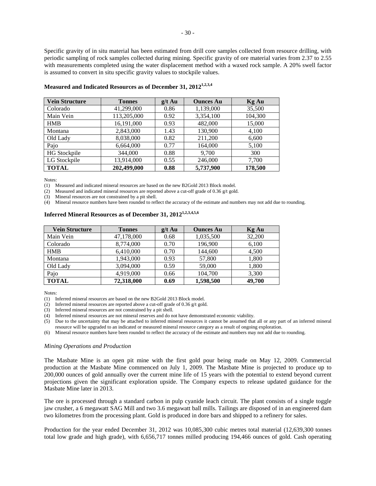Specific gravity of in situ material has been estimated from drill core samples collected from resource drilling, with periodic sampling of rock samples collected during mining. Specific gravity of ore material varies from 2.37 to 2.55 with measurements completed using the water displacement method with a waxed rock sample. A 20% swell factor

| <b>Vein Structure</b> | <b>Tonnes</b> | $g/t$ Au | <b>Ounces Au</b> | <b>Kg Au</b> |
|-----------------------|---------------|----------|------------------|--------------|
| Colorado              | 41,299,000    | 0.86     | 1,139,000        | 35,500       |
| Main Vein             | 113,205,000   | 0.92     | 3,354,100        | 104,300      |
| <b>HMB</b>            | 16,191,000    | 0.93     | 482,000          | 15,000       |
| Montana               | 2,843,000     | 1.43     | 130,900          | 4,100        |
| Old Lady              | 8,038,000     | 0.82     | 211,200          | 6,600        |
| Pajo                  | 6,664,000     | 0.77     | 164,000          | 5,100        |
| <b>HG Stockpile</b>   | 344,000       | 0.88     | 9,700            | 300          |
| LG Stockpile          | 13,914,000    | 0.55     | 246,000          | 7,700        |
| <b>TOTAL</b>          | 202,499,000   | 0.88     | 5,737,900        | 178,500      |

#### **Measured and Indicated Resources as of December 31, 20121,2,3,4**

is assumed to convert in situ specific gravity values to stockpile values.

Notes:

(1) Measured and indicated mineral resources are based on the new B2Gold 2013 Block model.

(2) Measured and indicated mineral resources are reported above a cut-off grade of 0.36  $g/t$  gold.

(3) Mineral resources are not constrained by a pit shell.

(4) Mineral resource numbers have been rounded to reflect the accuracy of the estimate and numbers may not add due to rounding.

# **Inferred Mineral Resources as of December 31, 20121,2,3,4,5,6**

| <b>Vein Structure</b> | <b>Tonnes</b> | $g/t$ Au | <b>Ounces Au</b> | <b>Kg Au</b> |
|-----------------------|---------------|----------|------------------|--------------|
| Main Vein             | 47,178,000    | 0.68     | 1,035,500        | 32,200       |
| Colorado              | 8,774,000     | 0.70     | 196,900          | 6,100        |
| <b>HMB</b>            | 6,410,000     | 0.70     | 144,600          | 4,500        |
| Montana               | 1,943,000     | 0.93     | 57,800           | 1,800        |
| Old Lady              | 3,094,000     | 0.59     | 59,000           | 1,800        |
| Pajo                  | 4,919,000     | 0.66     | 104,700          | 3,300        |
| <b>TOTAL</b>          | 72,318,000    | 0.69     | 1,598,500        | 49,700       |

Notes:

(1) Inferred mineral resources are based on the new B2Gold 2013 Block model.

(2) Inferred mineral resources are reported above a cut-off grade of 0.36 g/t gold.

(3) Inferred mineral resources are not constrained by a pit shell.

(4) Inferred mineral resources are not mineral reserves and do not have demonstrated economic viability.

(5) Due to the uncertainty that may be attached to inferred mineral resources it cannot be assumed that all or any part of an inferred mineral resource will be upgraded to an indicated or measured mineral resource category as a result of ongoing exploration.

(6) Mineral resource numbers have been rounded to reflect the accuracy of the estimate and numbers may not add due to rounding.

#### *Mining Operations and Production*

The Masbate Mine is an open pit mine with the first gold pour being made on May 12, 2009. Commercial production at the Masbate Mine commenced on July 1, 2009. The Masbate Mine is projected to produce up to 200,000 ounces of gold annually over the current mine life of 15 years with the potential to extend beyond current projections given the significant exploration upside. The Company expects to release updated guidance for the Masbate Mine later in 2013.

The ore is processed through a standard carbon in pulp cyanide leach circuit. The plant consists of a single toggle jaw crusher, a 6 megawatt SAG Mill and two 3.6 megawatt ball mills. Tailings are disposed of in an engineered dam two kilometres from the processing plant. Gold is produced in dore bars and shipped to a refinery for sales.

Production for the year ended December 31, 2012 was 10,085,300 cubic metres total material (12,639,300 tonnes total low grade and high grade), with 6,656,717 tonnes milled producing 194,466 ounces of gold. Cash operating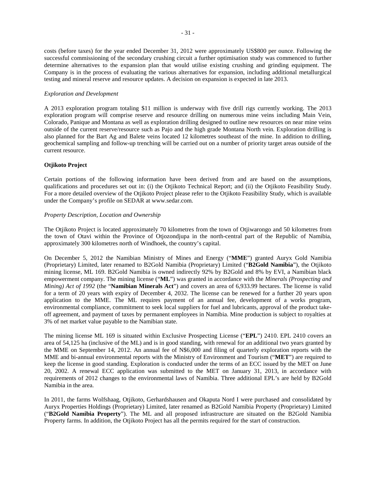costs (before taxes) for the year ended December 31, 2012 were approximately US\$800 per ounce. Following the successful commissioning of the secondary crushing circuit a further optimisation study was commenced to further determine alternatives to the expansion plan that would utilise existing crushing and grinding equipment. The Company is in the process of evaluating the various alternatives for expansion, including additional metallurgical testing and mineral reserve and resource updates. A decision on expansion is expected in late 2013.

# *Exploration and Development*

A 2013 exploration program totaling \$11 million is underway with five drill rigs currently working. The 2013 exploration program will comprise reserve and resource drilling on numerous mine veins including Main Vein, Colorado, Panique and Montana as well as exploration drilling designed to outline new resources on near mine veins outside of the current reserve/resource such as Pajo and the high grade Montana North vein. Exploration drilling is also planned for the Bart Ag and Balete veins located 12 kilometres southeast of the mine. In addition to drilling, geochemical sampling and follow-up trenching will be carried out on a number of priority target areas outside of the current resource.

# **Otjikoto Project**

Certain portions of the following information have been derived from and are based on the assumptions, qualifications and procedures set out in: (i) the Otjikoto Technical Report; and (ii) the Otjikoto Feasibility Study. For a more detailed overview of the Otjikoto Project please refer to the Otjikoto Feasibility Study, which is available under the Company's profile on SEDAR at www.sedar.com.

# *Property Description, Location and Ownership*

The Otjikoto Project is located approximately 70 kilometres from the town of Otjiwarongo and 50 kilometres from the town of Otavi within the Province of Otjozondjupa in the north-central part of the Republic of Namibia, approximately 300 kilometres north of Windhoek, the country's capital.

On December 5, 2012 the Namibian Ministry of Mines and Energy ("**MME**") granted Auryx Gold Namibia (Proprietary) Limited, later renamed to B2Gold Namibia (Proprietary) Limited ("**B2Gold Namibia**"), the Otjikoto mining license, ML 169. B2Gold Namibia is owned indirectly 92% by B2Gold and 8% by EVI, a Namibian black empowerment company. The mining license ("**ML**") was granted in accordance with the *Minerals (Prospecting and Mining) Act of 1992* (the "**Namibian Minerals Act**") and covers an area of 6,933.99 hectares. The license is valid for a term of 20 years with expiry of December 4, 2032. The license can be renewed for a further 20 years upon application to the MME. The ML requires payment of an annual fee, development of a works program, environmental compliance, commitment to seek local suppliers for fuel and lubricants, approval of the product takeoff agreement, and payment of taxes by permanent employees in Namibia. Mine production is subject to royalties at 3% of net market value payable to the Namibian state.

The mining license ML 169 is situated within Exclusive Prospecting License ("**EPL**") 2410. EPL 2410 covers an area of 54,125 ha (inclusive of the ML) and is in good standing, with renewal for an additional two years granted by the MME on September 14, 2012. An annual fee of N\$6,000 and filing of quarterly exploration reports with the MME and bi-annual environmental reports with the Ministry of Environment and Tourism ("**MET**") are required to keep the license in good standing. Exploration is conducted under the terms of an ECC issued by the MET on June 20, 2002. A renewal ECC application was submitted to the MET on January 31, 2013, in accordance with requirements of 2012 changes to the environmental laws of Namibia. Three additional EPL's are held by B2Gold Namibia in the area.

In 2011, the farms Wolfshaag, Otjikoto, Gerhardshausen and Okaputa Nord I were purchased and consolidated by Auryx Properties Holdings (Proprietary) Limited, later renamed as B2Gold Namibia Property (Proprietary) Limited ("**B2Gold Namibia Property**"). The ML and all proposed infrastructure are situated on the B2Gold Namibia Property farms. In addition, the Otjikoto Project has all the permits required for the start of construction.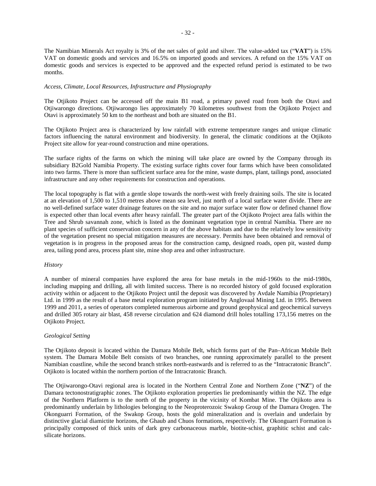The Namibian Minerals Act royalty is 3% of the net sales of gold and silver. The value-added tax ("**VAT**") is 15% VAT on domestic goods and services and 16.5% on imported goods and services. A refund on the 15% VAT on domestic goods and services is expected to be approved and the expected refund period is estimated to be two months.

#### *Access, Climate, Local Resources, Infrastructure and Physiography*

The Otjikoto Project can be accessed off the main B1 road, a primary paved road from both the Otavi and Otjiwarongo directions. Otjiwarongo lies approximately 70 kilometres southwest from the Otjikoto Project and Otavi is approximately 50 km to the northeast and both are situated on the B1.

The Otjikoto Project area is characterized by low rainfall with extreme temperature ranges and unique climatic factors influencing the natural environment and biodiversity. In general, the climatic conditions at the Otjikoto Project site allow for year-round construction and mine operations.

The surface rights of the farms on which the mining will take place are owned by the Company through its subsidiary B2Gold Namibia Property. The existing surface rights cover four farms which have been consolidated into two farms. There is more than sufficient surface area for the mine, waste dumps, plant, tailings pond, associated infrastructure and any other requirements for construction and operations.

The local topography is flat with a gentle slope towards the north-west with freely draining soils. The site is located at an elevation of 1,500 to 1,510 metres above mean sea level, just north of a local surface water divide. There are no well-defined surface water drainage features on the site and no major surface water flow or defined channel flow is expected other than local events after heavy rainfall. The greater part of the Otjikoto Project area falls within the Tree and Shrub savannah zone, which is listed as the dominant vegetation type in central Namibia. There are no plant species of sufficient conservation concern in any of the above habitats and due to the relatively low sensitivity of the vegetation present no special mitigation measures are necessary. Permits have been obtained and removal of vegetation is in progress in the proposed areas for the construction camp, designed roads, open pit, wasted dump area, tailing pond area, process plant site, mine shop area and other infrastructure.

#### *History*

A number of mineral companies have explored the area for base metals in the mid-1960s to the mid-1980s, including mapping and drilling, all with limited success. There is no recorded history of gold focused exploration activity within or adjacent to the Otjikoto Project until the deposit was discovered by Avdale Namibia (Proprietary) Ltd. in 1999 as the result of a base metal exploration program initiated by Anglovaal Mining Ltd. in 1995. Between 1999 and 2011, a series of operators completed numerous airborne and ground geophysical and geochemical surveys and drilled 305 rotary air blast, 458 reverse circulation and 624 diamond drill holes totalling 173,156 metres on the Otjikoto Project.

# *Geological Setting*

The Otjikoto deposit is located within the Damara Mobile Belt, which forms part of the Pan–African Mobile Belt system. The Damara Mobile Belt consists of two branches, one running approximately parallel to the present Namibian coastline, while the second branch strikes north-eastwards and is referred to as the "Intracratonic Branch". Otjikoto is located within the northern portion of the Intracratonic Branch.

The Otjiwarongo-Otavi regional area is located in the Northern Central Zone and Northern Zone ("**NZ**") of the Damara tectonostratigraphic zones. The Otjikoto exploration properties lie predominantly within the NZ. The edge of the Northern Platform is to the north of the property in the vicinity of Kombat Mine. The Otjikoto area is predominantly underlain by lithologies belonging to the Neoproterozoic Swakop Group of the Damara Orogen. The Okonguarri Formation, of the Swakop Group, hosts the gold mineralization and is overlain and underlain by distinctive glacial diamictite horizons, the Ghaub and Chuos formations, respectively. The Okonguarri Formation is principally composed of thick units of dark grey carbonaceous marble, biotite-schist, graphitic schist and calcsilicate horizons.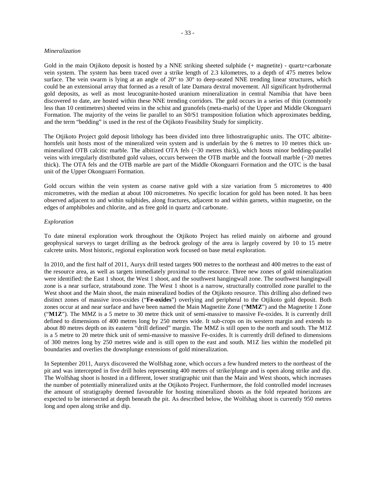#### *Mineralization*

Gold in the main Otjikoto deposit is hosted by a NNE striking sheeted sulphide (+ magnetite) - quartz+carbonate vein system. The system has been traced over a strike length of 2.3 kilometres, to a depth of 475 metres below surface. The vein swarm is lying at an angle of 20° to 30° to deep-seated NNE trending linear structures, which could be an extensional array that formed as a result of late Damara dextral movement. All significant hydrothermal gold deposits, as well as most leucogranite-hosted uranium mineralization in central Namibia that have been discovered to date, are hosted within these NNE trending corridors. The gold occurs in a series of thin (commonly less than 10 centimetres) sheeted veins in the schist and granofels (meta-marls) of the Upper and Middle Okonguarri Formation. The majority of the veins lie parallel to an S0/S1 transposition foliation which approximates bedding, and the term "bedding" is used in the rest of the Otjikoto Feasibility Study for simplicity.

The Otjikoto Project gold deposit lithology has been divided into three lithostratigraphic units. The OTC albititehornfels unit hosts most of the mineralized vein system and is underlain by the 6 metres to 10 metres thick unmineralized OTB calcitic marble. The albitized OTA fels (~30 metres thick), which hosts minor bedding-parallel veins with irregularly distributed gold values, occurs between the OTB marble and the footwall marble (~20 metres thick). The OTA fels and the OTB marble are part of the Middle Okonguarri Formation and the OTC is the basal unit of the Upper Okonguarri Formation.

Gold occurs within the vein system as coarse native gold with a size variation from 5 micrometres to 400 micrometres, with the median at about 100 micrometres. No specific location for gold has been noted. It has been observed adjacent to and within sulphides, along fractures, adjacent to and within garnets, within magnetite, on the edges of amphiboles and chlorite, and as free gold in quartz and carbonate.

#### *Exploration*

To date mineral exploration work throughout the Otjikoto Project has relied mainly on airborne and ground geophysical surveys to target drilling as the bedrock geology of the area is largely covered by 10 to 15 metre calcrete units. Most historic, regional exploration work focused on base metal exploration.

In 2010, and the first half of 2011, Auryx drill tested targets 900 metres to the northeast and 400 metres to the east of the resource area, as well as targets immediately proximal to the resource. Three new zones of gold mineralization were identified: the East 1 shoot, the West 1 shoot, and the southwest hangingwall zone. The southwest hangingwall zone is a near surface, stratabound zone. The West 1 shoot is a narrow, structurally controlled zone parallel to the West shoot and the Main shoot, the main mineralized bodies of the Otjikoto resource. This drilling also defined two distinct zones of massive iron-oxides ("**Fe-oxides**") overlying and peripheral to the Otjikoto gold deposit. Both zones occur at and near surface and have been named the Main Magnetite Zone ("**MMZ**") and the Magnetite 1 Zone ("**M1Z**"). The MMZ is a 5 metre to 30 metre thick unit of semi-massive to massive Fe-oxides. It is currently drill defined to dimensions of 400 metres long by 250 metres wide. It sub-crops on its western margin and extends to about 80 metres depth on its eastern "drill defined" margin. The MMZ is still open to the north and south. The M1Z is a 5 metre to 20 metre thick unit of semi-massive to massive Fe-oxides. It is currently drill defined to dimensions of 300 metres long by 250 metres wide and is still open to the east and south. M1Z lies within the modelled pit boundaries and overlies the downplunge extensions of gold mineralization.

In September 2011, Auryx discovered the Wolfshag zone, which occurs a few hundred meters to the northeast of the pit and was intercepted in five drill holes representing 400 metres of strike/plunge and is open along strike and dip. The Wolfshag shoot is hosted in a different, lower stratigraphic unit than the Main and West shoots, which increases the number of potentially mineralized units at the Otjikoto Project. Furthermore, the fold controlled model increases the amount of stratigraphy deemed favourable for hosting mineralized shoots as the fold repeated horizons are expected to be intersected at depth beneath the pit. As described below, the Wolfshag shoot is currently 950 metres long and open along strike and dip.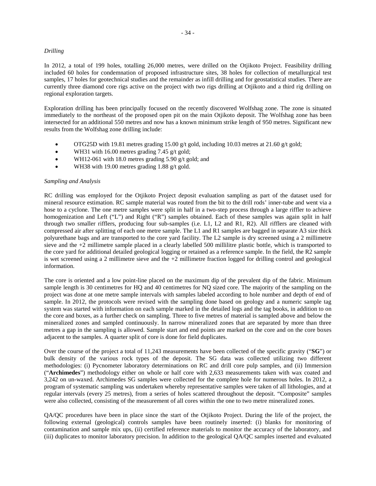# *Drilling*

In 2012, a total of 199 holes, totalling 26,000 metres, were drilled on the Otjikoto Project. Feasibility drilling included 60 holes for condemnation of proposed infrastructure sites, 38 holes for collection of metallurgical test samples, 17 holes for geotechnical studies and the remainder as infill drilling and for geostatistical studies. There are currently three diamond core rigs active on the project with two rigs drilling at Otjikoto and a third rig drilling on regional exploration targets.

Exploration drilling has been principally focused on the recently discovered Wolfshag zone. The zone is situated immediately to the northeast of the proposed open pit on the main Otjikoto deposit. The Wolfshag zone has been intersected for an additional 550 metres and now has a known minimum strike length of 950 metres. Significant new results from the Wolfshag zone drilling include:

- OTG25D with 19.81 metres grading 15.00 g/t gold, including 10.03 metres at 21.60 g/t gold;
- WH31 with 16.00 metres grading 7.45 g/t gold;
- WH12-061 with 18.0 metres grading 5.90 g/t gold; and
- WH38 with 19.00 metres grading  $1.88$  g/t gold.

#### *Sampling and Analysis*

RC drilling was employed for the Otjikoto Project deposit evaluation sampling as part of the dataset used for mineral resource estimation. RC sample material was routed from the bit to the drill rods' inner-tube and went via a hose to a cyclone. The one metre samples were split in half in a two-step process through a large riffler to achieve homogenization and Left ("L") and Right ("R") samples obtained. Each of these samples was again split in half through two smaller rifflers, producing four sub-samples (i.e. L1, L2 and R1, R2). All rifflers are cleaned with compressed air after splitting of each one metre sample. The L1 and R1 samples are bagged in separate A3 size thick polyurethane bags and are transported to the core yard facility. The L2 sample is dry screened using a 2 millimetre sieve and the +2 millimetre sample placed in a clearly labelled 500 millilitre plastic bottle, which is transported to the core yard for additional detailed geological logging or retained as a reference sample. In the field, the R2 sample is wet screened using a 2 millimetre sieve and the +2 millimetre fraction logged for drilling control and geological information.

The core is oriented and a low point-line placed on the maximum dip of the prevalent dip of the fabric. Minimum sample length is 30 centimetres for HQ and 40 centimetres for NQ sized core. The majority of the sampling on the project was done at one metre sample intervals with samples labeled according to hole number and depth of end of sample. In 2012, the protocols were revised with the sampling done based on geology and a numeric sample tag system was started with information on each sample marked in the detailed logs and the tag books, in addition to on the core and boxes, as a further check on sampling. Three to five metres of material is sampled above and below the mineralized zones and sampled continuously. In narrow mineralized zones that are separated by more than three metres a gap in the sampling is allowed. Sample start and end points are marked on the core and on the core boxes adjacent to the samples. A quarter split of core is done for field duplicates.

Over the course of the project a total of 11,243 measurements have been collected of the specific gravity ("**SG**") or bulk density of the various rock types of the deposit. The SG data was collected utilizing two different methodologies: (i) Pycnometer laboratory determinations on RC and drill core pulp samples, and (ii) Immersion ("**Archimedes**") methodology either on whole or half core with 2,633 measurements taken with wax coated and 3,242 on un-waxed. Archimedes SG samples were collected for the complete hole for numerous holes. In 2012, a program of systematic sampling was undertaken whereby representative samples were taken of all lithologies, and at regular intervals (every 25 metres), from a series of holes scattered throughout the deposit. "Composite" samples were also collected, consisting of the measurement of all cores within the one to two metre mineralized zones.

QA/QC procedures have been in place since the start of the Otjikoto Project. During the life of the project, the following external (geological) controls samples have been routinely inserted: (i) blanks for monitoring of contamination and sample mix ups, (ii) certified reference materials to monitor the accuracy of the laboratory, and (iii) duplicates to monitor laboratory precision. In addition to the geological QA/QC samples inserted and evaluated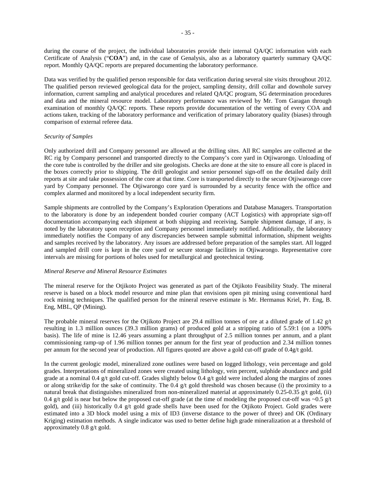during the course of the project, the individual laboratories provide their internal QA/QC information with each Certificate of Analysis ("**COA**") and, in the case of Genalysis, also as a laboratory quarterly summary QA/QC report. Monthly QA/QC reports are prepared documenting the laboratory performance.

Data was verified by the qualified person responsible for data verification during several site visits throughout 2012. The qualified person reviewed geological data for the project, sampling density, drill collar and downhole survey information, current sampling and analytical procedures and related QA/QC program, SG determination procedures and data and the mineral resource model. Laboratory performance was reviewed by Mr. Tom Garagan through examination of monthly QA/QC reports. These reports provide documentation of the vetting of every COA and actions taken, tracking of the laboratory performance and verification of primary laboratory quality (biases) through comparison of external referee data.

#### *Security of Samples*

Only authorized drill and Company personnel are allowed at the drilling sites. All RC samples are collected at the RC rig by Company personnel and transported directly to the Company's core yard in Otjiwarongo. Unloading of the core tube is controlled by the driller and site geologists. Checks are done at the site to ensure all core is placed in the boxes correctly prior to shipping. The drill geologist and senior personnel sign-off on the detailed daily drill reports at site and take possession of the core at that time. Core is transported directly to the secure Otjiwarongo core yard by Company personnel. The Otjiwarongo core yard is surrounded by a security fence with the office and complex alarmed and monitored by a local independent security firm.

Sample shipments are controlled by the Company's Exploration Operations and Database Managers. Transportation to the laboratory is done by an independent bonded courier company (ACT Logistics) with appropriate sign-off documentation accompanying each shipment at both shipping and receiving. Sample shipment damage, if any, is noted by the laboratory upon reception and Company personnel immediately notified. Additionally, the laboratory immediately notifies the Company of any discrepancies between sample submittal information, shipment weights and samples received by the laboratory. Any issues are addressed before preparation of the samples start. All logged and sampled drill core is kept in the core yard or secure storage facilities in Otjiwarongo. Representative core intervals are missing for portions of holes used for metallurgical and geotechnical testing.

#### *Mineral Reserve and Mineral Resource Estimates*

The mineral reserve for the Otjikoto Project was generated as part of the Otjikoto Feasibility Study. The mineral reserve is based on a block model resource and mine plan that envisions open pit mining using conventional hard rock mining techniques. The qualified person for the mineral reserve estimate is Mr. Hermanus Kriel, Pr. Eng, B. Eng, MBL, QP (Mining).

The probable mineral reserves for the Otjikoto Project are 29.4 million tonnes of ore at a diluted grade of 1.42  $g/t$ resulting in 1.3 million ounces (39.3 million grams) of produced gold at a stripping ratio of 5.59:1 (on a 100% basis). The life of mine is 12.46 years assuming a plant throughput of 2.5 million tonnes per annum, and a plant commissioning ramp-up of 1.96 million tonnes per annum for the first year of production and 2.34 million tonnes per annum for the second year of production. All figures quoted are above a gold cut-off grade of 0.4g/t gold.

In the current geologic model, mineralized zone outlines were based on logged lithology, vein percentage and gold grades. Interpretations of mineralized zones were created using lithology, vein percent, sulphide abundance and gold grade at a nominal 0.4 g/t gold cut-off. Grades slightly below 0.4 g/t gold were included along the margins of zones or along strike/dip for the sake of continuity. The 0.4 g/t gold threshold was chosen because (i) the proximity to a natural break that distinguishes mineralized from non-mineralized material at approximately  $0.25$ - $0.35$  g/t gold, (ii) 0.4 g/t gold is near but below the proposed cut-off grade (at the time of modeling the proposed cut-off was  $\sim$ 0.5 g/t gold), and (iii) historically 0.4 g/t gold grade shells have been used for the Otjikoto Project. Gold grades were estimated into a 3D block model using a mix of ID3 (inverse distance to the power of three) and OK (Ordinary Kriging) estimation methods. A single indicator was used to better define high grade mineralization at a threshold of approximately 0.8 g/t gold.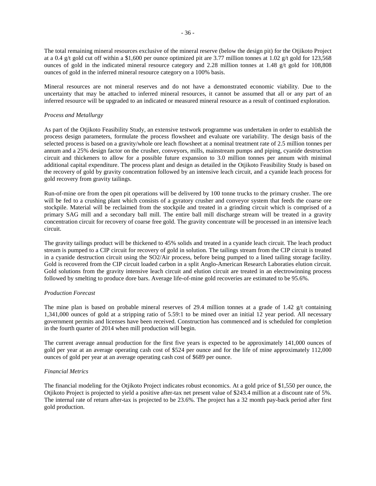The total remaining mineral resources exclusive of the mineral reserve (below the design pit) for the Otjikoto Project at a 0.4 g/t gold cut off within a \$1,600 per ounce optimized pit are 3.77 million tonnes at 1.02 g/t gold for 123,568 ounces of gold in the indicated mineral resource category and 2.28 million tonnes at 1.48 g/t gold for 108,808 ounces of gold in the inferred mineral resource category on a 100% basis.

Mineral resources are not mineral reserves and do not have a demonstrated economic viability. Due to the uncertainty that may be attached to inferred mineral resources, it cannot be assumed that all or any part of an inferred resource will be upgraded to an indicated or measured mineral resource as a result of continued exploration.

## *Process and Metallurgy*

As part of the Otjikoto Feasibility Study, an extensive testwork programme was undertaken in order to establish the process design parameters, formulate the process flowsheet and evaluate ore variability. The design basis of the selected process is based on a gravity/whole ore leach flowsheet at a nominal treatment rate of 2.5 million tonnes per annum and a 25% design factor on the crusher, conveyors, mills, mainstream pumps and piping, cyanide destruction circuit and thickeners to allow for a possible future expansion to 3.0 million tonnes per annum with minimal additional capital expenditure. The process plant and design as detailed in the Otjikoto Feasibility Study is based on the recovery of gold by gravity concentration followed by an intensive leach circuit, and a cyanide leach process for gold recovery from gravity tailings.

Run-of-mine ore from the open pit operations will be delivered by 100 tonne trucks to the primary crusher. The ore will be fed to a crushing plant which consists of a gyratory crusher and conveyor system that feeds the coarse ore stockpile. Material will be reclaimed from the stockpile and treated in a grinding circuit which is comprised of a primary SAG mill and a secondary ball mill. The entire ball mill discharge stream will be treated in a gravity concentration circuit for recovery of coarse free gold. The gravity concentrate will be processed in an intensive leach circuit.

The gravity tailings product will be thickened to 45% solids and treated in a cyanide leach circuit. The leach product stream is pumped to a CIP circuit for recovery of gold in solution. The tailings stream from the CIP circuit is treated in a cyanide destruction circuit using the SO2/Air process, before being pumped to a lined tailing storage facility. Gold is recovered from the CIP circuit loaded carbon in a split Anglo-American Research Laboraties elution circuit. Gold solutions from the gravity intensive leach circuit and elution circuit are treated in an electrowinning process followed by smelting to produce dore bars. Average life-of-mine gold recoveries are estimated to be 95.6%.

### *Production Forecast*

The mine plan is based on probable mineral reserves of 29.4 million tonnes at a grade of  $1.42 \text{ g/t}$  containing 1,341,000 ounces of gold at a stripping ratio of 5.59:1 to be mined over an initial 12 year period. All necessary government permits and licenses have been received. Construction has commenced and is scheduled for completion in the fourth quarter of 2014 when mill production will begin.

The current average annual production for the first five years is expected to be approximately 141,000 ounces of gold per year at an average operating cash cost of \$524 per ounce and for the life of mine approximately 112,000 ounces of gold per year at an average operating cash cost of \$689 per ounce.

## *Financial Metrics*

The financial modeling for the Otjikoto Project indicates robust economics. At a gold price of \$1,550 per ounce, the Otjikoto Project is projected to yield a positive after-tax net present value of \$243.4 million at a discount rate of 5%. The internal rate of return after-tax is projected to be 23.6%. The project has a 32 month pay-back period after first gold production.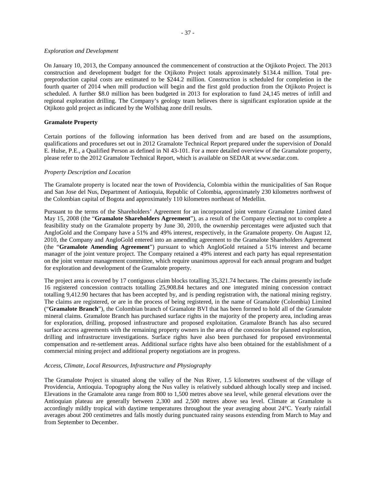## *Exploration and Development*

On January 10, 2013, the Company announced the commencement of construction at the Otjikoto Project. The 2013 construction and development budget for the Otjikoto Project totals approximately \$134.4 million. Total prepreproduction capital costs are estimated to be \$244.2 million. Construction is scheduled for completion in the fourth quarter of 2014 when mill production will begin and the first gold production from the Otjikoto Project is scheduled. A further \$8.0 million has been budgeted in 2013 for exploration to fund 24,145 metres of infill and regional exploration drilling. The Company's geology team believes there is significant exploration upside at the Otjikoto gold project as indicated by the Wolfshag zone drill results.

## **Gramalote Property**

Certain portions of the following information has been derived from and are based on the assumptions, qualifications and procedures set out in 2012 Gramalote Technical Report prepared under the supervision of Donald E. Hulse, P.E., a Qualified Person as defined in NI 43-101. For a more detailed overview of the Gramalote property, please refer to the 2012 Gramalote Technical Report, which is available on SEDAR at www.sedar.com.

## *Property Description and Location*

The Gramalote property is located near the town of Providencia, Colombia within the municipalities of San Roque and San Jose del Nus, Department of Antioquia, Republic of Colombia, approximately 230 kilometres northwest of the Colombian capital of Bogota and approximately 110 kilometres northeast of Medellin.

Pursuant to the terms of the Shareholders' Agreement for an incorporated joint venture Gramalote Limited dated May 15, 2008 (the "**Gramalote Shareholders Agreement**"), as a result of the Company electing not to complete a feasibility study on the Gramalote property by June 30, 2010, the ownership percentages were adjusted such that AngloGold and the Company have a 51% and 49% interest, respectively, in the Gramalote property. On August 12, 2010, the Company and AngloGold entered into an amending agreement to the Gramalote Shareholders Agreement (the "**Gramalote Amending Agreement**") pursuant to which AngloGold retained a 51% interest and became manager of the joint venture project. The Company retained a 49% interest and each party has equal representation on the joint venture management committee, which require unanimous approval for each annual program and budget for exploration and development of the Gramalote property.

The project area is covered by 17 contiguous claim blocks totalling 35,321.74 hectares. The claims presently include 16 registered concession contracts totalling 25,908.84 hectares and one integrated mining concession contract totalling 9,412.90 hectares that has been accepted by, and is pending registration with, the national mining registry. The claims are registered, or are in the process of being registered, in the name of Gramalote (Colombia) Limited ("**Gramalote Branch**"), the Colombian branch of Gramalote BVI that has been formed to hold all of the Gramalote mineral claims. Gramalote Branch has purchased surface rights in the majority of the property area, including areas for exploration, drilling, proposed infrastructure and proposed exploitation. Gramalote Branch has also secured surface access agreements with the remaining property owners in the area of the concession for planned exploration, drilling and infrastructure investigations. Surface rights have also been purchased for proposed environmental compensation and re-settlement areas. Additional surface rights have also been obtained for the establishment of a commercial mining project and additional property negotiations are in progress.

### *Access, Climate, Local Resources, Infrastructure and Physiography*

The Gramalote Project is situated along the valley of the Nus River, 1.5 kilometres southwest of the village of Providencia, Antioquia. Topography along the Nus valley is relatively subdued although locally steep and incised. Elevations in the Gramalote area range from 800 to 1,500 metres above sea level, while general elevations over the Antioquian plateau are generally between 2,300 and 2,500 metres above sea level. Climate at Gramalote is accordingly mildly tropical with daytime temperatures throughout the year averaging about 24°C. Yearly rainfall averages about 200 centimetres and falls mostly during punctuated rainy seasons extending from March to May and from September to December.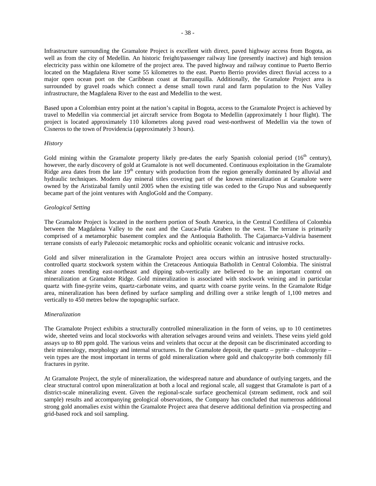Infrastructure surrounding the Gramalote Project is excellent with direct, paved highway access from Bogota, as well as from the city of Medellin. An historic freight/passenger railway line (presently inactive) and high tension electricity pass within one kilometre of the project area. The paved highway and railway continue to Puerto Berrio located on the Magdalena River some 55 kilometres to the east. Puerto Berrio provides direct fluvial access to a major open ocean port on the Caribbean coast at Barranquilla. Additionally, the Gramalote Project area is surrounded by gravel roads which connect a dense small town rural and farm population to the Nus Valley infrastructure, the Magdalena River to the east and Medellin to the west.

Based upon a Colombian entry point at the nation's capital in Bogota, access to the Gramalote Project is achieved by travel to Medellin via commercial jet aircraft service from Bogota to Medellin (approximately 1 hour flight). The project is located approximately 110 kilometres along paved road west-northwest of Medellin via the town of Cisneros to the town of Providencia (approximately 3 hours).

### *History*

Gold mining within the Gramalote property likely pre-dates the early Spanish colonial period (16<sup>th</sup> century), however, the early discovery of gold at Gramalote is not well documented. Continuous exploitation in the Gramalote Ridge area dates from the late 19<sup>th</sup> century with production from the region generally dominated by alluvial and hydraulic techniques. Modern day mineral titles covering part of the known mineralization at Gramalote were owned by the Aristizabal family until 2005 when the existing title was ceded to the Grupo Nus and subsequently became part of the joint ventures with AngloGold and the Company.

#### *Geological Setting*

The Gramalote Project is located in the northern portion of South America, in the Central Cordillera of Colombia between the Magdalena Valley to the east and the Cauca-Patia Graben to the west. The terrane is primarily comprised of a metamorphic basement complex and the Antioquia Batholith. The Cajamarca-Valdivia basement terrane consists of early Paleozoic metamorphic rocks and ophiolitic oceanic volcanic and intrusive rocks.

Gold and silver mineralization in the Gramalote Project area occurs within an intrusive hosted structurallycontrolled quartz stockwork system within the Cretaceous Antioquia Batholith in Central Colombia. The sinistral shear zones trending east-northeast and dipping sub-vertically are believed to be an important control on mineralization at Gramalote Ridge. Gold mineralization is associated with stockwork veining and in particular quartz with fine-pyrite veins, quartz-carbonate veins, and quartz with coarse pyrite veins. In the Gramalote Ridge area, mineralization has been defined by surface sampling and drilling over a strike length of 1,100 metres and vertically to 450 metres below the topographic surface.

### *Mineralization*

The Gramalote Project exhibits a structurally controlled mineralization in the form of veins, up to 10 centimetres wide, sheeted veins and local stockworks with alteration selvages around veins and veinlets. These veins yield gold assays up to 80 ppm gold. The various veins and veinlets that occur at the deposit can be discriminated according to their mineralogy, morphology and internal structures. In the Gramalote deposit, the quartz – pyrite – chalcopyrite – vein types are the most important in terms of gold mineralization where gold and chalcopyrite both commonly fill fractures in pyrite.

At Gramalote Project, the style of mineralization, the widespread nature and abundance of outlying targets, and the clear structural control upon mineralization at both a local and regional scale, all suggest that Gramalote is part of a district-scale mineralizing event. Given the regional-scale surface geochemical (stream sediment, rock and soil sample) results and accompanying geological observations, the Company has concluded that numerous additional strong gold anomalies exist within the Gramalote Project area that deserve additional definition via prospecting and grid-based rock and soil sampling.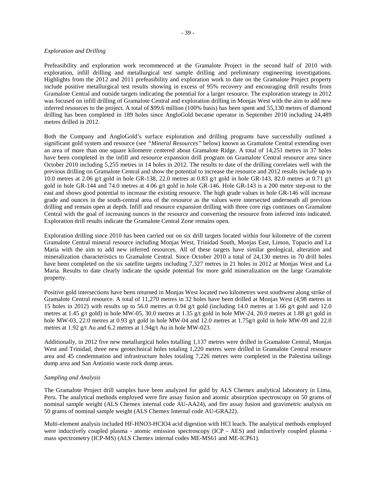## *Exploration and Drilling*

Prefeasibility and exploration work recommenced at the Gramalote Project in the second half of 2010 with exploration, infill drilling and metallurgical test sample drilling and preliminary engineering investigations. Highlights from the 2012 and 2011 prefeasibility and exploration work to date on the Gramalote Project property include positive metallurgical test results showing in excess of 95% recovery and encouraging drill results from Gramalote Central and outside targets indicating the potential for a larger resource. The exploration strategy in 2012 was focused on infill drilling of Gramalote Central and exploration drilling in Monjas West with the aim to add new inferred resources to the project. A total of \$99.6 million (100% basis) has been spent and 55,130 metres of diamond drilling has been completed in 189 holes since AngloGold became operator in September 2010 including 24,489 metres drilled in 2012.

Both the Company and AngloGold's surface exploration and drilling programs have successfully outlined a significant gold system and resource (see *"Mineral Resources"* below) known as Gramalote Central extending over an area of more than one square kilometre centered about Gramalote Ridge. A total of 14,251 metres in 37 holes have been completed in the infill and resource expansion drill program on Gramalote Central resource area since October 2010 including 5,255 metres in 14 holes in 2012. The results to date of the drilling correlates well with the previous drilling on Gramalote Central and show the potential to increase the resource and 2012 results include up to 10.0 metres at 2.06 g/t gold in hole GR-138, 22.0 metres at 0.83 g/t gold in hole GR-143, 82.0 metres at 0.71 g/t gold in hole GR-144 and 74.0 metres at 4.06 g/t gold in hole GR-146. Hole GR-143 is a 200 metre step-out to the east and shows good potential to increase the existing resource. The high grade values in hole GR-146 will increase grade and ounces in the south-central area of the resource as the values were intersected underneath all previous drilling and remain open at depth. Infill and resource expansion drilling with three core rigs continues on Gramalote Central with the goal of increasing ounces in the resource and converting the resource from inferred into indicated. Exploration drill results indicate the Gramalote Central Zone remains open.

Exploration drilling since 2010 has been carried out on six drill targets located within four kilometre of the current Gramalote Central mineral resource including Monjas West, Trinidad South, Monjas East, Limon, Topacio and La Maria with the aim to add new inferred resources. All of these targets have similar geological, alteration and mineralization characteristics to Gramalote Central. Since October 2010 a total of 24,130 metres in 70 drill holes have been completed on the six satellite targets including 7,327 metres in 21 holes in 2012 at Monjas West and La Maria. Results to date clearly indicate the upside potential for more gold mineralization on the large Gramalote property.

Positive gold intersections have been returned in Monjas West located two kilometres west southwest along strike of Gramalote Central resource. A total of 11,270 metres in 32 holes have been drilled at Monjas West (4,98 metres in 15 holes in 2012) with results up to 56.0 metres at 0.94 g/t gold (including 14.0 metres at 1.66 g/t gold and 12.0 metres at 1.45 g/t gold) in hole MW-05, 30.0 metres at 1.35 g/t gold in hole MW-24, 20.0 metres at 1.88 g/t gold in hole MW-03, 22.0 metres at 0.93 g/t gold in hole MW-04 and 12.0 metres at 1.75g/t gold in hole MW-09 and 22.0 metres at 1.92 g/t Au and 6.2 metres at 1.94g/t Au in hole MW-023.

Additionally, in 2012 five new metallurgical holes totalling 1,137 metres were drilled in Gramalote Central, Monjas West and Trinidad, three new geotechnical holes totaling 1,220 metres were drilled in Gramalote Central resource area and 45 condemnation and infrastructure holes totaling 7,226 metres were completed in the Palestina tailings dump area and San Antionio waste rock dump areas.

## *Sampling and Analysis*

The Gramalote Project drill samples have been analyzed for gold by ALS Chemex analytical laboratory in Lima, Peru. The analytical methods employed were fire assay fusion and atomic absorption spectroscopy on 50 grams of nominal sample weight (ALS Chemex internal code AU-AA24), and fire assay fusion and gravimetric analysis on 50 grams of nominal sample weight (ALS Chemex Internal code AU-GRA22).

Multi-element analysis included HF-HNO3-HClO4 acid digestion with HCl leach. The analytical methods employed were inductively coupled plasma - atomic emission spectroscopy (ICP - AES) and inductively coupled plasma mass spectrometry (ICP-MS) (ALS Chemex internal codes ME-MS61 and ME-ICP61).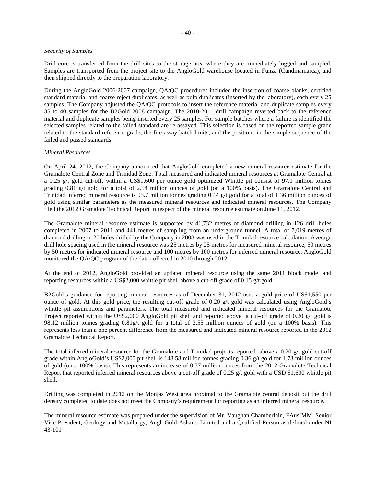#### *Security of Samples*

Drill core is transferred from the drill sites to the storage area where they are immediately logged and sampled. Samples are transported from the project site to the AngloGold warehouse located in Funza (Cundinamarca), and then shipped directly to the preparation laboratory.

During the AngloGold 2006-2007 campaign, QA/QC procedures included the insertion of coarse blanks, certified standard material and coarse reject duplicates, as well as pulp duplicates (inserted by the laboratory), each every 25 samples. The Company adjusted the QA/QC protocols to insert the reference material and duplicate samples every 35 to 40 samples for the B2Gold 2008 campaign. The 2010-2011 drill campaign reverted back to the reference material and duplicate samples being inserted every 25 samples. For sample batches where a failure is identified the selected samples related to the failed standard are re-assayed. This selection is based on the reported sample grade related to the standard reference grade, the fire assay batch limits, and the positions in the sample sequence of the failed and passed standards.

### *Mineral Resources*

On April 24, 2012, the Company announced that AngloGold completed a new mineral resource estimate for the Gramalote Central Zone and Trinidad Zone. Total measured and indicated mineral resources at Gramalote Central at a 0.25 g/t gold cut-off, within a US\$1,600 per ounce gold optimized Whittle pit consist of 97.1 million tonnes grading 0.81 g/t gold for a total of 2.54 million ounces of gold (on a 100% basis). The Gramalote Central and Trinidad inferred mineral resource is 95.7 million tonnes grading 0.44 g/t gold for a total of 1.36 million ounces of gold using similar parameters as the measured mineral resources and indicated mineral resources. The Company filed the 2012 Gramalote Technical Report in respect of the mineral resource estimate on June 11, 2012.

The Gramalote mineral resource estimate is supported by 41,732 metres of diamond drilling in 126 drill holes completed in 2007 to 2011 and 441 metres of sampling from an underground tunnel. A total of 7,019 metres of diamond drilling in 20 holes drilled by the Company in 2008 was used in the Trinidad resource calculation. Average drill hole spacing used in the mineral resource was 25 metres by 25 metres for measured mineral resource, 50 metres by 50 metres for indicated mineral resource and 100 metres by 100 metres for inferred mineral resource. AngloGold monitored the QA/QC program of the data collected in 2010 through 2012.

At the end of 2012, AngloGold provided an updated mineral resource using the same 2011 block model and reporting resources within a US\$2,000 whittle pit shell above a cut-off grade of 0.15 g/t gold.

B2Gold's guidance for reporting mineral resources as of December 31, 2012 uses a gold price of US\$1,550 per ounce of gold. At this gold price, the resulting cut-off grade of 0.20 g/t gold was calculated using AngloGold's whittle pit assumptions and parameters. The total measured and indicated mineral resources for the Gramalote Project reported within the US\$2,000 AngloGold pit shell and reported above a cut-off grade of 0.20 g/t gold is 98.12 million tonnes grading 0.81g/t gold for a total of 2.55 million ounces of gold (on a 100% basis). This represents less than a one percent difference from the measured and indicated mineral resource reported in the 2012 Gramalote Technical Report.

The total inferred mineral resource for the Gramalote and Trinidad projects reported above a 0.20 g/t gold cut-off grade within AngloGold's US\$2,000 pit shell is 148.58 million tonnes grading 0.36 g/t gold for 1.73 million ounces of gold (on a 100% basis). This represents an increase of 0.37 million ounces from the 2012 Gramalote Technical Report that reported inferred mineral resources above a cut-off grade of 0.25 g/t gold with a USD \$1,600 whittle pit shell.

Drilling was completed in 2012 on the Monjas West area proximal to the Gramalote central deposit but the drill density completed to date does not meet the Company's requirement for reporting as an inferred mineral resource.

The mineral resource estimate was prepared under the supervision of Mr. Vaughan Chamberlain, FAusIMM, Senior Vice President, Geology and Metallurgy, AngloGold Ashanti Limited and a Qualified Person as defined under NI 43-101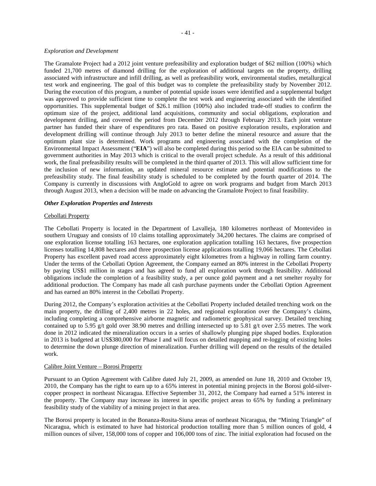#### *Exploration and Development*

The Gramalote Project had a 2012 joint venture prefeasibility and exploration budget of \$62 million (100%) which funded 21,700 metres of diamond drilling for the exploration of additional targets on the property, drilling associated with infrastructure and infill drilling, as well as prefeasibility work, environmental studies, metallurgical test work and engineering. The goal of this budget was to complete the prefeasibility study by November 2012. During the execution of this program, a number of potential upside issues were identified and a supplemental budget was approved to provide sufficient time to complete the test work and engineering associated with the identified opportunities. This supplemental budget of \$26.1 million (100%) also included trade-off studies to confirm the optimum size of the project, additional land acquisitions, community and social obligations, exploration and development drilling, and covered the period from December 2012 through February 2013. Each joint venture partner has funded their share of expenditures pro rata. Based on positive exploration results, exploration and development drilling will continue through July 2013 to better define the mineral resource and assure that the optimum plant size is determined. Work programs and engineering associated with the completion of the Environmental Impact Assessment ("**EIA**") will also be completed during this period so the EIA can be submitted to government authorities in May 2013 which is critical to the overall project schedule. As a result of this additional work, the final prefeasibility results will be completed in the third quarter of 2013. This will allow sufficient time for the inclusion of new information, an updated mineral resource estimate and potential modifications to the prefeasibility study. The final feasibility study is scheduled to be completed by the fourth quarter of 2014. The Company is currently in discussions with AngloGold to agree on work programs and budget from March 2013 through August 2013, when a decision will be made on advancing the Gramalote Project to final feasibility.

## *Other Exploration Properties and Interests*

#### Cebollati Property

The Cebollati Property is located in the Department of Lavalleja, 180 kilometres northeast of Montevideo in southern Uruguay and consists of 10 claims totalling approximately 34,200 hectares. The claims are comprised of one exploration license totalling 163 hectares, one exploration application totalling 163 hectares, five prospection licenses totalling 14,808 hectares and three prospection license applications totalling 19,066 hectares. The Cebollati Property has excellent paved road access approximately eight kilometres from a highway in rolling farm country. Under the terms of the Cebollati Option Agreement, the Company earned an 80% interest in the Cebollati Property by paying US\$1 million in stages and has agreed to fund all exploration work through feasibility. Additional obligations include the completion of a feasibility study, a per ounce gold payment and a net smelter royalty for additional production. The Company has made all cash purchase payments under the Cebollati Option Agreement and has earned an 80% interest in the Cebollati Property.

During 2012, the Company's exploration activities at the Cebollati Property included detailed trenching work on the main property, the drilling of 2,400 metres in 22 holes, and regional exploration over the Company's claims, including completing a comprehensive airborne magnetic and radiometric geophysical survey. Detailed trenching contained up to 5.95 g/t gold over 38.90 metres and drilling intersected up to 5.81 g/t over 2.55 metres. The work done in 2012 indicated the mineralization occurs in a series of shallowly plunging pipe shaped bodies. Exploration in 2013 is budgeted at US\$380,000 for Phase I and will focus on detailed mapping and re-logging of existing holes to determine the down plunge direction of mineralization. Further drilling will depend on the results of the detailed work.

#### Calibre Joint Venture – Borosi Property

Pursuant to an Option Agreement with Calibre dated July 21, 2009, as amended on June 18, 2010 and October 19, 2010, the Company has the right to earn up to a 65% interest in potential mining projects in the Borosi gold-silvercopper prospect in northeast Nicaragua. Effective September 31, 2012, the Company had earned a 51% interest in the property. The Company may increase its interest in specific project areas to 65% by funding a preliminary feasibility study of the viability of a mining project in that area.

The Borosi property is located in the Bonanza-Rosita-Siuna areas of northeast Nicaragua, the "Mining Triangle" of Nicaragua, which is estimated to have had historical production totalling more than 5 million ounces of gold, 4 million ounces of silver, 158,000 tons of copper and 106,000 tons of zinc. The initial exploration had focused on the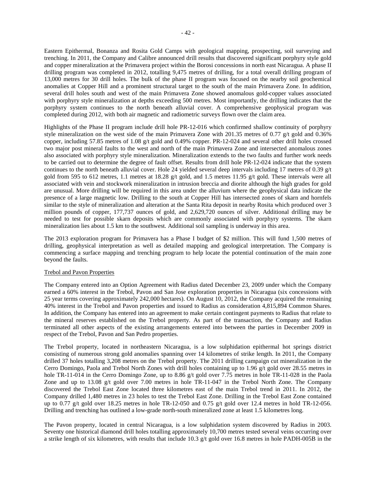Eastern Epithermal, Bonanza and Rosita Gold Camps with geological mapping, prospecting, soil surveying and trenching. In 2011, the Company and Calibre announced drill results that discovered significant porphyry style gold and copper mineralization at the Primavera project within the Borosi concessions in north east Nicaragua. A phase II drilling program was completed in 2012, totalling 9,475 metres of drilling, for a total overall drilling program of 13,000 metres for 30 drill holes. The bulk of the phase II program was focused on the nearby soil geochemical anomalies at Copper Hill and a prominent structural target to the south of the main Primavera Zone. In addition, several drill holes south and west of the main Primavera Zone showed anomalous gold-copper values associated with porphyry style mineralization at depths exceeding 500 metres. Most importantly, the drilling indicates that the porphyry system continues to the north beneath alluvial cover. A comprehensive geophysical program was completed during 2012, with both air magnetic and radiometric surveys flown over the claim area.

Highlights of the Phase II program include drill hole PR-12-016 which confirmed shallow continuity of porphyry style mineralization on the west side of the main Primavera Zone with 201.35 metres of 0.77 g/t gold and 0.36% copper, including 57.85 metres of 1.08 g/t gold and 0.49% copper. PR-12-024 and several other drill holes crossed two major post mineral faults to the west and north of the main Primavera Zone and intersected anomalous zones also associated with porphyry style mineralization. Mineralization extends to the two faults and further work needs to be carried out to determine the degree of fault offset. Results from drill hole PR-12-024 indicate that the system continues to the north beneath alluvial cover. Hole 24 yielded several deep intervals including 17 metres of 0.39 g/t gold from 595 to 612 metres, 1.1 metres at 18.28  $g/t$  gold, and 1.5 metres 11.95  $g/t$  gold. These intervals were all associated with vein and stockwork mineralization in intrusion breccia and diorite although the high grades for gold are unusual. More drilling will be required in this area under the alluvium where the geophysical data indicate the presence of a large magnetic low. Drilling to the south at Copper Hill has intersected zones of skarn and hornfels similar to the style of mineralization and alteration at the Santa Rita deposit in nearby Rosita which produced over 3 million pounds of copper, 177,737 ounces of gold, and 2,629,720 ounces of silver. Additional drilling may be needed to test for possible skarn deposits which are commonly associated with porphyry systems. The skarn mineralization lies about 1.5 km to the southwest. Additional soil sampling is underway in this area.

The 2013 exploration program for Primavera has a Phase I budget of \$2 million. This will fund 1,500 metres of drilling, geophysical interpretation as well as detailed mapping and geological interpretation. The Company is commencing a surface mapping and trenching program to help locate the potential continuation of the main zone beyond the faults.

### Trebol and Pavon Properties

The Company entered into an Option Agreement with Radius dated December 23, 2009 under which the Company earned a 60% interest in the Trebol, Pavon and San Jose exploration properties in Nicaragua (six concessions with 25 year terms covering approximately 242,000 hectares). On August 10, 2012, the Company acquired the remaining 40% interest in the Trebol and Pavon properties and issued to Radius as consideration 4,815,894 Common Shares. In addition, the Company has entered into an agreement to make certain contingent payments to Radius that relate to the mineral reserves established on the Trebol property. As part of the transaction, the Company and Radius terminated all other aspects of the existing arrangements entered into between the parties in December 2009 in respect of the Trebol, Pavon and San Pedro properties.

The Trebol property, located in northeastern Nicaragua, is a low sulphidation epithermal hot springs district consisting of numerous strong gold anomalies spanning over 14 kilometres of strike length. In 2011, the Company drilled 37 holes totalling 3,208 metres on the Trebol property. The 2011 drilling campaign cut mineralization in the Cerro Domingo, Paola and Trebol North Zones with drill holes containing up to 1.96 g/t gold over 28.55 metres in hole TR-11-014 in the Cerro Domingo Zone, up to 8.86 g/t gold over 7.75 metres in hole TR-11-028 in the Paola Zone and up to 13.08 g/t gold over 7.00 metres in hole TR-11-047 in the Trebol North Zone. The Company discovered the Trebol East Zone located three kilometres east of the main Trebol trend in 2011. In 2012, the Company drilled 1,480 metres in 23 holes to test the Trebol East Zone. Drilling in the Trebol East Zone contained up to 0.77 g/t gold over 18.25 metres in hole TR-12-050 and 0.75 g/t gold over 12.4 metres in hold TR-12-056. Drilling and trenching has outlined a low-grade north-south mineralized zone at least 1.5 kilometres long.

The Pavon property, located in central Nicaragua, is a low sulphidation system discovered by Radius in 2003. Seventy one historical diamond drill holes totalling approximately 10,700 metres tested several veins occurring over a strike length of six kilometres, with results that include 10.3 g/t gold over 16.8 metres in hole PADH-005B in the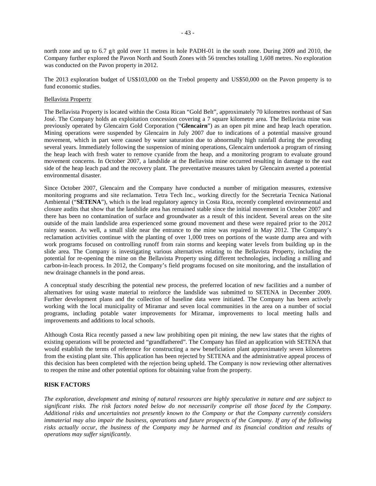north zone and up to 6.7 g/t gold over 11 metres in hole PADH-01 in the south zone. During 2009 and 2010, the Company further explored the Pavon North and South Zones with 56 trenches totalling 1,608 metres. No exploration was conducted on the Pavon property in 2012.

The 2013 exploration budget of US\$103,000 on the Trebol property and US\$50,000 on the Pavon property is to fund economic studies.

### Bellavista Property

The Bellavista Property is located within the Costa Rican "Gold Belt", approximately 70 kilometres northeast of San José. The Company holds an exploitation concession covering a 7 square kilometre area. The Bellavista mine was previously operated by Glencairn Gold Corporation ("**Glencairn**") as an open pit mine and heap leach operation. Mining operations were suspended by Glencairn in July 2007 due to indications of a potential massive ground movement, which in part were caused by water saturation due to abnormally high rainfall during the preceding several years. Immediately following the suspension of mining operations, Glencairn undertook a program of rinsing the heap leach with fresh water to remove cyanide from the heap, and a monitoring program to evaluate ground movement concerns. In October 2007, a landslide at the Bellavista mine occurred resulting in damage to the east side of the heap leach pad and the recovery plant. The preventative measures taken by Glencairn averted a potential environmental disaster.

Since October 2007, Glencairn and the Company have conducted a number of mitigation measures, extensive monitoring programs and site reclamation. Tetra Tech Inc., working directly for the Secretaria Tecnica National Ambiental ("**SETENA**"), which is the lead regulatory agency in Costa Rica, recently completed environmental and closure audits that show that the landslide area has remained stable since the initial movement in October 2007 and there has been no contamination of surface and groundwater as a result of this incident. Several areas on the site outside of the main landslide area experienced some ground movement and these were repaired prior to the 2012 rainy season. As well, a small slide near the entrance to the mine was repaired in May 2012. The Company's reclamation activities continue with the planting of over 1,000 trees on portions of the waste dump area and with work programs focused on controlling runoff from rain storms and keeping water levels from building up in the slide area. The Company is investigating various alternatives relating to the Bellavista Property, including the potential for re-opening the mine on the Bellavista Property using different technologies, including a milling and carbon-in-leach process. In 2012, the Company's field programs focused on site monitoring, and the installation of new drainage channels in the pond areas.

A conceptual study describing the potential new process, the preferred location of new facilities and a number of alternatives for using waste material to reinforce the landslide was submitted to SETENA in December 2009. Further development plans and the collection of baseline data were initiated. The Company has been actively working with the local municipality of Miramar and seven local communities in the area on a number of social programs, including potable water improvements for Miramar, improvements to local meeting halls and improvements and additions to local schools.

Although Costa Rica recently passed a new law prohibiting open pit mining, the new law states that the rights of existing operations will be protected and "grandfathered". The Company has filed an application with SETENA that would establish the terms of reference for constructing a new beneficiation plant approximately seven kilometres from the existing plant site. This application has been rejected by SETENA and the administrative appeal process of this decision has been completed with the rejection being upheld. The Company is now reviewing other alternatives to reopen the mine and other potential options for obtaining value from the property.

## **RISK FACTORS**

*The exploration, development and mining of natural resources are highly speculative in nature and are subject to significant risks. The risk factors noted below do not necessarily comprise all those faced by the Company. Additional risks and uncertainties not presently known to the Company or that the Company currently considers immaterial may also impair the business, operations and future prospects of the Company. If any of the following risks actually occur, the business of the Company may be harmed and its financial condition and results of operations may suffer significantly.*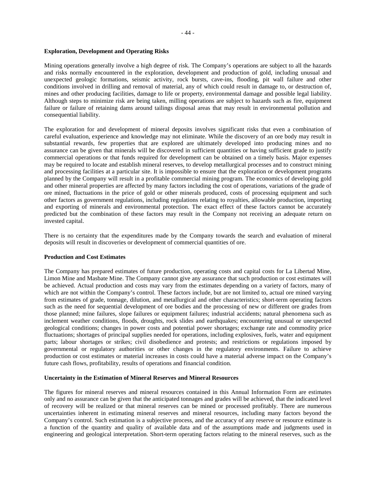#### **Exploration, Development and Operating Risks**

Mining operations generally involve a high degree of risk. The Company's operations are subject to all the hazards and risks normally encountered in the exploration, development and production of gold, including unusual and unexpected geologic formations, seismic activity, rock bursts, cave-ins, flooding, pit wall failure and other conditions involved in drilling and removal of material, any of which could result in damage to, or destruction of, mines and other producing facilities, damage to life or property, environmental damage and possible legal liability. Although steps to minimize risk are being taken, milling operations are subject to hazards such as fire, equipment failure or failure of retaining dams around tailings disposal areas that may result in environmental pollution and consequential liability.

The exploration for and development of mineral deposits involves significant risks that even a combination of careful evaluation, experience and knowledge may not eliminate. While the discovery of an ore body may result in substantial rewards, few properties that are explored are ultimately developed into producing mines and no assurance can be given that minerals will be discovered in sufficient quantities or having sufficient grade to justify commercial operations or that funds required for development can be obtained on a timely basis. Major expenses may be required to locate and establish mineral reserves, to develop metallurgical processes and to construct mining and processing facilities at a particular site. It is impossible to ensure that the exploration or development programs planned by the Company will result in a profitable commercial mining program. The economics of developing gold and other mineral properties are affected by many factors including the cost of operations, variations of the grade of ore mined, fluctuations in the price of gold or other minerals produced, costs of processing equipment and such other factors as government regulations, including regulations relating to royalties, allowable production, importing and exporting of minerals and environmental protection. The exact effect of these factors cannot be accurately predicted but the combination of these factors may result in the Company not receiving an adequate return on invested capital.

There is no certainty that the expenditures made by the Company towards the search and evaluation of mineral deposits will result in discoveries or development of commercial quantities of ore.

#### **Production and Cost Estimates**

The Company has prepared estimates of future production, operating costs and capital costs for La Libertad Mine, Limon Mine and Masbate Mine. The Company cannot give any assurance that such production or cost estimates will be achieved. Actual production and costs may vary from the estimates depending on a variety of factors, many of which are not within the Company's control. These factors include, but are not limited to, actual ore mined varying from estimates of grade, tonnage, dilution, and metallurgical and other characteristics; short-term operating factors such as the need for sequential development of ore bodies and the processing of new or different ore grades from those planned; mine failures, slope failures or equipment failures; industrial accidents; natural phenomena such as inclement weather conditions, floods, droughts, rock slides and earthquakes; encountering unusual or unexpected geological conditions; changes in power costs and potential power shortages; exchange rate and commodity price fluctuations; shortages of principal supplies needed for operations, including explosives, fuels, water and equipment parts; labour shortages or strikes; civil disobedience and protests; and restrictions or regulations imposed by governmental or regulatory authorities or other changes in the regulatory environments. Failure to achieve production or cost estimates or material increases in costs could have a material adverse impact on the Company's future cash flows, profitability, results of operations and financial condition.

## **Uncertainty in the Estimation of Mineral Reserves and Mineral Resources**

The figures for mineral reserves and mineral resources contained in this Annual Information Form are estimates only and no assurance can be given that the anticipated tonnages and grades will be achieved, that the indicated level of recovery will be realized or that mineral reserves can be mined or processed profitably. There are numerous uncertainties inherent in estimating mineral reserves and mineral resources, including many factors beyond the Company's control. Such estimation is a subjective process, and the accuracy of any reserve or resource estimate is a function of the quantity and quality of available data and of the assumptions made and judgments used in engineering and geological interpretation. Short-term operating factors relating to the mineral reserves, such as the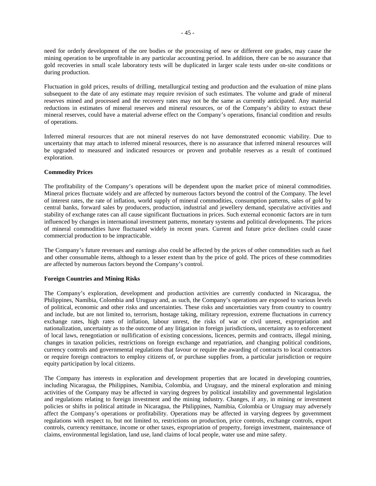need for orderly development of the ore bodies or the processing of new or different ore grades, may cause the mining operation to be unprofitable in any particular accounting period. In addition, there can be no assurance that gold recoveries in small scale laboratory tests will be duplicated in larger scale tests under on-site conditions or during production.

Fluctuation in gold prices, results of drilling, metallurgical testing and production and the evaluation of mine plans subsequent to the date of any estimate may require revision of such estimates. The volume and grade of mineral reserves mined and processed and the recovery rates may not be the same as currently anticipated. Any material reductions in estimates of mineral reserves and mineral resources, or of the Company's ability to extract these mineral reserves, could have a material adverse effect on the Company's operations, financial condition and results of operations.

Inferred mineral resources that are not mineral reserves do not have demonstrated economic viability. Due to uncertainty that may attach to inferred mineral resources, there is no assurance that inferred mineral resources will be upgraded to measured and indicated resources or proven and probable reserves as a result of continued exploration.

## **Commodity Prices**

The profitability of the Company's operations will be dependent upon the market price of mineral commodities. Mineral prices fluctuate widely and are affected by numerous factors beyond the control of the Company. The level of interest rates, the rate of inflation, world supply of mineral commodities, consumption patterns, sales of gold by central banks, forward sales by producers, production, industrial and jewellery demand, speculative activities and stability of exchange rates can all cause significant fluctuations in prices. Such external economic factors are in turn influenced by changes in international investment patterns, monetary systems and political developments. The prices of mineral commodities have fluctuated widely in recent years. Current and future price declines could cause commercial production to be impracticable.

The Company's future revenues and earnings also could be affected by the prices of other commodities such as fuel and other consumable items, although to a lesser extent than by the price of gold. The prices of these commodities are affected by numerous factors beyond the Company's control.

## **Foreign Countries and Mining Risks**

The Company's exploration, development and production activities are currently conducted in Nicaragua, the Philippines, Namibia, Colombia and Uruguay and, as such, the Company's operations are exposed to various levels of political, economic and other risks and uncertainties. These risks and uncertainties vary from country to country and include, but are not limited to, terrorism, hostage taking, military repression, extreme fluctuations in currency exchange rates, high rates of inflation, labour unrest, the risks of war or civil unrest, expropriation and nationalization, uncertainty as to the outcome of any litigation in foreign jurisdictions, uncertainty as to enforcement of local laws, renegotiation or nullification of existing concessions, licences, permits and contracts, illegal mining, changes in taxation policies, restrictions on foreign exchange and repatriation, and changing political conditions, currency controls and governmental regulations that favour or require the awarding of contracts to local contractors or require foreign contractors to employ citizens of, or purchase supplies from, a particular jurisdiction or require equity participation by local citizens.

The Company has interests in exploration and development properties that are located in developing countries, including Nicaragua, the Philippines, Namibia, Colombia, and Uruguay, and the mineral exploration and mining activities of the Company may be affected in varying degrees by political instability and governmental legislation and regulations relating to foreign investment and the mining industry. Changes, if any, in mining or investment policies or shifts in political attitude in Nicaragua, the Philippines, Namibia, Colombia or Uruguay may adversely affect the Company's operations or profitability. Operations may be affected in varying degrees by government regulations with respect to, but not limited to, restrictions on production, price controls, exchange controls, export controls, currency remittance, income or other taxes, expropriation of property, foreign investment, maintenance of claims, environmental legislation, land use, land claims of local people, water use and mine safety.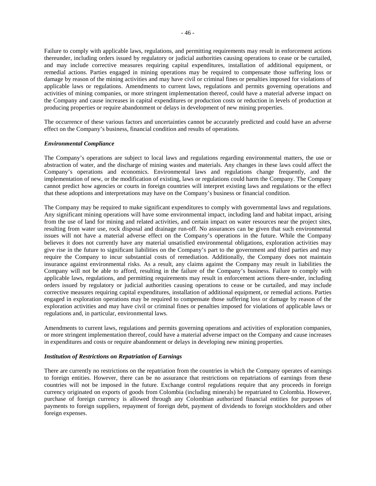Failure to comply with applicable laws, regulations, and permitting requirements may result in enforcement actions thereunder, including orders issued by regulatory or judicial authorities causing operations to cease or be curtailed, and may include corrective measures requiring capital expenditures, installation of additional equipment, or remedial actions. Parties engaged in mining operations may be required to compensate those suffering loss or damage by reason of the mining activities and may have civil or criminal fines or penalties imposed for violations of applicable laws or regulations. Amendments to current laws, regulations and permits governing operations and activities of mining companies, or more stringent implementation thereof, could have a material adverse impact on the Company and cause increases in capital expenditures or production costs or reduction in levels of production at producing properties or require abandonment or delays in development of new mining properties.

The occurrence of these various factors and uncertainties cannot be accurately predicted and could have an adverse effect on the Company's business, financial condition and results of operations.

#### *Environmental Compliance*

The Company's operations are subject to local laws and regulations regarding environmental matters, the use or abstraction of water, and the discharge of mining wastes and materials. Any changes in these laws could affect the Company's operations and economics. Environmental laws and regulations change frequently, and the implementation of new, or the modification of existing, laws or regulations could harm the Company. The Company cannot predict how agencies or courts in foreign countries will interpret existing laws and regulations or the effect that these adoptions and interpretations may have on the Company's business or financial condition.

The Company may be required to make significant expenditures to comply with governmental laws and regulations. Any significant mining operations will have some environmental impact, including land and habitat impact, arising from the use of land for mining and related activities, and certain impact on water resources near the project sites, resulting from water use, rock disposal and drainage run-off. No assurances can be given that such environmental issues will not have a material adverse effect on the Company's operations in the future. While the Company believes it does not currently have any material unsatisfied environmental obligations, exploration activities may give rise in the future to significant liabilities on the Company's part to the government and third parties and may require the Company to incur substantial costs of remediation. Additionally, the Company does not maintain insurance against environmental risks. As a result, any claims against the Company may result in liabilities the Company will not be able to afford, resulting in the failure of the Company's business. Failure to comply with applicable laws, regulations, and permitting requirements may result in enforcement actions there-under, including orders issued by regulatory or judicial authorities causing operations to cease or be curtailed, and may include corrective measures requiring capital expenditures, installation of additional equipment, or remedial actions. Parties engaged in exploration operations may be required to compensate those suffering loss or damage by reason of the exploration activities and may have civil or criminal fines or penalties imposed for violations of applicable laws or regulations and, in particular, environmental laws.

Amendments to current laws, regulations and permits governing operations and activities of exploration companies, or more stringent implementation thereof, could have a material adverse impact on the Company and cause increases in expenditures and costs or require abandonment or delays in developing new mining properties.

#### *Institution of Restrictions on Repatriation of Earnings*

There are currently no restrictions on the repatriation from the countries in which the Company operates of earnings to foreign entities. However, there can be no assurance that restrictions on repatriations of earnings from these countries will not be imposed in the future. Exchange control regulations require that any proceeds in foreign currency originated on exports of goods from Colombia (including minerals) be repatriated to Colombia. However, purchase of foreign currency is allowed through any Colombian authorized financial entities for purposes of payments to foreign suppliers, repayment of foreign debt, payment of dividends to foreign stockholders and other foreign expenses.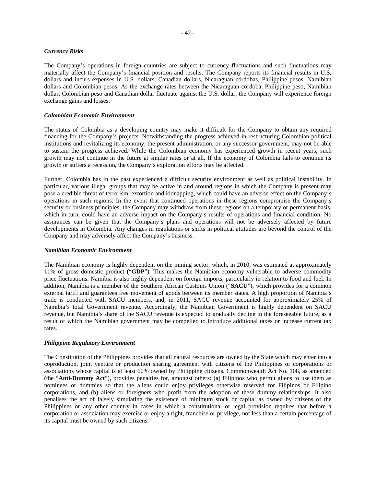### *Currency Risks*

The Company's operations in foreign countries are subject to currency fluctuations and such fluctuations may materially affect the Company's financial position and results. The Company reports its financial results in U.S. dollars and incurs expenses in U.S. dollars, Canadian dollars, Nicaraguan córdobas, Philippine pesos, Namibian dollars and Colombian pesos. As the exchange rates between the Nicaraguan córdoba, Philippine peso, Namibian dollar, Colombian peso and Canadian dollar fluctuate against the U.S. dollar, the Company will experience foreign exchange gains and losses.

#### *Colombian Economic Environment*

The status of Colombia as a developing country may make it difficult for the Company to obtain any required financing for the Company's projects. Notwithstanding the progress achieved in restructuring Colombian political institutions and revitalizing its economy, the present administration, or any successor government, may not be able to sustain the progress achieved. While the Colombian economy has experienced growth in recent years, such growth may not continue in the future at similar rates or at all. If the economy of Colombia fails to continue its growth or suffers a recession, the Company's exploration efforts may be affected.

Further, Colombia has in the past experienced a difficult security environment as well as political instability. In particular, various illegal groups that may be active in and around regions in which the Company is present may pose a credible threat of terrorism, extortion and kidnapping, which could have an adverse effect on the Company's operations in such regions. In the event that continued operations in these regions compromise the Company's security or business principles, the Company may withdraw from these regions on a temporary or permanent basis, which in turn, could have an adverse impact on the Company's results of operations and financial condition. No assurances can be given that the Company's plans and operations will not be adversely affected by future developments in Colombia. Any changes in regulations or shifts in political attitudes are beyond the control of the Company and may adversely affect the Company's business.

### *Namibian Economic Environment*

The Namibian economy is highly dependent on the mining sector, which, in 2010, was estimated at approximately 11% of gross domestic product ("**GDP**"). This makes the Namibian economy vulnerable to adverse commodity price fluctuations. Namibia is also highly dependent on foreign imports, particularly in relation to food and fuel. In addition, Namibia is a member of the Southern African Customs Union ("**SACU**"), which provides for a common external tariff and guarantees free movement of goods between its member states. A high proportion of Namibia's trade is conducted with SACU members, and, in 2011, SACU revenue accounted for approximately 25% of Namibia's total Government revenue. Accordingly, the Namibian Government is highly dependent on SACU revenue, but Namibia's share of the SACU revenue is expected to gradually decline in the foreseeable future, as a result of which the Namibian government may be compelled to introduce additional taxes or increase current tax rates.

### *Philippine Regulatory Environment*

The Constitution of the Philippines provides that all natural resources are owned by the State which may enter into a coproduction, joint venture or production sharing agreement with citizens of the Philippines or corporations or associations whose capital is at least 60% owned by Philippine citizens. Commonwealth Act No. 108, as amended (the "**Anti-Dummy Act**"), provides penalties for, amongst others: (a) Filipinos who permit aliens to use them as nominees or dummies so that the aliens could enjoy privileges otherwise reserved for Filipinos or Filipino corporations, and (b) aliens or foreigners who profit from the adoption of these dummy relationships. It also penalises the act of falsely simulating the existence of minimum stock or capital as owned by citizens of the Philippines or any other country in cases in which a constitutional or legal provision requires that before a corporation or association may exercise or enjoy a right, franchise or privilege, not less than a certain percentage of its capital must be owned by such citizens.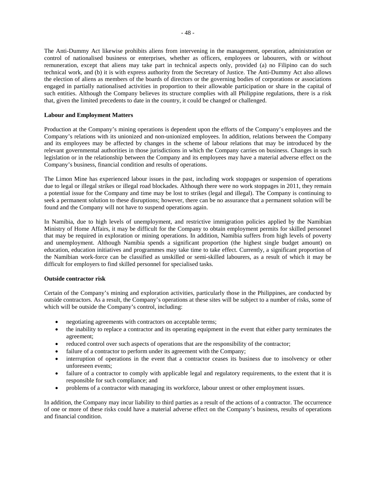The Anti-Dummy Act likewise prohibits aliens from intervening in the management, operation, administration or control of nationalised business or enterprises, whether as officers, employees or labourers, with or without remuneration, except that aliens may take part in technical aspects only, provided (a) no Filipino can do such technical work, and (b) it is with express authority from the Secretary of Justice. The Anti-Dummy Act also allows the election of aliens as members of the boards of directors or the governing bodies of corporations or associations engaged in partially nationalised activities in proportion to their allowable participation or share in the capital of such entities. Although the Company believes its structure complies with all Philippine regulations, there is a risk that, given the limited precedents to date in the country, it could be changed or challenged.

## **Labour and Employment Matters**

Production at the Company's mining operations is dependent upon the efforts of the Company's employees and the Company's relations with its unionized and non-unionized employees. In addition, relations between the Company and its employees may be affected by changes in the scheme of labour relations that may be introduced by the relevant governmental authorities in those jurisdictions in which the Company carries on business. Changes in such legislation or in the relationship between the Company and its employees may have a material adverse effect on the Company's business, financial condition and results of operations.

The Limon Mine has experienced labour issues in the past, including work stoppages or suspension of operations due to legal or illegal strikes or illegal road blockades. Although there were no work stoppages in 2011, they remain a potential issue for the Company and time may be lost to strikes (legal and illegal). The Company is continuing to seek a permanent solution to these disruptions; however, there can be no assurance that a permanent solution will be found and the Company will not have to suspend operations again.

In Namibia, due to high levels of unemployment, and restrictive immigration policies applied by the Namibian Ministry of Home Affairs, it may be difficult for the Company to obtain employment permits for skilled personnel that may be required in exploration or mining operations. In addition, Namibia suffers from high levels of poverty and unemployment. Although Namibia spends a significant proportion (the highest single budget amount) on education, education initiatives and programmes may take time to take effect. Currently, a significant proportion of the Namibian work-force can be classified as unskilled or semi-skilled labourers, as a result of which it may be difficult for employers to find skilled personnel for specialised tasks.

### **Outside contractor risk**

Certain of the Company's mining and exploration activities, particularly those in the Philippines, are conducted by outside contractors. As a result, the Company's operations at these sites will be subject to a number of risks, some of which will be outside the Company's control, including:

- negotiating agreements with contractors on acceptable terms;
- the inability to replace a contractor and its operating equipment in the event that either party terminates the agreement;
- reduced control over such aspects of operations that are the responsibility of the contractor;
- failure of a contractor to perform under its agreement with the Company;
- interruption of operations in the event that a contractor ceases its business due to insolvency or other unforeseen events;
- failure of a contractor to comply with applicable legal and regulatory requirements, to the extent that it is responsible for such compliance; and
- problems of a contractor with managing its workforce, labour unrest or other employment issues.

In addition, the Company may incur liability to third parties as a result of the actions of a contractor. The occurrence of one or more of these risks could have a material adverse effect on the Company's business, results of operations and financial condition.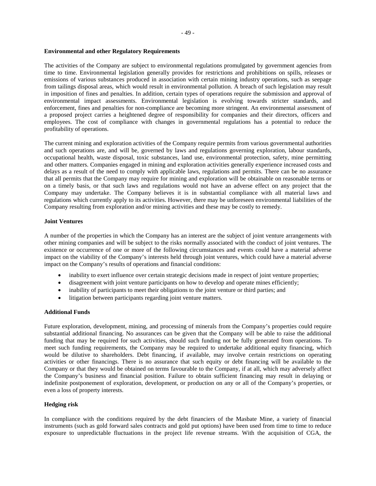#### **Environmental and other Regulatory Requirements**

The activities of the Company are subject to environmental regulations promulgated by government agencies from time to time. Environmental legislation generally provides for restrictions and prohibitions on spills, releases or emissions of various substances produced in association with certain mining industry operations, such as seepage from tailings disposal areas, which would result in environmental pollution. A breach of such legislation may result in imposition of fines and penalties. In addition, certain types of operations require the submission and approval of environmental impact assessments. Environmental legislation is evolving towards stricter standards, and enforcement, fines and penalties for non-compliance are becoming more stringent. An environmental assessment of a proposed project carries a heightened degree of responsibility for companies and their directors, officers and employees. The cost of compliance with changes in governmental regulations has a potential to reduce the profitability of operations.

The current mining and exploration activities of the Company require permits from various governmental authorities and such operations are, and will be, governed by laws and regulations governing exploration, labour standards, occupational health, waste disposal, toxic substances, land use, environmental protection, safety, mine permitting and other matters. Companies engaged in mining and exploration activities generally experience increased costs and delays as a result of the need to comply with applicable laws, regulations and permits. There can be no assurance that all permits that the Company may require for mining and exploration will be obtainable on reasonable terms or on a timely basis, or that such laws and regulations would not have an adverse effect on any project that the Company may undertake. The Company believes it is in substantial compliance with all material laws and regulations which currently apply to its activities. However, there may be unforeseen environmental liabilities of the Company resulting from exploration and/or mining activities and these may be costly to remedy.

#### **Joint Ventures**

A number of the properties in which the Company has an interest are the subject of joint venture arrangements with other mining companies and will be subject to the risks normally associated with the conduct of joint ventures. The existence or occurrence of one or more of the following circumstances and events could have a material adverse impact on the viability of the Company's interests held through joint ventures, which could have a material adverse impact on the Company's results of operations and financial conditions:

- inability to exert influence over certain strategic decisions made in respect of joint venture properties;
- disagreement with joint venture participants on how to develop and operate mines efficiently;
- inability of participants to meet their obligations to the joint venture or third parties; and
- litigation between participants regarding joint venture matters.

### **Additional Funds**

Future exploration, development, mining, and processing of minerals from the Company's properties could require substantial additional financing. No assurances can be given that the Company will be able to raise the additional funding that may be required for such activities, should such funding not be fully generated from operations. To meet such funding requirements, the Company may be required to undertake additional equity financing, which would be dilutive to shareholders. Debt financing, if available, may involve certain restrictions on operating activities or other financings. There is no assurance that such equity or debt financing will be available to the Company or that they would be obtained on terms favourable to the Company, if at all, which may adversely affect the Company's business and financial position. Failure to obtain sufficient financing may result in delaying or indefinite postponement of exploration, development, or production on any or all of the Company's properties, or even a loss of property interests.

## **Hedging risk**

In compliance with the conditions required by the debt financiers of the Masbate Mine, a variety of financial instruments (such as gold forward sales contracts and gold put options) have been used from time to time to reduce exposure to unpredictable fluctuations in the project life revenue streams. With the acquisition of CGA, the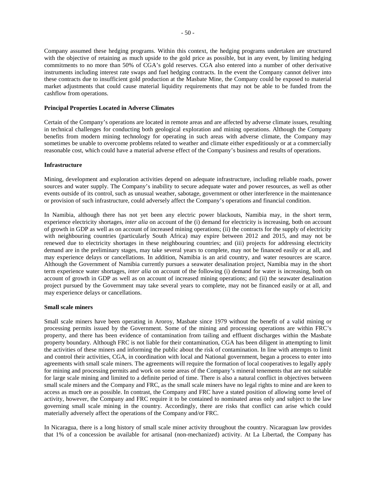Company assumed these hedging programs. Within this context, the hedging programs undertaken are structured with the objective of retaining as much upside to the gold price as possible, but in any event, by limiting hedging commitments to no more than 50% of CGA's gold reserves. CGA also entered into a number of other derivative instruments including interest rate swaps and fuel hedging contracts. In the event the Company cannot deliver into these contracts due to insufficient gold production at the Masbate Mine, the Company could be exposed to material market adjustments that could cause material liquidity requirements that may not be able to be funded from the cashflow from operations.

### **Principal Properties Located in Adverse Climates**

Certain of the Company's operations are located in remote areas and are affected by adverse climate issues, resulting in technical challenges for conducting both geological exploration and mining operations. Although the Company benefits from modern mining technology for operating in such areas with adverse climate, the Company may sometimes be unable to overcome problems related to weather and climate either expeditiously or at a commercially reasonable cost, which could have a material adverse effect of the Company's business and results of operations.

#### **Infrastructure**

Mining, development and exploration activities depend on adequate infrastructure, including reliable roads, power sources and water supply. The Company's inability to secure adequate water and power resources, as well as other events outside of its control, such as unusual weather, sabotage, government or other interference in the maintenance or provision of such infrastructure, could adversely affect the Company's operations and financial condition.

In Namibia, although there has not yet been any electric power blackouts, Namibia may, in the short term, experience electricity shortages, *inter alia* on account of the (i) demand for electricity is increasing, both on account of growth in GDP as well as on account of increased mining operations; (ii) the contracts for the supply of electricity with neighbouring countries (particularly South Africa) may expire between 2012 and 2015, and may not be renewed due to electricity shortages in these neighbouring countries; and (iii) projects for addressing electricity demand are in the preliminary stages, may take several years to complete, may not be financed easily or at all, and may experience delays or cancellations. In addition, Namibia is an arid country, and water resources are scarce. Although the Government of Namibia currently pursues a seawater desalination project, Namibia may in the short term experience water shortages, *inter alia* on account of the following (i) demand for water is increasing, both on account of growth in GDP as well as on account of increased mining operations; and (ii) the seawater desalination project pursued by the Government may take several years to complete, may not be financed easily or at all, and may experience delays or cancellations.

#### **Small scale miners**

Small scale miners have been operating in Aroroy, Masbate since 1979 without the benefit of a valid mining or processing permits issued by the Government. Some of the mining and processing operations are within FRC's property, and there has been evidence of contamination from tailing and effluent discharges within the Masbate property boundary. Although FRC is not liable for their contamination, CGA has been diligent in attempting to limit the activities of these miners and informing the public about the risk of contamination. In line with attempts to limit and control their activities, CGA, in coordination with local and National government, began a process to enter into agreements with small scale miners. The agreements will require the formation of local cooperatives to legally apply for mining and processing permits and work on some areas of the Company's mineral tenements that are not suitable for large scale mining and limited to a definite period of time. There is also a natural conflict in objectives between small scale miners and the Company and FRC, as the small scale miners have no legal rights to mine and are keen to access as much ore as possible. In contrast, the Company and FRC have a stated position of allowing some level of activity, however, the Company and FRC require it to be contained to nominated areas only and subject to the law governing small scale mining in the country. Accordingly, there are risks that conflict can arise which could materially adversely affect the operations of the Company and/or FRC.

In Nicaragua, there is a long history of small scale miner activity throughout the country. Nicaraguan law provides that 1% of a concession be available for artisanal (non-mechanized) activity. At La Libertad, the Company has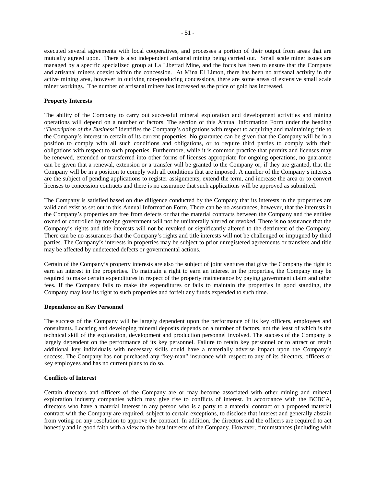executed several agreements with local cooperatives, and processes a portion of their output from areas that are mutually agreed upon. There is also independent artisanal mining being carried out. Small scale miner issues are managed by a specific specialized group at La Libertad Mine, and the focus has been to ensure that the Company and artisanal miners coexist within the concession. At Mina El Limon, there has been no artisanal activity in the active mining area, however in outlying non-producing concessions, there are some areas of extensive small scale miner workings. The number of artisanal miners has increased as the price of gold has increased.

## **Property Interests**

The ability of the Company to carry out successful mineral exploration and development activities and mining operations will depend on a number of factors. The section of this Annual Information Form under the heading "*Description of the Business*" identifies the Company's obligations with respect to acquiring and maintaining title to the Company's interest in certain of its current properties. No guarantee can be given that the Company will be in a position to comply with all such conditions and obligations, or to require third parties to comply with their obligations with respect to such properties. Furthermore, while it is common practice that permits and licenses may be renewed, extended or transferred into other forms of licenses appropriate for ongoing operations, no guarantee can be given that a renewal, extension or a transfer will be granted to the Company or, if they are granted, that the Company will be in a position to comply with all conditions that are imposed. A number of the Company's interests are the subject of pending applications to register assignments, extend the term, and increase the area or to convert licenses to concession contracts and there is no assurance that such applications will be approved as submitted.

The Company is satisfied based on due diligence conducted by the Company that its interests in the properties are valid and exist as set out in this Annual Information Form. There can be no assurances, however, that the interests in the Company's properties are free from defects or that the material contracts between the Company and the entities owned or controlled by foreign government will not be unilaterally altered or revoked. There is no assurance that the Company's rights and title interests will not be revoked or significantly altered to the detriment of the Company. There can be no assurances that the Company's rights and title interests will not be challenged or impugned by third parties. The Company's interests in properties may be subject to prior unregistered agreements or transfers and title may be affected by undetected defects or governmental actions.

Certain of the Company's property interests are also the subject of joint ventures that give the Company the right to earn an interest in the properties. To maintain a right to earn an interest in the properties, the Company may be required to make certain expenditures in respect of the property maintenance by paying government claim and other fees. If the Company fails to make the expenditures or fails to maintain the properties in good standing, the Company may lose its right to such properties and forfeit any funds expended to such time.

### **Dependence on Key Personnel**

The success of the Company will be largely dependent upon the performance of its key officers, employees and consultants. Locating and developing mineral deposits depends on a number of factors, not the least of which is the technical skill of the exploration, development and production personnel involved. The success of the Company is largely dependent on the performance of its key personnel. Failure to retain key personnel or to attract or retain additional key individuals with necessary skills could have a materially adverse impact upon the Company's success. The Company has not purchased any "key-man" insurance with respect to any of its directors, officers or key employees and has no current plans to do so.

## **Conflicts of Interest**

Certain directors and officers of the Company are or may become associated with other mining and mineral exploration industry companies which may give rise to conflicts of interest. In accordance with the BCBCA*,* directors who have a material interest in any person who is a party to a material contract or a proposed material contract with the Company are required, subject to certain exceptions, to disclose that interest and generally abstain from voting on any resolution to approve the contract. In addition, the directors and the officers are required to act honestly and in good faith with a view to the best interests of the Company. However, circumstances (including with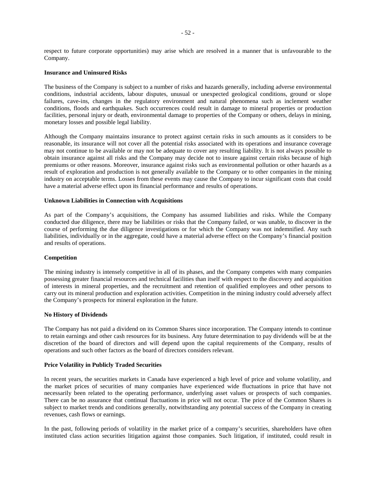respect to future corporate opportunities) may arise which are resolved in a manner that is unfavourable to the Company.

### **Insurance and Uninsured Risks**

The business of the Company is subject to a number of risks and hazards generally, including adverse environmental conditions, industrial accidents, labour disputes, unusual or unexpected geological conditions, ground or slope failures, cave-ins, changes in the regulatory environment and natural phenomena such as inclement weather conditions, floods and earthquakes. Such occurrences could result in damage to mineral properties or production facilities, personal injury or death, environmental damage to properties of the Company or others, delays in mining, monetary losses and possible legal liability.

Although the Company maintains insurance to protect against certain risks in such amounts as it considers to be reasonable, its insurance will not cover all the potential risks associated with its operations and insurance coverage may not continue to be available or may not be adequate to cover any resulting liability. It is not always possible to obtain insurance against all risks and the Company may decide not to insure against certain risks because of high premiums or other reasons. Moreover, insurance against risks such as environmental pollution or other hazards as a result of exploration and production is not generally available to the Company or to other companies in the mining industry on acceptable terms. Losses from these events may cause the Company to incur significant costs that could have a material adverse effect upon its financial performance and results of operations.

#### **Unknown Liabilities in Connection with Acquisitions**

As part of the Company's acquisitions, the Company has assumed liabilities and risks. While the Company conducted due diligence, there may be liabilities or risks that the Company failed, or was unable, to discover in the course of performing the due diligence investigations or for which the Company was not indemnified. Any such liabilities, individually or in the aggregate, could have a material adverse effect on the Company's financial position and results of operations.

### **Competition**

The mining industry is intensely competitive in all of its phases, and the Company competes with many companies possessing greater financial resources and technical facilities than itself with respect to the discovery and acquisition of interests in mineral properties, and the recruitment and retention of qualified employees and other persons to carry out its mineral production and exploration activities. Competition in the mining industry could adversely affect the Company's prospects for mineral exploration in the future.

#### **No History of Dividends**

The Company has not paid a dividend on its Common Shares since incorporation. The Company intends to continue to retain earnings and other cash resources for its business. Any future determination to pay dividends will be at the discretion of the board of directors and will depend upon the capital requirements of the Company, results of operations and such other factors as the board of directors considers relevant.

## **Price Volatility in Publicly Traded Securities**

In recent years, the securities markets in Canada have experienced a high level of price and volume volatility, and the market prices of securities of many companies have experienced wide fluctuations in price that have not necessarily been related to the operating performance, underlying asset values or prospects of such companies. There can be no assurance that continual fluctuations in price will not occur. The price of the Common Shares is subject to market trends and conditions generally, notwithstanding any potential success of the Company in creating revenues, cash flows or earnings.

In the past, following periods of volatility in the market price of a company's securities, shareholders have often instituted class action securities litigation against those companies. Such litigation, if instituted, could result in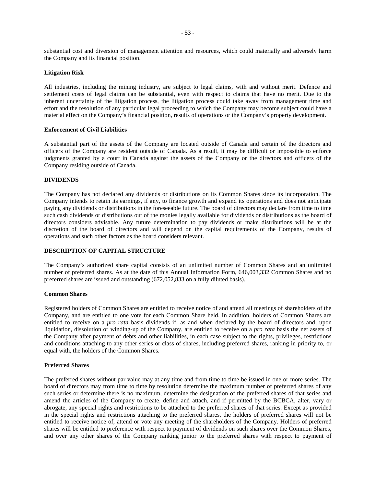substantial cost and diversion of management attention and resources, which could materially and adversely harm the Company and its financial position.

#### **Litigation Risk**

All industries, including the mining industry, are subject to legal claims, with and without merit. Defence and settlement costs of legal claims can be substantial, even with respect to claims that have no merit. Due to the inherent uncertainty of the litigation process, the litigation process could take away from management time and effort and the resolution of any particular legal proceeding to which the Company may become subject could have a material effect on the Company's financial position, results of operations or the Company's property development.

#### **Enforcement of Civil Liabilities**

A substantial part of the assets of the Company are located outside of Canada and certain of the directors and officers of the Company are resident outside of Canada. As a result, it may be difficult or impossible to enforce judgments granted by a court in Canada against the assets of the Company or the directors and officers of the Company residing outside of Canada.

#### **DIVIDENDS**

The Company has not declared any dividends or distributions on its Common Shares since its incorporation. The Company intends to retain its earnings, if any, to finance growth and expand its operations and does not anticipate paying any dividends or distributions in the foreseeable future. The board of directors may declare from time to time such cash dividends or distributions out of the monies legally available for dividends or distributions as the board of directors considers advisable. Any future determination to pay dividends or make distributions will be at the discretion of the board of directors and will depend on the capital requirements of the Company, results of operations and such other factors as the board considers relevant.

### **DESCRIPTION OF CAPITAL STRUCTURE**

The Company's authorized share capital consists of an unlimited number of Common Shares and an unlimited number of preferred shares. As at the date of this Annual Information Form, 646,003,332 Common Shares and no preferred shares are issued and outstanding (672,052,833 on a fully diluted basis).

#### **Common Shares**

Registered holders of Common Shares are entitled to receive notice of and attend all meetings of shareholders of the Company, and are entitled to one vote for each Common Share held. In addition, holders of Common Shares are entitled to receive on a *pro rata* basis dividends if, as and when declared by the board of directors and, upon liquidation, dissolution or winding-up of the Company, are entitled to receive on a *pro rata* basis the net assets of the Company after payment of debts and other liabilities, in each case subject to the rights, privileges, restrictions and conditions attaching to any other series or class of shares, including preferred shares, ranking in priority to, or equal with, the holders of the Common Shares.

#### **Preferred Shares**

The preferred shares without par value may at any time and from time to time be issued in one or more series. The board of directors may from time to time by resolution determine the maximum number of preferred shares of any such series or determine there is no maximum, determine the designation of the preferred shares of that series and amend the articles of the Company to create, define and attach, and if permitted by the BCBCA, alter, vary or abrogate, any special rights and restrictions to be attached to the preferred shares of that series. Except as provided in the special rights and restrictions attaching to the preferred shares, the holders of preferred shares will not be entitled to receive notice of, attend or vote any meeting of the shareholders of the Company. Holders of preferred shares will be entitled to preference with respect to payment of dividends on such shares over the Common Shares, and over any other shares of the Company ranking junior to the preferred shares with respect to payment of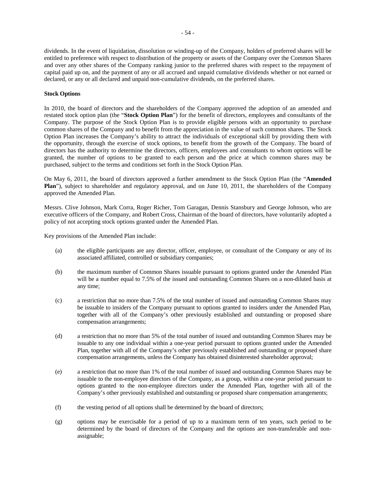dividends. In the event of liquidation, dissolution or winding-up of the Company, holders of preferred shares will be entitled to preference with respect to distribution of the property or assets of the Company over the Common Shares and over any other shares of the Company ranking junior to the preferred shares with respect to the repayment of capital paid up on, and the payment of any or all accrued and unpaid cumulative dividends whether or not earned or declared, or any or all declared and unpaid non-cumulative dividends, on the preferred shares.

## **Stock Options**

In 2010, the board of directors and the shareholders of the Company approved the adoption of an amended and restated stock option plan (the "**Stock Option Plan**") for the benefit of directors, employees and consultants of the Company. The purpose of the Stock Option Plan is to provide eligible persons with an opportunity to purchase common shares of the Company and to benefit from the appreciation in the value of such common shares. The Stock Option Plan increases the Company's ability to attract the individuals of exceptional skill by providing them with the opportunity, through the exercise of stock options, to benefit from the growth of the Company. The board of directors has the authority to determine the directors, officers, employees and consultants to whom options will be granted, the number of options to be granted to each person and the price at which common shares may be purchased, subject to the terms and conditions set forth in the Stock Option Plan.

On May 6, 2011, the board of directors approved a further amendment to the Stock Option Plan (the "**Amended Plan**"), subject to shareholder and regulatory approval, and on June 10, 2011, the shareholders of the Company approved the Amended Plan.

Messrs. Clive Johnson, Mark Corra, Roger Richer, Tom Garagan, Dennis Stansbury and George Johnson, who are executive officers of the Company, and Robert Cross, Chairman of the board of directors, have voluntarily adopted a policy of not accepting stock options granted under the Amended Plan.

Key provisions of the Amended Plan include:

- (a) the eligible participants are any director, officer, employee, or consultant of the Company or any of its associated affiliated, controlled or subsidiary companies;
- (b) the maximum number of Common Shares issuable pursuant to options granted under the Amended Plan will be a number equal to 7.5% of the issued and outstanding Common Shares on a non-diluted basis at any time;
- (c) a restriction that no more than 7.5% of the total number of issued and outstanding Common Shares may be issuable to insiders of the Company pursuant to options granted to insiders under the Amended Plan, together with all of the Company's other previously established and outstanding or proposed share compensation arrangements;
- (d) a restriction that no more than 5% of the total number of issued and outstanding Common Shares may be issuable to any one individual within a one-year period pursuant to options granted under the Amended Plan, together with all of the Company's other previously established and outstanding or proposed share compensation arrangements, unless the Company has obtained disinterested shareholder approval;
- (e) a restriction that no more than 1% of the total number of issued and outstanding Common Shares may be issuable to the non-employee directors of the Company, as a group, within a one-year period pursuant to options granted to the non-employee directors under the Amended Plan, together with all of the Company's other previously established and outstanding or proposed share compensation arrangements;
- (f) the vesting period of all options shall be determined by the board of directors;
- (g) options may be exercisable for a period of up to a maximum term of ten years, such period to be determined by the board of directors of the Company and the options are non-transferable and nonassignable;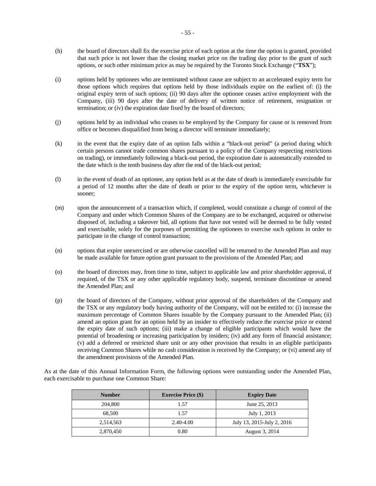- (h) the board of directors shall fix the exercise price of each option at the time the option is granted, provided that such price is not lower than the closing market price on the trading day prior to the grant of such options, or such other minimum price as may be required by the Toronto Stock Exchange ("**TSX**");
- (i) options held by optionees who are terminated without cause are subject to an accelerated expiry term for those options which requires that options held by those individuals expire on the earliest of: (i) the original expiry term of such options; (ii) 90 days after the optionee ceases active employment with the Company, (iii) 90 days after the date of delivery of written notice of retirement, resignation or termination; or (iv) the expiration date fixed by the board of directors;
- (j) options held by an individual who ceases to be employed by the Company for cause or is removed from office or becomes disqualified from being a director will terminate immediately;
- (k) in the event that the expiry date of an option falls within a "black-out period" (a period during which certain persons cannot trade common shares pursuant to a policy of the Company respecting restrictions on trading), or immediately following a black-out period, the expiration date is automatically extended to the date which is the tenth business day after the end of the black-out period;
- (l) in the event of death of an optionee, any option held as at the date of death is immediately exercisable for a period of 12 months after the date of death or prior to the expiry of the option term, whichever is sooner;
- (m) upon the announcement of a transaction which, if completed, would constitute a change of control of the Company and under which Common Shares of the Company are to be exchanged, acquired or otherwise disposed of, including a takeover bid, all options that have not vested will be deemed to be fully vested and exercisable, solely for the purposes of permitting the optionees to exercise such options in order to participate in the change of control transaction;
- (n) options that expire unexercised or are otherwise cancelled will be returned to the Amended Plan and may be made available for future option grant pursuant to the provisions of the Amended Plan; and
- (o) the board of directors may, from time to time, subject to applicable law and prior shareholder approval, if required, of the TSX or any other applicable regulatory body, suspend, terminate discontinue or amend the Amended Plan; and
- (p) the board of directors of the Company, without prior approval of the shareholders of the Company and the TSX or any regulatory body having authority of the Company, will not be entitled to: (i) increase the maximum percentage of Common Shares issuable by the Company pursuant to the Amended Plan; (ii) amend an option grant for an option held by an insider to effectively reduce the exercise price or extend the expiry date of such options; (iii) make a change of eligible participants which would have the potential of broadening or increasing participation by insiders; (iv) add any form of financial assistance; (v) add a deferred or restricted share unit or any other provision that results in an eligible participants receiving Common Shares while no cash consideration is received by the Company; or (vi) amend any of the amendment provisions of the Amended Plan.

As at the date of this Annual Information Form, the following options were outstanding under the Amended Plan, each exercisable to purchase one Common Share:

| <b>Number</b> | <b>Exercise Price (\$)</b> | <b>Expiry Date</b>         |
|---------------|----------------------------|----------------------------|
| 204,800       | 1.57                       | June 25, 2013              |
| 68,500        | 1.57                       | July 1, 2013               |
| 2,514,563     | 2.40-4.00                  | July 13, 2015-July 2, 2016 |
| 2,870,450     | 0.80                       | August 3, 2014             |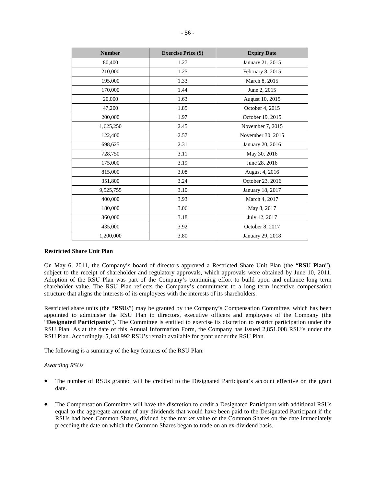| <b>Number</b> | <b>Exercise Price (\$)</b> | <b>Expiry Date</b> |  |
|---------------|----------------------------|--------------------|--|
| 80,400        | 1.27                       | January 21, 2015   |  |
| 210,000       | 1.25                       | February 8, 2015   |  |
| 195,000       | 1.33                       | March 8, 2015      |  |
| 170,000       | 1.44                       | June 2, 2015       |  |
| 20,000        | 1.63                       | August 10, 2015    |  |
| 47,200        | 1.85                       | October 4, 2015    |  |
| 200,000       | 1.97                       | October 19, 2015   |  |
| 1,625,250     | 2.45                       | November 7, 2015   |  |
| 122,400       | 2.57                       | November 30, 2015  |  |
| 698,625       | 2.31                       | January 20, 2016   |  |
| 728,750       | 3.11                       | May 30, 2016       |  |
| 175,000       | 3.19                       | June 28, 2016      |  |
| 815,000       | 3.08                       | August 4, 2016     |  |
| 351,800       | 3.24                       | October 23, 2016   |  |
| 9,525,755     | 3.10                       | January 18, 2017   |  |
| 400,000       | 3.93                       | March 4, 2017      |  |
| 180,000       | 3.06                       | May 8, 2017        |  |
| 360,000       | 3.18                       | July 12, 2017      |  |
| 435,000       | 3.92                       | October 8, 2017    |  |
| 1,200,000     | 3.80                       | January 29, 2018   |  |

### **Restricted Share Unit Plan**

On May 6, 2011, the Company's board of directors approved a Restricted Share Unit Plan (the "**RSU Plan**"), subject to the receipt of shareholder and regulatory approvals, which approvals were obtained by June 10, 2011. Adoption of the RSU Plan was part of the Company's continuing effort to build upon and enhance long term shareholder value. The RSU Plan reflects the Company's commitment to a long term incentive compensation structure that aligns the interests of its employees with the interests of its shareholders.

Restricted share units (the "**RSU**s") may be granted by the Company's Compensation Committee, which has been appointed to administer the RSU Plan to directors, executive officers and employees of the Company (the "**Designated Participants**"). The Committee is entitled to exercise its discretion to restrict participation under the RSU Plan. As at the date of this Annual Information Form, the Company has issued 2,851,008 RSU's under the RSU Plan. Accordingly, 5,148,992 RSU's remain available for grant under the RSU Plan.

The following is a summary of the key features of the RSU Plan:

#### *Awarding RSUs*

- The number of RSUs granted will be credited to the Designated Participant's account effective on the grant date.
- The Compensation Committee will have the discretion to credit a Designated Participant with additional RSUs equal to the aggregate amount of any dividends that would have been paid to the Designated Participant if the RSUs had been Common Shares, divided by the market value of the Common Shares on the date immediately preceding the date on which the Common Shares began to trade on an ex-dividend basis.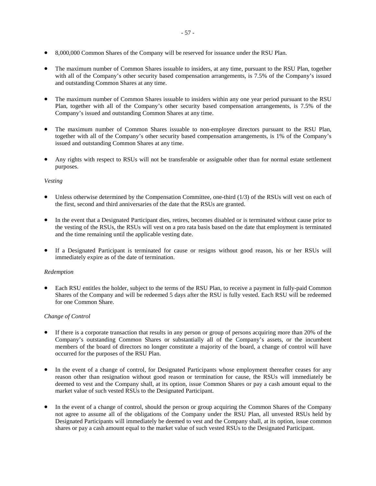- 8,000,000 Common Shares of the Company will be reserved for issuance under the RSU Plan.
- The maximum number of Common Shares issuable to insiders, at any time, pursuant to the RSU Plan, together with all of the Company's other security based compensation arrangements, is 7.5% of the Company's issued and outstanding Common Shares at any time.
- The maximum number of Common Shares issuable to insiders within any one year period pursuant to the RSU Plan, together with all of the Company's other security based compensation arrangements, is 7.5% of the Company's issued and outstanding Common Shares at any time.
- The maximum number of Common Shares issuable to non-employee directors pursuant to the RSU Plan, together with all of the Company's other security based compensation arrangements, is 1% of the Company's issued and outstanding Common Shares at any time.
- Any rights with respect to RSUs will not be transferable or assignable other than for normal estate settlement purposes.

### *Vesting*

- Unless otherwise determined by the Compensation Committee, one-third (1/3) of the RSUs will vest on each of the first, second and third anniversaries of the date that the RSUs are granted.
- In the event that a Designated Participant dies, retires, becomes disabled or is terminated without cause prior to the vesting of the RSUs, the RSUs will vest on a pro rata basis based on the date that employment is terminated and the time remaining until the applicable vesting date.
- If a Designated Participant is terminated for cause or resigns without good reason, his or her RSUs will immediately expire as of the date of termination.

### *Redemption*

• Each RSU entitles the holder, subject to the terms of the RSU Plan, to receive a payment in fully-paid Common Shares of the Company and will be redeemed 5 days after the RSU is fully vested. Each RSU will be redeemed for one Common Share.

### *Change of Control*

- If there is a corporate transaction that results in any person or group of persons acquiring more than 20% of the Company's outstanding Common Shares or substantially all of the Company's assets, or the incumbent members of the board of directors no longer constitute a majority of the board, a change of control will have occurred for the purposes of the RSU Plan.
- In the event of a change of control, for Designated Participants whose employment thereafter ceases for any reason other than resignation without good reason or termination for cause, the RSUs will immediately be deemed to vest and the Company shall, at its option, issue Common Shares or pay a cash amount equal to the market value of such vested RSUs to the Designated Participant.
- In the event of a change of control, should the person or group acquiring the Common Shares of the Company not agree to assume all of the obligations of the Company under the RSU Plan, all unvested RSUs held by Designated Participants will immediately be deemed to vest and the Company shall, at its option, issue common shares or pay a cash amount equal to the market value of such vested RSUs to the Designated Participant.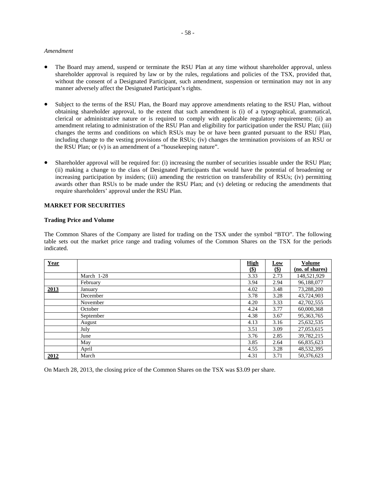#### *Amendment*

- The Board may amend, suspend or terminate the RSU Plan at any time without shareholder approval, unless shareholder approval is required by law or by the rules, regulations and policies of the TSX, provided that, without the consent of a Designated Participant, such amendment, suspension or termination may not in any manner adversely affect the Designated Participant's rights.
- Subject to the terms of the RSU Plan, the Board may approve amendments relating to the RSU Plan, without obtaining shareholder approval, to the extent that such amendment is (i) of a typographical, grammatical, clerical or administrative nature or is required to comply with applicable regulatory requirements; (ii) an amendment relating to administration of the RSU Plan and eligibility for participation under the RSU Plan; (iii) changes the terms and conditions on which RSUs may be or have been granted pursuant to the RSU Plan, including change to the vesting provisions of the RSUs; (iv) changes the termination provisions of an RSU or the RSU Plan; or (v) is an amendment of a "housekeeping nature".
- Shareholder approval will be required for: (i) increasing the number of securities issuable under the RSU Plan; (ii) making a change to the class of Designated Participants that would have the potential of broadening or increasing participation by insiders; (iii) amending the restriction on transferability of RSUs; (iv) permitting awards other than RSUs to be made under the RSU Plan; and (v) deleting or reducing the amendments that require shareholders' approval under the RSU Plan.

## **MARKET FOR SECURITIES**

#### **Trading Price and Volume**

The Common Shares of the Company are listed for trading on the TSX under the symbol "BTO". The following table sets out the market price range and trading volumes of the Common Shares on the TSX for the periods indicated.

| Year |            | <b>High</b> | <b>Low</b> | <b>Volume</b>   |
|------|------------|-------------|------------|-----------------|
|      |            | $($)$       | $($)$      | (no. of shares) |
|      | March 1-28 | 3.33        | 2.73       | 148,521,929     |
|      | February   | 3.94        | 2.94       | 96,188,077      |
| 2013 | Januarv    | 4.02        | 3.48       | 73,288,200      |
|      | December   | 3.78        | 3.28       | 43,724,903      |
|      | November   | 4.20        | 3.33       | 42,702,555      |
|      | October    | 4.24        | 3.77       | 60,000,368      |
|      | September  | 4.38        | 3.67       | 95, 363, 765    |
|      | August     | 4.13        | 3.16       | 25,632,535      |
|      | July       | 3.51        | 3.09       | 27,053,615      |
|      | June       | 3.76        | 2.85       | 39,782,215      |
|      | May        | 3.85        | 2.64       | 66,835,623      |
|      | April      | 4.55        | 3.28       | 48,532,395      |
| 2012 | March      | 4.31        | 3.71       | 50.376.623      |

On March 28, 2013, the closing price of the Common Shares on the TSX was \$3.09 per share.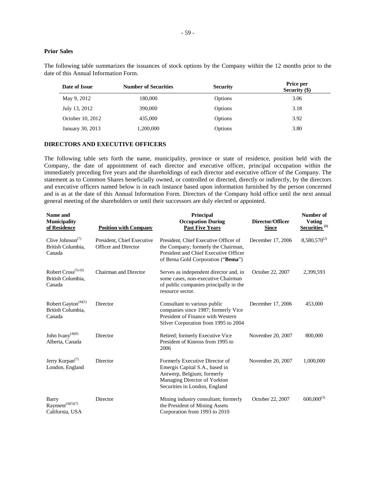## **Prior Sales**

The following table summarizes the issuances of stock options by the Company within the 12 months prior to the date of this Annual Information Form.

| Date of Issue    | <b>Number of Securities</b> | <b>Security</b> | Price per<br><b>Security (\$)</b> |
|------------------|-----------------------------|-----------------|-----------------------------------|
| May 9, 2012      | 180,000                     | Options         | 3.06                              |
| July 13, 2012    | 390,000                     | Options         | 3.18                              |
| October 10, 2012 | 435,000                     | Options         | 3.92                              |
| January 30, 2013 | 1,200,000                   | Options         | 3.80                              |

#### **DIRECTORS AND EXECUTIVE OFFICERS**

The following table sets forth the name, municipality, province or state of residence, position held with the Company, the date of appointment of each director and executive officer, principal occupation within the immediately preceding five years and the shareholdings of each director and executive officer of the Company. The statement as to Common Shares beneficially owned, or controlled or directed, directly or indirectly, by the directors and executive officers named below is in each instance based upon information furnished by the person concerned and is as at the date of this Annual Information Form. Directors of the Company hold office until the next annual general meeting of the shareholders or until their successors are duly elected or appointed.

| Name and<br><b>Municipality</b><br>of Residence                          | <b>Position with Company</b>                              | Principal<br><b>Occupation During</b><br><b>Past Five Years</b>                                                                                                 | Director/Officer<br><b>Since</b> | Number of<br><b>Voting</b><br>Securities <sup>(1)</sup> |
|--------------------------------------------------------------------------|-----------------------------------------------------------|-----------------------------------------------------------------------------------------------------------------------------------------------------------------|----------------------------------|---------------------------------------------------------|
| Clive Johnson <sup><math>(7)</math></sup><br>British Columbia.<br>Canada | President, Chief Executive<br><b>Officer and Director</b> | President, Chief Executive Officer of<br>the Company; formerly the Chairman,<br>President and Chief Executive Officer<br>of Bema Gold Corporation ("Bema")      | December 17, 2006                | 8,580,570 <sup>(2)</sup>                                |
| Robert Cross <sup>(5) (6)</sup><br>British Columbia.<br>Canada           | Chairman and Director                                     | Serves as independent director and, in<br>some cases, non-executive Chairman<br>of public companies principally in the<br>resource sector.                      | October 22, 2007                 | 2,399,593                                               |
| Robert Gayton <sup>(4)(5)</sup><br>British Columbia,<br>Canada           | Director                                                  | Consultant to various public<br>companies since 1987; formerly Vice<br>President of Finance with Western<br>Silver Corporation from 1995 to 2004                | December 17, 2006                | 453,000                                                 |
| John Ivany <sup>(4)(6)</sup><br>Alberta, Canada                          | Director                                                  | Retired; formerly Executive Vice<br>President of Kinross from 1995 to<br>2006                                                                                   | November 20, 2007                | 800,000                                                 |
| Jerry Korpan <sup>(7)</sup><br>London, England                           | Director                                                  | Formerly Executive Director of<br>Emergis Capital S.A., based in<br>Antwerp, Belgium; formerly<br>Managing Director of Yorkton<br>Securities in London, England | November 20, 2007                | 1,000,000                                               |
| Barry<br>Rayment <sup>(4)(5)(7)</sup><br>California, USA                 | Director                                                  | Mining industry consultant; formerly<br>the President of Mining Assets<br>Corporation from 1993 to 2010                                                         | October 22, 2007                 | $600,000^{(3)}$                                         |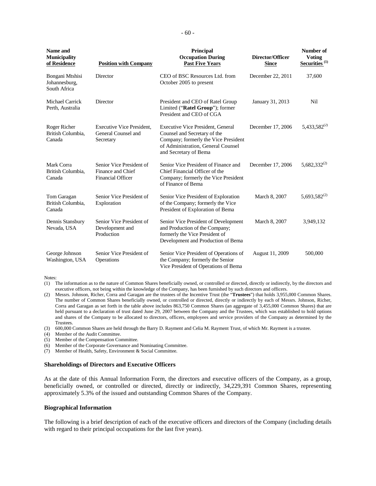| Name and<br><b>Municipality</b><br>of Residence  | <b>Position with Company</b>                                              | Principal<br><b>Occupation During</b><br><b>Past Five Years</b>                                                                                                                 | Director/Officer<br><b>Since</b> | Number of<br><b>Voting</b><br>Securities <sup>(1)</sup> |
|--------------------------------------------------|---------------------------------------------------------------------------|---------------------------------------------------------------------------------------------------------------------------------------------------------------------------------|----------------------------------|---------------------------------------------------------|
| Bongani Mtshisi<br>Johannesburg,<br>South Africa | Director                                                                  | CEO of BSC Resources Ltd. from<br>October 2005 to present                                                                                                                       | December 22, 2011                | 37,600                                                  |
| Michael Carrick<br>Perth, Australia              | Director                                                                  | President and CEO of Ratel Group<br>Limited ("Ratel Group"); former<br>President and CEO of CGA                                                                                 | January 31, 2013                 | Nil                                                     |
| Roger Richer<br>British Columbia,<br>Canada      | <b>Executive Vice President.</b><br>General Counsel and<br>Secretary      | <b>Executive Vice President, General</b><br>Counsel and Secretary of the<br>Company; formerly the Vice President<br>of Administration, General Counsel<br>and Secretary of Bema | December 17, 2006                | $5,433,582^{(2)}$                                       |
| Mark Corra<br>British Columbia.<br>Canada        | Senior Vice President of<br>Finance and Chief<br><b>Financial Officer</b> | Senior Vice President of Finance and<br>Chief Financial Officer of the<br>Company; formerly the Vice President<br>of Finance of Bema                                            | December 17, 2006                | $5,682,332^{(2)}$                                       |
| Tom Garagan<br>British Columbia,<br>Canada       | Senior Vice President of<br>Exploration                                   | Senior Vice President of Exploration<br>of the Company; formerly the Vice<br>President of Exploration of Bema                                                                   | March 8, 2007                    | $5,693,582^{(2)}$                                       |
| Dennis Stansbury<br>Nevada, USA                  | Senior Vice President of<br>Development and<br>Production                 | Senior Vice President of Development<br>March 8, 2007<br>and Production of the Company;<br>formerly the Vice President of<br>Development and Production of Bema                 |                                  | 3,949,132                                               |
| George Johnson<br>Washington, USA                | Senior Vice President of<br>Operations                                    | Senior Vice President of Operations of<br>the Company; formerly the Senior<br>Vice President of Operations of Bema                                                              | August 11, 2009                  | 500,000                                                 |

#### Notes:

(1) The information as to the nature of Common Shares beneficially owned, or controlled or directed, directly or indirectly, by the directors and executive officers, not being within the knowledge of the Company, has been furnished by such directors and officers.

(2) Messrs. Johnson, Richer, Corra and Garagan are the trustees of the Incentive Trust (the "**Trustees**") that holds 3,955,000 Common Shares. The number of Common Shares beneficially owned, or controlled or directed, directly or indirectly by each of Messrs. Johnson, Richer, Corra and Garagan as set forth in the table above includes 863,750 Common Shares (an aggregate of 3,455,000 Common Shares) that are held pursuant to a declaration of trust dated June 29, 2007 between the Company and the Trustees, which was established to hold options and shares of the Company to be allocated to directors, officers, employees and service providers of the Company as determined by the Trustees.

(3) 600,000 Common Shares are held through the Barry D. Rayment and Celia M. Rayment Trust, of which Mr. Rayment is a trustee.

- (4) Member of the Audit Committee.
- (5) Member of the Compensation Committee.
- (6) Member of the Corporate Governance and Nominating Committee.
- (7) Member of Health, Safety, Environment & Social Committee.

#### **Shareholdings of Directors and Executive Officers**

As at the date of this Annual Information Form, the directors and executive officers of the Company, as a group, beneficially owned, or controlled or directed, directly or indirectly, 34,229,391 Common Shares, representing approximately 5.3% of the issued and outstanding Common Shares of the Company.

#### **Biographical Information**

The following is a brief description of each of the executive officers and directors of the Company (including details with regard to their principal occupations for the last five years).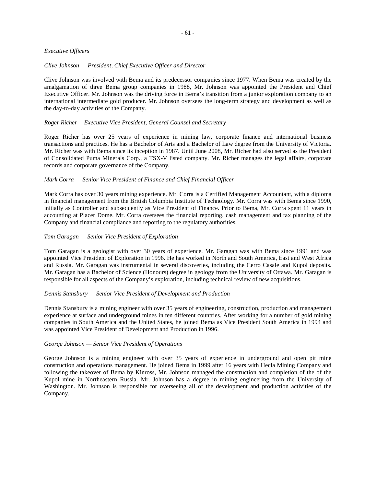#### *Executive Officers*

#### *Clive Johnson — President, Chief Executive Officer and Director*

Clive Johnson was involved with Bema and its predecessor companies since 1977. When Bema was created by the amalgamation of three Bema group companies in 1988, Mr. Johnson was appointed the President and Chief Executive Officer. Mr. Johnson was the driving force in Bema's transition from a junior exploration company to an international intermediate gold producer. Mr. Johnson oversees the long-term strategy and development as well as the day-to-day activities of the Company.

#### *Roger Richer —Executive Vice President, General Counsel and Secretary*

Roger Richer has over 25 years of experience in mining law, corporate finance and international business transactions and practices. He has a Bachelor of Arts and a Bachelor of Law degree from the University of Victoria. Mr. Richer was with Bema since its inception in 1987. Until June 2008, Mr. Richer had also served as the President of Consolidated Puma Minerals Corp., a TSX-V listed company. Mr. Richer manages the legal affairs, corporate records and corporate governance of the Company.

#### *Mark Corra — Senior Vice President of Finance and Chief Financial Officer*

Mark Corra has over 30 years mining experience. Mr. Corra is a Certified Management Accountant, with a diploma in financial management from the British Columbia Institute of Technology. Mr. Corra was with Bema since 1990, initially as Controller and subsequently as Vice President of Finance. Prior to Bema, Mr. Corra spent 11 years in accounting at Placer Dome. Mr. Corra oversees the financial reporting, cash management and tax planning of the Company and financial compliance and reporting to the regulatory authorities.

## *Tom Garagan — Senior Vice President of Exploration*

Tom Garagan is a geologist with over 30 years of experience. Mr. Garagan was with Bema since 1991 and was appointed Vice President of Exploration in 1996. He has worked in North and South America, East and West Africa and Russia. Mr. Garagan was instrumental in several discoveries, including the Cerro Casale and Kupol deposits. Mr. Garagan has a Bachelor of Science (Honours) degree in geology from the University of Ottawa. Mr. Garagan is responsible for all aspects of the Company's exploration, including technical review of new acquisitions.

#### *Dennis Stansbury — Senior Vice President of Development and Production*

Dennis Stansbury is a mining engineer with over 35 years of engineering, construction, production and management experience at surface and underground mines in ten different countries. After working for a number of gold mining companies in South America and the United States, he joined Bema as Vice President South America in 1994 and was appointed Vice President of Development and Production in 1996.

### *George Johnson — Senior Vice President of Operations*

George Johnson is a mining engineer with over 35 years of experience in underground and open pit mine construction and operations management. He joined Bema in 1999 after 16 years with Hecla Mining Company and following the takeover of Bema by Kinross, Mr. Johnson managed the construction and completion of the of the Kupol mine in Northeastern Russia. Mr. Johnson has a degree in mining engineering from the University of Washington. Mr. Johnson is responsible for overseeing all of the development and production activities of the Company.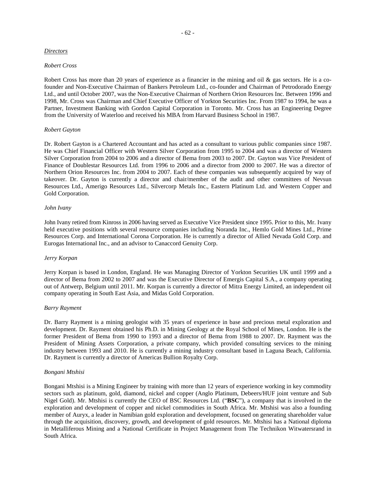## *Directors*

#### *Robert Cross*

Robert Cross has more than 20 years of experience as a financier in the mining and oil & gas sectors. He is a cofounder and Non-Executive Chairman of Bankers Petroleum Ltd., co-founder and Chairman of Petrodorado Energy Ltd., and until October 2007, was the Non-Executive Chairman of Northern Orion Resources Inc. Between 1996 and 1998, Mr. Cross was Chairman and Chief Executive Officer of Yorkton Securities Inc. From 1987 to 1994, he was a Partner, Investment Banking with Gordon Capital Corporation in Toronto. Mr. Cross has an Engineering Degree from the University of Waterloo and received his MBA from Harvard Business School in 1987.

### *Robert Gayton*

Dr. Robert Gayton is a Chartered Accountant and has acted as a consultant to various public companies since 1987. He was Chief Financial Officer with Western Silver Corporation from 1995 to 2004 and was a director of Western Silver Corporation from 2004 to 2006 and a director of Bema from 2003 to 2007. Dr. Gayton was Vice President of Finance of Doublestar Resources Ltd. from 1996 to 2006 and a director from 2000 to 2007. He was a director of Northern Orion Resources Inc. from 2004 to 2007. Each of these companies was subsequently acquired by way of takeover. Dr. Gayton is currently a director and chair/member of the audit and other committees of Nevsun Resources Ltd., Amerigo Resources Ltd., Silvercorp Metals Inc., Eastern Platinum Ltd. and Western Copper and Gold Corporation.

#### *John Ivany*

John Ivany retired from Kinross in 2006 having served as Executive Vice President since 1995. Prior to this, Mr. Ivany held executive positions with several resource companies including Noranda Inc., Hemlo Gold Mines Ltd., Prime Resources Corp. and International Corona Corporation. He is currently a director of Allied Nevada Gold Corp. and Eurogas International Inc., and an advisor to Canaccord Genuity Corp.

## *Jerry Korpan*

Jerry Korpan is based in London, England. He was Managing Director of Yorkton Securities UK until 1999 and a director of Bema from 2002 to 2007 and was the Executive Director of Emergis Capital S.A., a company operating out of Antwerp, Belgium until 2011. Mr. Korpan is currently a director of Mitra Energy Limited, an independent oil company operating in South East Asia, and Midas Gold Corporation.

### *Barry Rayment*

Dr. Barry Rayment is a mining geologist with 35 years of experience in base and precious metal exploration and development. Dr. Rayment obtained his Ph.D. in Mining Geology at the Royal School of Mines, London. He is the former President of Bema from 1990 to 1993 and a director of Bema from 1988 to 2007. Dr. Rayment was the President of Mining Assets Corporation, a private company, which provided consulting services to the mining industry between 1993 and 2010. He is currently a mining industry consultant based in Laguna Beach, California. Dr. Rayment is currently a director of Americas Bullion Royalty Corp.

### *Bongani Mtshisi*

Bongani Mtshisi is a Mining Engineer by training with more than 12 years of experience working in key commodity sectors such as platinum, gold, diamond, nickel and copper (Anglo Platinum, Debeers/HUF joint venture and Sub Nigel Gold). Mr. Mtshisi is currently the CEO of BSC Resources Ltd. ("**BSC**"), a company that is involved in the exploration and development of copper and nickel commodities in South Africa. Mr. Mtshisi was also a founding member of Auryx, a leader in Namibian gold exploration and development, focused on generating shareholder value through the acquisition, discovery, growth, and development of gold resources. Mr. Mtshisi has a National diploma in Metalliferous Mining and a National Certificate in Project Management from The Technikon Witwatersrand in South Africa.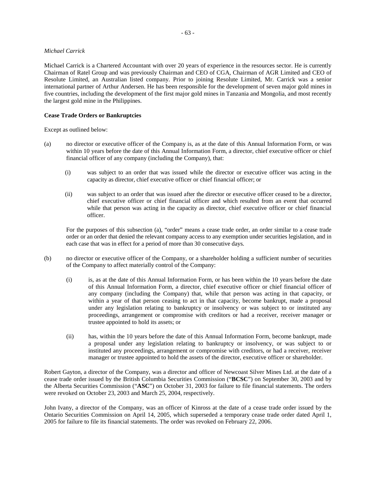## *Michael Carrick*

Michael Carrick is a Chartered Accountant with over 20 years of experience in the resources sector. He is currently Chairman of Ratel Group and was previously Chairman and CEO of CGA, Chairman of AGR Limited and CEO of Resolute Limited, an Australian listed company. Prior to joining Resolute Limited, Mr. Carrick was a senior international partner of Arthur Andersen. He has been responsible for the development of seven major gold mines in five countries, including the development of the first major gold mines in Tanzania and Mongolia, and most recently the largest gold mine in the Philippines.

## **Cease Trade Orders or Bankruptcies**

Except as outlined below:

- (a) no director or executive officer of the Company is, as at the date of this Annual Information Form, or was within 10 years before the date of this Annual Information Form, a director, chief executive officer or chief financial officer of any company (including the Company), that:
	- (i) was subject to an order that was issued while the director or executive officer was acting in the capacity as director, chief executive officer or chief financial officer; or
	- (ii) was subject to an order that was issued after the director or executive officer ceased to be a director, chief executive officer or chief financial officer and which resulted from an event that occurred while that person was acting in the capacity as director, chief executive officer or chief financial officer.

For the purposes of this subsection (a), "order" means a cease trade order, an order similar to a cease trade order or an order that denied the relevant company access to any exemption under securities legislation, and in each case that was in effect for a period of more than 30 consecutive days.

- (b) no director or executive officer of the Company, or a shareholder holding a sufficient number of securities of the Company to affect materially control of the Company:
	- (i) is, as at the date of this Annual Information Form, or has been within the 10 years before the date of this Annual Information Form, a director, chief executive officer or chief financial officer of any company (including the Company) that, while that person was acting in that capacity, or within a year of that person ceasing to act in that capacity, become bankrupt, made a proposal under any legislation relating to bankruptcy or insolvency or was subject to or instituted any proceedings, arrangement or compromise with creditors or had a receiver, receiver manager or trustee appointed to hold its assets; or
	- (ii) has, within the 10 years before the date of this Annual Information Form, become bankrupt, made a proposal under any legislation relating to bankruptcy or insolvency, or was subject to or instituted any proceedings, arrangement or compromise with creditors, or had a receiver, receiver manager or trustee appointed to hold the assets of the director, executive officer or shareholder.

Robert Gayton, a director of the Company, was a director and officer of Newcoast Silver Mines Ltd. at the date of a cease trade order issued by the British Columbia Securities Commission ("**BCSC**") on September 30, 2003 and by the Alberta Securities Commission ("**ASC**") on October 31, 2003 for failure to file financial statements. The orders were revoked on October 23, 2003 and March 25, 2004, respectively.

John Ivany, a director of the Company, was an officer of Kinross at the date of a cease trade order issued by the Ontario Securities Commission on April 14, 2005, which superseded a temporary cease trade order dated April 1, 2005 for failure to file its financial statements. The order was revoked on February 22, 2006.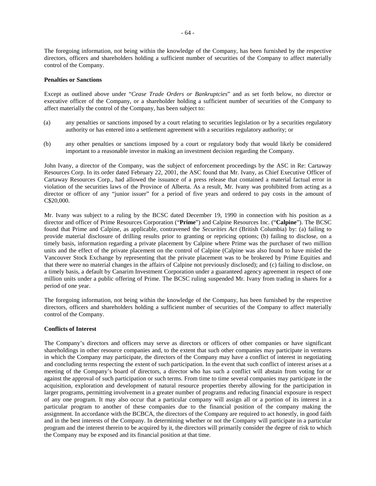The foregoing information, not being within the knowledge of the Company, has been furnished by the respective directors, officers and shareholders holding a sufficient number of securities of the Company to affect materially control of the Company.

## **Penalties or Sanctions**

Except as outlined above under "*Cease Trade Orders or Bankruptcies*" and as set forth below, no director or executive officer of the Company, or a shareholder holding a sufficient number of securities of the Company to affect materially the control of the Company, has been subject to:

- (a) any penalties or sanctions imposed by a court relating to securities legislation or by a securities regulatory authority or has entered into a settlement agreement with a securities regulatory authority; or
- (b) any other penalties or sanctions imposed by a court or regulatory body that would likely be considered important to a reasonable investor in making an investment decision regarding the Company.

John Ivany, a director of the Company, was the subject of enforcement proceedings by the ASC in Re: Cartaway Resources Corp. In its order dated February 22, 2001, the ASC found that Mr. Ivany, as Chief Executive Officer of Cartaway Resources Corp., had allowed the issuance of a press release that contained a material factual error in violation of the securities laws of the Province of Alberta. As a result, Mr. Ivany was prohibited from acting as a director or officer of any "junior issuer" for a period of five years and ordered to pay costs in the amount of C\$20,000.

Mr. Ivany was subject to a ruling by the BCSC dated December 19, 1990 in connection with his position as a director and officer of Prime Resources Corporation ("**Prime**") and Calpine Resources Inc. ("**Calpine**"). The BCSC found that Prime and Calpine, as applicable, contravened the *Securities Act* (British Columbia) by: (a) failing to provide material disclosure of drilling results prior to granting or repricing options; (b) failing to disclose, on a timely basis, information regarding a private placement by Calpine where Prime was the purchaser of two million units and the effect of the private placement on the control of Calpine (Calpine was also found to have misled the Vancouver Stock Exchange by representing that the private placement was to be brokered by Prime Equities and that there were no material changes in the affairs of Calpine not previously disclosed); and (c) failing to disclose, on a timely basis, a default by Canarim Investment Corporation under a guaranteed agency agreement in respect of one million units under a public offering of Prime. The BCSC ruling suspended Mr. Ivany from trading in shares for a period of one year.

The foregoing information, not being within the knowledge of the Company, has been furnished by the respective directors, officers and shareholders holding a sufficient number of securities of the Company to affect materially control of the Company.

### **Conflicts of Interest**

The Company's directors and officers may serve as directors or officers of other companies or have significant shareholdings in other resource companies and, to the extent that such other companies may participate in ventures in which the Company may participate, the directors of the Company may have a conflict of interest in negotiating and concluding terms respecting the extent of such participation. In the event that such conflict of interest arises at a meeting of the Company's board of directors, a director who has such a conflict will abstain from voting for or against the approval of such participation or such terms. From time to time several companies may participate in the acquisition, exploration and development of natural resource properties thereby allowing for the participation in larger programs, permitting involvement in a greater number of programs and reducing financial exposure in respect of any one program. It may also occur that a particular company will assign all or a portion of its interest in a particular program to another of these companies due to the financial position of the company making the assignment. In accordance with the BCBCA, the directors of the Company are required to act honestly, in good faith and in the best interests of the Company. In determining whether or not the Company will participate in a particular program and the interest therein to be acquired by it, the directors will primarily consider the degree of risk to which the Company may be exposed and its financial position at that time.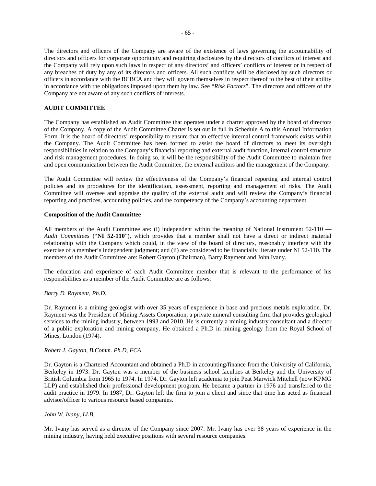The directors and officers of the Company are aware of the existence of laws governing the accountability of directors and officers for corporate opportunity and requiring disclosures by the directors of conflicts of interest and the Company will rely upon such laws in respect of any directors' and officers' conflicts of interest or in respect of any breaches of duty by any of its directors and officers. All such conflicts will be disclosed by such directors or officers in accordance with the BCBCA and they will govern themselves in respect thereof to the best of their ability in accordance with the obligations imposed upon them by law. See "*Risk Factors*". The directors and officers of the Company are not aware of any such conflicts of interests.

## **AUDIT COMMITTEE**

The Company has established an Audit Committee that operates under a charter approved by the board of directors of the Company. A copy of the Audit Committee Charter is set out in full in Schedule A to this Annual Information Form. It is the board of directors' responsibility to ensure that an effective internal control framework exists within the Company. The Audit Committee has been formed to assist the board of directors to meet its oversight responsibilities in relation to the Company's financial reporting and external audit function, internal control structure and risk management procedures. In doing so, it will be the responsibility of the Audit Committee to maintain free and open communication between the Audit Committee, the external auditors and the management of the Company.

The Audit Committee will review the effectiveness of the Company's financial reporting and internal control policies and its procedures for the identification, assessment, reporting and management of risks. The Audit Committee will oversee and appraise the quality of the external audit and will review the Company's financial reporting and practices, accounting policies, and the competency of the Company's accounting department.

## **Composition of the Audit Committee**

All members of the Audit Committee are: (i) independent within the meaning of National Instrument 52-110 — *Audit Committees* ("**NI 52-110**"), which provides that a member shall not have a direct or indirect material relationship with the Company which could, in the view of the board of directors, reasonably interfere with the exercise of a member's independent judgment; and (ii) are considered to be financially literate under NI 52-110. The members of the Audit Committee are: Robert Gayton (Chairman), Barry Rayment and John Ivany.

The education and experience of each Audit Committee member that is relevant to the performance of his responsibilities as a member of the Audit Committee are as follows:

### *Barry D. Rayment, Ph.D.*

Dr. Rayment is a mining geologist with over 35 years of experience in base and precious metals exploration. Dr. Rayment was the President of Mining Assets Corporation, a private mineral consulting firm that provides geological services to the mining industry, between 1993 and 2010. He is currently a mining industry consultant and a director of a public exploration and mining company. He obtained a Ph.D in mining geology from the Royal School of Mines, London (1974).

#### *Robert J. Gayton, B.Comm. Ph.D, FCA*

Dr. Gayton is a Chartered Accountant and obtained a Ph.D in accounting/finance from the University of California, Berkeley in 1973. Dr. Gayton was a member of the business school faculties at Berkeley and the University of British Columbia from 1965 to 1974. In 1974, Dr. Gayton left academia to join Peat Marwick Mitchell (now KPMG LLP) and established their professional development program. He became a partner in 1976 and transferred to the audit practice in 1979. In 1987, Dr. Gayton left the firm to join a client and since that time has acted as financial advisor/officer to various resource based companies.

#### *John W. Ivany, LLB.*

Mr. Ivany has served as a director of the Company since 2007. Mr. Ivany has over 38 years of experience in the mining industry, having held executive positions with several resource companies.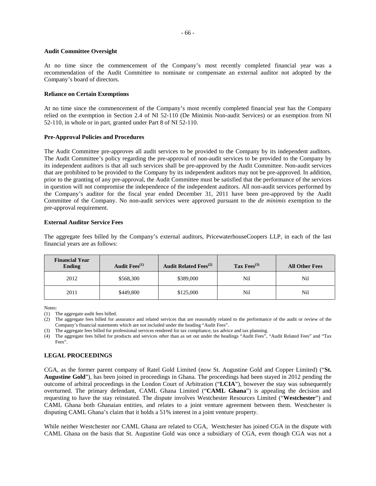#### **Audit Committee Oversight**

At no time since the commencement of the Company's most recently completed financial year was a recommendation of the Audit Committee to nominate or compensate an external auditor not adopted by the Company's board of directors.

#### **Reliance on Certain Exemptions**

At no time since the commencement of the Company's most recently completed financial year has the Company relied on the exemption in Section 2.4 of NI 52-110 (De Minimis Non-audit Services) or an exemption from NI 52-110, in whole or in part, granted under Part 8 of NI 52-110.

### **Pre-Approval Policies and Procedures**

The Audit Committee pre-approves all audit services to be provided to the Company by its independent auditors. The Audit Committee's policy regarding the pre-approval of non-audit services to be provided to the Company by its independent auditors is that all such services shall be pre-approved by the Audit Committee. Non-audit services that are prohibited to be provided to the Company by its independent auditors may not be pre-approved. In addition, prior to the granting of any pre-approval, the Audit Committee must be satisfied that the performance of the services in question will not compromise the independence of the independent auditors. All non-audit services performed by the Company's auditor for the fiscal year ended December 31, 2011 have been pre-approved by the Audit Committee of the Company. No non-audit services were approved pursuant to the *de minimis* exemption to the pre-approval requirement.

## **External Auditor Service Fees**

The aggregate fees billed by the Company's external auditors, PricewaterhouseCoopers LLP, in each of the last financial years are as follows:

| <b>Financial Year</b><br><b>Ending</b> | Audit Fees <sup>(1)</sup> | <b>Audit Related Fees</b> <sup>(2)</sup> | Tax $Fees^{(3)}$ | <b>All Other Fees</b> |
|----------------------------------------|---------------------------|------------------------------------------|------------------|-----------------------|
| 2012                                   | \$568,300                 | \$389,000                                | Nil              | Nil                   |
| 2011                                   | \$449,800                 | \$125,000                                | Nil              | Nil                   |

Notes:

(3) The aggregate fees billed for professional services rendered for tax compliance, tax advice and tax planning.

(4) The aggregate fees billed for products and services other than as set out under the headings "Audit Fees", "Audit Related Fees" and "Tax Fees".

### **LEGAL PROCEEDINGS**

CGA, as the former parent company of Ratel Gold Limited (now St. Augustine Gold and Copper Limited) ("**St. Augustine Gold**"), has been joined in proceedings in Ghana. The proceedings had been stayed in 2012 pending the outcome of arbitral proceedings in the London Court of Arbitration ("**LCIA**"), however the stay was subsequently overturned. The primary defendant, CAML Ghana Limited ("**CAML Ghana**") is appealing the decision and requesting to have the stay reinstated. The dispute involves Westchester Resources Limited ("**Westchester**") and CAML Ghana both Ghanaian entities, and relates to a joint venture agreement between them. Westchester is disputing CAML Ghana's claim that it holds a 51% interest in a joint venture property.

While neither Westchester nor CAML Ghana are related to CGA, Westchester has joined CGA in the dispute with CAML Ghana on the basis that St. Augustine Gold was once a subsidiary of CGA, even though CGA was not a

<sup>(1)</sup> The aggregate audit fees billed.

<sup>(2)</sup> The aggregate fees billed for assurance and related services that are reasonably related to the performance of the audit or review of the Company's financial statements which are not included under the heading "Audit Fees".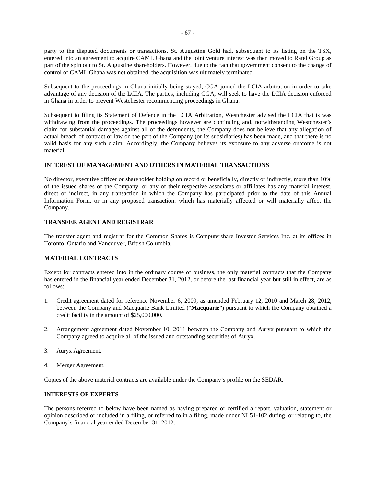party to the disputed documents or transactions. St. Augustine Gold had, subsequent to its listing on the TSX, entered into an agreement to acquire CAML Ghana and the joint venture interest was then moved to Ratel Group as part of the spin out to St. Augustine shareholders. However, due to the fact that government consent to the change of control of CAML Ghana was not obtained, the acquisition was ultimately terminated.

Subsequent to the proceedings in Ghana initially being stayed, CGA joined the LCIA arbitration in order to take advantage of any decision of the LCIA. The parties, including CGA, will seek to have the LCIA decision enforced in Ghana in order to prevent Westchester recommencing proceedings in Ghana.

Subsequent to filing its Statement of Defence in the LCIA Arbitration, Westchester advised the LCIA that is was withdrawing from the proceedings. The proceedings however are continuing and, notwithstanding Westchester's claim for substantial damages against all of the defendents, the Company does not believe that any allegation of actual breach of contract or law on the part of the Company (or its subsidiaries) has been made, and that there is no valid basis for any such claim. Accordingly, the Company believes its exposure to any adverse outcome is not material.

## **INTEREST OF MANAGEMENT AND OTHERS IN MATERIAL TRANSACTIONS**

No director, executive officer or shareholder holding on record or beneficially, directly or indirectly, more than 10% of the issued shares of the Company, or any of their respective associates or affiliates has any material interest, direct or indirect, in any transaction in which the Company has participated prior to the date of this Annual Information Form, or in any proposed transaction, which has materially affected or will materially affect the Company.

## **TRANSFER AGENT AND REGISTRAR**

The transfer agent and registrar for the Common Shares is Computershare Investor Services Inc. at its offices in Toronto, Ontario and Vancouver, British Columbia.

## **MATERIAL CONTRACTS**

Except for contracts entered into in the ordinary course of business, the only material contracts that the Company has entered in the financial year ended December 31, 2012, or before the last financial year but still in effect, are as follows:

- 1. Credit agreement dated for reference November 6, 2009, as amended February 12, 2010 and March 28, 2012, between the Company and Macquarie Bank Limited ("**Macquarie**") pursuant to which the Company obtained a credit facility in the amount of \$25,000,000.
- 2. Arrangement agreement dated November 10, 2011 between the Company and Auryx pursuant to which the Company agreed to acquire all of the issued and outstanding securities of Auryx.
- 3. Auryx Agreement.
- 4. Merger Agreement.

Copies of the above material contracts are available under the Company's profile on the SEDAR.

## **INTERESTS OF EXPERTS**

The persons referred to below have been named as having prepared or certified a report, valuation, statement or opinion described or included in a filing, or referred to in a filing, made under NI 51-102 during, or relating to, the Company's financial year ended December 31, 2012.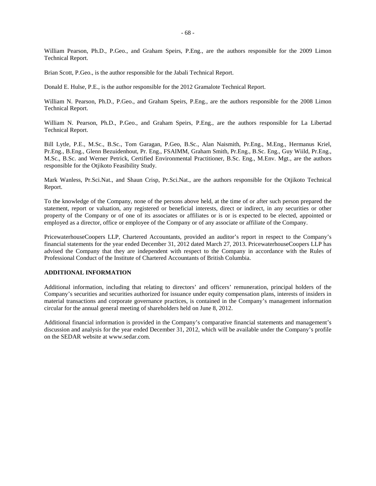William Pearson, Ph.D., P.Geo., and Graham Speirs, P.Eng., are the authors responsible for the 2009 Limon Technical Report.

Brian Scott, P.Geo., is the author responsible for the Jabali Technical Report.

Donald E. Hulse, P.E., is the author responsible for the 2012 Gramalote Technical Report.

William N. Pearson, Ph.D., P.Geo., and Graham Speirs, P.Eng., are the authors responsible for the 2008 Limon Technical Report.

William N. Pearson, Ph.D., P.Geo., and Graham Speirs, P.Eng., are the authors responsible for La Libertad Technical Report.

Bill Lytle, P.E., M.Sc., B.Sc., Tom Garagan, P.Geo, B.Sc., Alan Naismith, Pr.Eng., M.Eng., Hermanus Kriel, Pr.Eng., B.Eng., Glenn Bezuidenhout, Pr. Eng., FSAIMM, Graham Smith, Pr.Eng., B.Sc. Eng., Guy Wiild, Pr.Eng., M.Sc., B.Sc. and Werner Petrick, Certified Environmental Practitioner, B.Sc. Eng., M.Env. Mgt., are the authors responsible for the Otjikoto Feasibility Study.

Mark Wanless, Pr.Sci.Nat., and Shaun Crisp, Pr.Sci.Nat., are the authors responsible for the Otjikoto Technical Report.

To the knowledge of the Company, none of the persons above held, at the time of or after such person prepared the statement, report or valuation, any registered or beneficial interests, direct or indirect, in any securities or other property of the Company or of one of its associates or affiliates or is or is expected to be elected, appointed or employed as a director, office or employee of the Company or of any associate or affiliate of the Company.

PricewaterhouseCoopers LLP, Chartered Accountants, provided an auditor's report in respect to the Company's financial statements for the year ended December 31, 2012 dated March 27, 2013. PricewaterhouseCoopers LLP has advised the Company that they are independent with respect to the Company in accordance with the Rules of Professional Conduct of the Institute of Chartered Accountants of British Columbia.

## **ADDITIONAL INFORMATION**

Additional information, including that relating to directors' and officers' remuneration, principal holders of the Company's securities and securities authorized for issuance under equity compensation plans, interests of insiders in material transactions and corporate governance practices, is contained in the Company's management information circular for the annual general meeting of shareholders held on June 8, 2012.

Additional financial information is provided in the Company's comparative financial statements and management's discussion and analysis for the year ended December 31, 2012, which will be available under the Company's profile on the SEDAR website at www.sedar.com.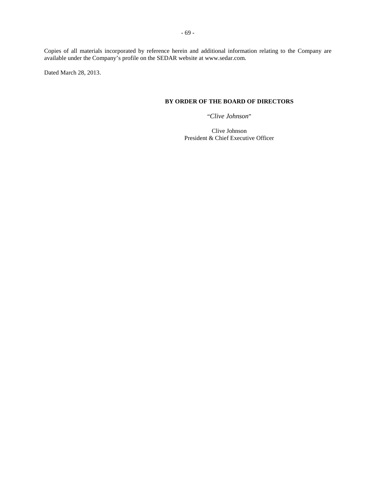Copies of all materials incorporated by reference herein and additional information relating to the Company are available under the Company's profile on the SEDAR website at www.sedar.com.

Dated March 28, 2013.

# **BY ORDER OF THE BOARD OF DIRECTORS**

"*Clive Johnson*"

Clive Johnson President & Chief Executive Officer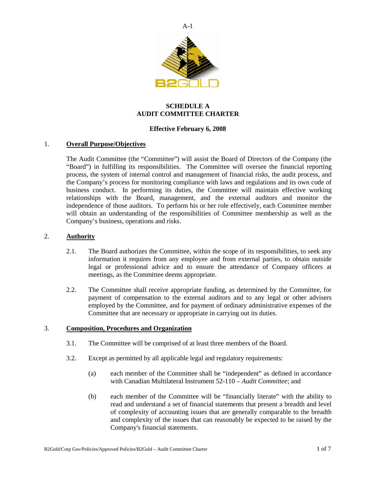

# **SCHEDULE A AUDIT COMMITTEE CHARTER**

# **Effective February 6, 2008**

## 1. **Overall Purpose/Objectives**

The Audit Committee (the "Committee") will assist the Board of Directors of the Company (the "Board") in fulfilling its responsibilities. The Committee will oversee the financial reporting process, the system of internal control and management of financial risks, the audit process, and the Company's process for monitoring compliance with laws and regulations and its own code of business conduct. In performing its duties, the Committee will maintain effective working relationships with the Board, management, and the external auditors and monitor the independence of those auditors. To perform his or her role effectively, each Committee member will obtain an understanding of the responsibilities of Committee membership as well as the Company's business, operations and risks.

# 2. **Authority**

- 2.1. The Board authorizes the Committee, within the scope of its responsibilities, to seek any information it requires from any employee and from external parties, to obtain outside legal or professional advice and to ensure the attendance of Company officers at meetings, as the Committee deems appropriate.
- 2.2. The Committee shall receive appropriate funding, as determined by the Committee, for payment of compensation to the external auditors and to any legal or other advisers employed by the Committee, and for payment of ordinary administrative expenses of the Committee that are necessary or appropriate in carrying out its duties.

## 3. **Composition, Procedures and Organization**

- 3.1. The Committee will be comprised of at least three members of the Board.
- 3.2. Except as permitted by all applicable legal and regulatory requirements:
	- (a) each member of the Committee shall be "independent" as defined in accordance with Canadian Multilateral Instrument 52-110 – *Audit Committee*; and
	- (b) each member of the Committee will be "financially literate" with the ability to read and understand a set of financial statements that present a breadth and level of complexity of accounting issues that are generally comparable to the breadth and complexity of the issues that can reasonably be expected to be raised by the Company's financial statements.

 $A-1$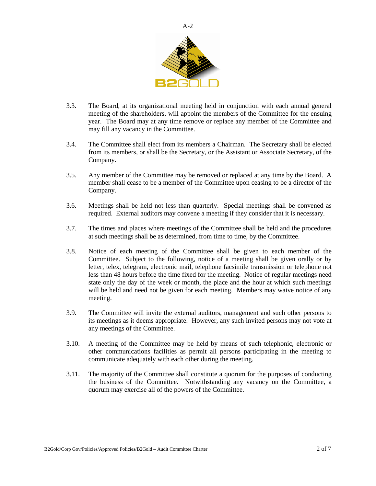

- 3.3. The Board, at its organizational meeting held in conjunction with each annual general meeting of the shareholders, will appoint the members of the Committee for the ensuing year. The Board may at any time remove or replace any member of the Committee and may fill any vacancy in the Committee.
- 3.4. The Committee shall elect from its members a Chairman. The Secretary shall be elected from its members, or shall be the Secretary, or the Assistant or Associate Secretary, of the Company.
- 3.5. Any member of the Committee may be removed or replaced at any time by the Board. A member shall cease to be a member of the Committee upon ceasing to be a director of the Company.
- 3.6. Meetings shall be held not less than quarterly. Special meetings shall be convened as required. External auditors may convene a meeting if they consider that it is necessary.
- 3.7. The times and places where meetings of the Committee shall be held and the procedures at such meetings shall be as determined, from time to time, by the Committee.
- 3.8. Notice of each meeting of the Committee shall be given to each member of the Committee. Subject to the following, notice of a meeting shall be given orally or by letter, telex, telegram, electronic mail, telephone facsimile transmission or telephone not less than 48 hours before the time fixed for the meeting. Notice of regular meetings need state only the day of the week or month, the place and the hour at which such meetings will be held and need not be given for each meeting. Members may waive notice of any meeting.
- 3.9. The Committee will invite the external auditors, management and such other persons to its meetings as it deems appropriate. However, any such invited persons may not vote at any meetings of the Committee.
- 3.10. A meeting of the Committee may be held by means of such telephonic, electronic or other communications facilities as permit all persons participating in the meeting to communicate adequately with each other during the meeting.
- 3.11. The majority of the Committee shall constitute a quorum for the purposes of conducting the business of the Committee. Notwithstanding any vacancy on the Committee, a quorum may exercise all of the powers of the Committee.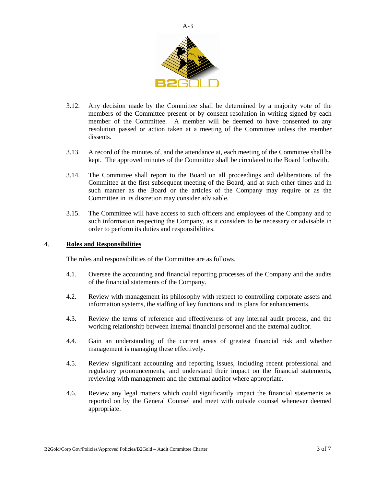

- 3.12. Any decision made by the Committee shall be determined by a majority vote of the members of the Committee present or by consent resolution in writing signed by each member of the Committee. A member will be deemed to have consented to any resolution passed or action taken at a meeting of the Committee unless the member dissents.
- 3.13. A record of the minutes of, and the attendance at, each meeting of the Committee shall be kept. The approved minutes of the Committee shall be circulated to the Board forthwith.
- 3.14. The Committee shall report to the Board on all proceedings and deliberations of the Committee at the first subsequent meeting of the Board, and at such other times and in such manner as the Board or the articles of the Company may require or as the Committee in its discretion may consider advisable.
- 3.15. The Committee will have access to such officers and employees of the Company and to such information respecting the Company, as it considers to be necessary or advisable in order to perform its duties and responsibilities.

## 4. **Roles and Responsibilities**

The roles and responsibilities of the Committee are as follows.

- 4.1. Oversee the accounting and financial reporting processes of the Company and the audits of the financial statements of the Company.
- 4.2. Review with management its philosophy with respect to controlling corporate assets and information systems, the staffing of key functions and its plans for enhancements.
- 4.3. Review the terms of reference and effectiveness of any internal audit process, and the working relationship between internal financial personnel and the external auditor.
- 4.4. Gain an understanding of the current areas of greatest financial risk and whether management is managing these effectively.
- 4.5. Review significant accounting and reporting issues, including recent professional and regulatory pronouncements, and understand their impact on the financial statements, reviewing with management and the external auditor where appropriate.
- 4.6. Review any legal matters which could significantly impact the financial statements as reported on by the General Counsel and meet with outside counsel whenever deemed appropriate.

 $A-3$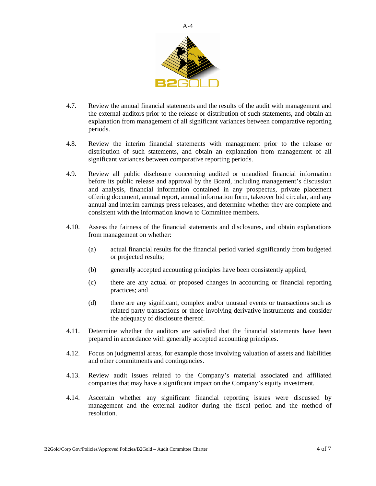

- 4.7. Review the annual financial statements and the results of the audit with management and the external auditors prior to the release or distribution of such statements, and obtain an explanation from management of all significant variances between comparative reporting periods.
- 4.8. Review the interim financial statements with management prior to the release or distribution of such statements, and obtain an explanation from management of all significant variances between comparative reporting periods.
- 4.9. Review all public disclosure concerning audited or unaudited financial information before its public release and approval by the Board, including management's discussion and analysis, financial information contained in any prospectus, private placement offering document, annual report, annual information form, takeover bid circular, and any annual and interim earnings press releases, and determine whether they are complete and consistent with the information known to Committee members.
- 4.10. Assess the fairness of the financial statements and disclosures, and obtain explanations from management on whether:
	- (a) actual financial results for the financial period varied significantly from budgeted or projected results;
	- (b) generally accepted accounting principles have been consistently applied;
	- (c) there are any actual or proposed changes in accounting or financial reporting practices; and
	- (d) there are any significant, complex and/or unusual events or transactions such as related party transactions or those involving derivative instruments and consider the adequacy of disclosure thereof.
- 4.11. Determine whether the auditors are satisfied that the financial statements have been prepared in accordance with generally accepted accounting principles.
- 4.12. Focus on judgmental areas, for example those involving valuation of assets and liabilities and other commitments and contingencies.
- 4.13. Review audit issues related to the Company's material associated and affiliated companies that may have a significant impact on the Company's equity investment.
- 4.14. Ascertain whether any significant financial reporting issues were discussed by management and the external auditor during the fiscal period and the method of resolution.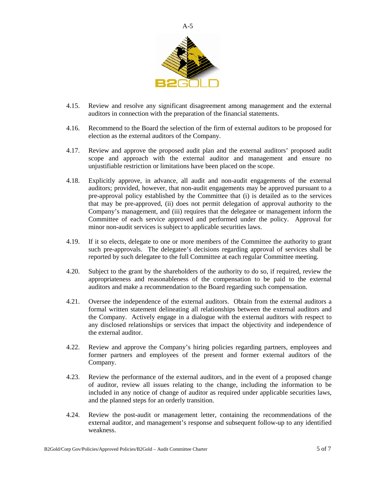

- 4.15. Review and resolve any significant disagreement among management and the external auditors in connection with the preparation of the financial statements.
- 4.16. Recommend to the Board the selection of the firm of external auditors to be proposed for election as the external auditors of the Company.
- 4.17. Review and approve the proposed audit plan and the external auditors' proposed audit scope and approach with the external auditor and management and ensure no unjustifiable restriction or limitations have been placed on the scope.
- 4.18. Explicitly approve, in advance, all audit and non-audit engagements of the external auditors; provided, however, that non-audit engagements may be approved pursuant to a pre-approval policy established by the Committee that (i) is detailed as to the services that may be pre-approved, (ii) does not permit delegation of approval authority to the Company's management, and (iii) requires that the delegatee or management inform the Committee of each service approved and performed under the policy. Approval for minor non-audit services is subject to applicable securities laws.
- 4.19. If it so elects, delegate to one or more members of the Committee the authority to grant such pre-approvals. The delegatee's decisions regarding approval of services shall be reported by such delegatee to the full Committee at each regular Committee meeting.
- 4.20. Subject to the grant by the shareholders of the authority to do so, if required, review the appropriateness and reasonableness of the compensation to be paid to the external auditors and make a recommendation to the Board regarding such compensation.
- 4.21. Oversee the independence of the external auditors. Obtain from the external auditors a formal written statement delineating all relationships between the external auditors and the Company. Actively engage in a dialogue with the external auditors with respect to any disclosed relationships or services that impact the objectivity and independence of the external auditor.
- 4.22. Review and approve the Company's hiring policies regarding partners, employees and former partners and employees of the present and former external auditors of the Company.
- 4.23. Review the performance of the external auditors, and in the event of a proposed change of auditor, review all issues relating to the change, including the information to be included in any notice of change of auditor as required under applicable securities laws, and the planned steps for an orderly transition.
- 4.24. Review the post-audit or management letter, containing the recommendations of the external auditor, and management's response and subsequent follow-up to any identified weakness.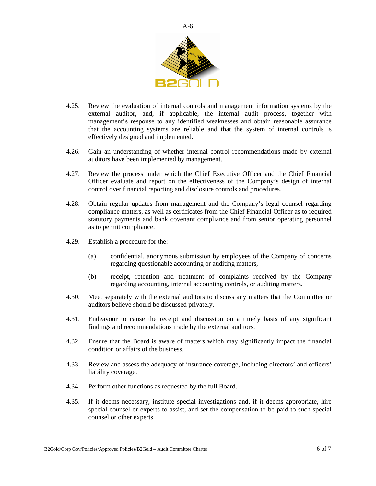

- 4.25. Review the evaluation of internal controls and management information systems by the external auditor, and, if applicable, the internal audit process, together with management's response to any identified weaknesses and obtain reasonable assurance that the accounting systems are reliable and that the system of internal controls is effectively designed and implemented.
- 4.26. Gain an understanding of whether internal control recommendations made by external auditors have been implemented by management.
- 4.27. Review the process under which the Chief Executive Officer and the Chief Financial Officer evaluate and report on the effectiveness of the Company's design of internal control over financial reporting and disclosure controls and procedures.
- 4.28. Obtain regular updates from management and the Company's legal counsel regarding compliance matters, as well as certificates from the Chief Financial Officer as to required statutory payments and bank covenant compliance and from senior operating personnel as to permit compliance.
- 4.29. Establish a procedure for the:
	- (a) confidential, anonymous submission by employees of the Company of concerns regarding questionable accounting or auditing matters,
	- (b) receipt, retention and treatment of complaints received by the Company regarding accounting, internal accounting controls, or auditing matters.
- 4.30. Meet separately with the external auditors to discuss any matters that the Committee or auditors believe should be discussed privately.
- 4.31. Endeavour to cause the receipt and discussion on a timely basis of any significant findings and recommendations made by the external auditors.
- 4.32. Ensure that the Board is aware of matters which may significantly impact the financial condition or affairs of the business.
- 4.33. Review and assess the adequacy of insurance coverage, including directors' and officers' liability coverage.
- 4.34. Perform other functions as requested by the full Board.
- 4.35. If it deems necessary, institute special investigations and, if it deems appropriate, hire special counsel or experts to assist, and set the compensation to be paid to such special counsel or other experts.